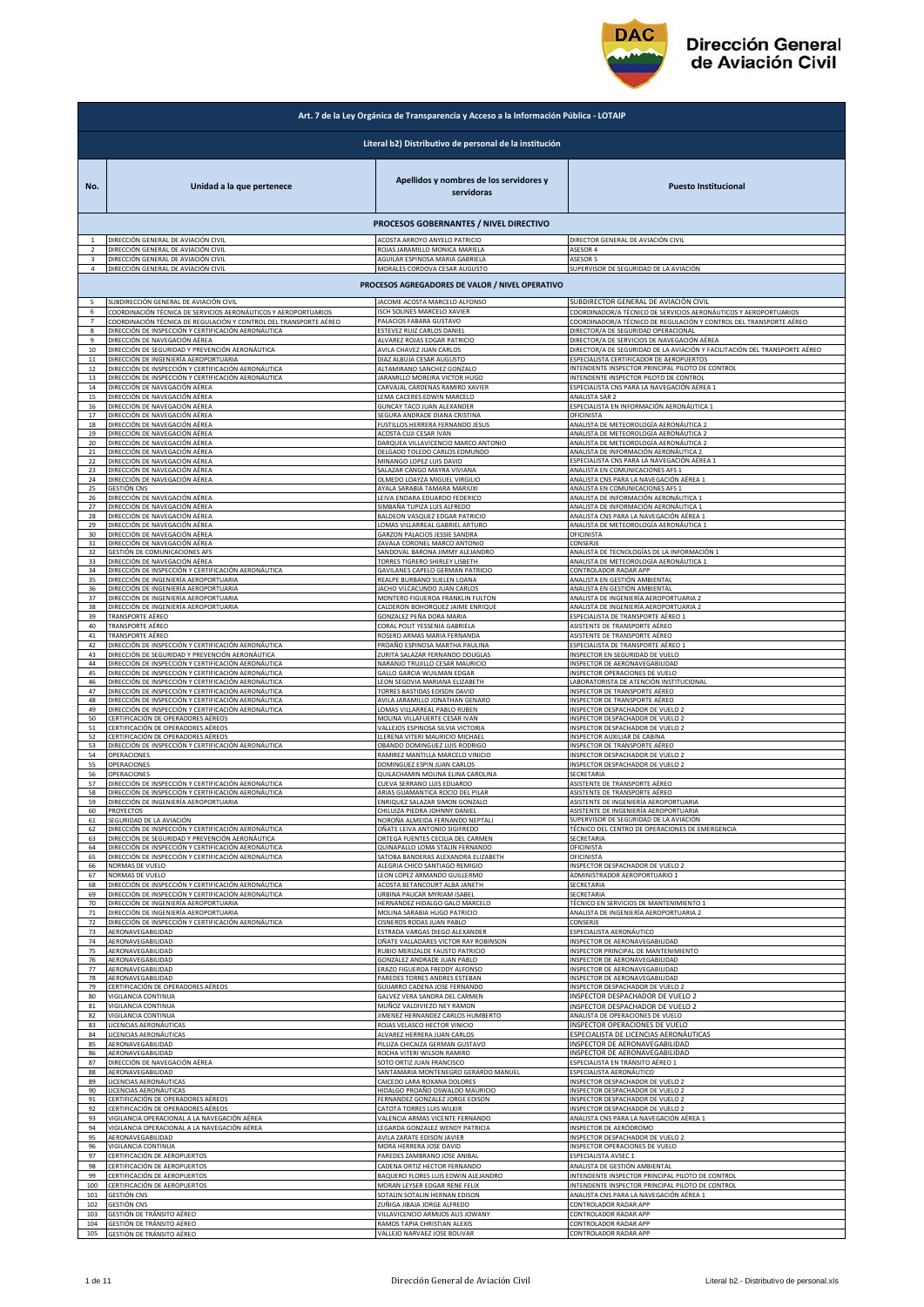

## **Dirección General** de Aviación Civil

|                | Art. 7 de la Ley Orgánica de Transparencia y Acceso a la Información Pública - LOTAIP                      |                                                        |                                                                            |  |
|----------------|------------------------------------------------------------------------------------------------------------|--------------------------------------------------------|----------------------------------------------------------------------------|--|
|                |                                                                                                            | Literal b2) Distributivo de personal de la institución |                                                                            |  |
| No.            | Unidad a la que pertenece                                                                                  | Apellidos y nombres de los servidores y<br>servidoras  | <b>Puesto Institucional</b>                                                |  |
|                |                                                                                                            | PROCESOS GOBERNANTES / NIVEL DIRECTIVO                 |                                                                            |  |
|                | DIRECCIÓN GENERAL DE AVIACIÓN CIVIL                                                                        | ACOSTA ARROYO ANYELO PATRICIO                          | DIRECTOR GENERAL DE AVIACIÓN CIVIL                                         |  |
|                | DIRECCIÓN GENERAL DE AVIACIÓN CIVIL                                                                        | ROJAS JARAMILLO MONICA MARIELA                         | <b>ASESOR 4</b>                                                            |  |
| 3              | DIRECCIÓN GENERAL DE AVIACIÓN CIVIL                                                                        | AGUILAR ESPINOSA MARIA GABRIELA                        | ASESOR 5                                                                   |  |
| 4              | DIRECCIÓN GENERAL DE AVIACIÓN CIVIL                                                                        | MORALES CORDOVA CESAR AUGUSTO                          | SUPERVISOR DE SEGURIDAD DE LA AVIACIÓN                                     |  |
|                |                                                                                                            | PROCESOS AGREGADORES DE VALOR / NIVEL OPERATIVO        |                                                                            |  |
| 5              | SUBDIRECCIÓN GENERAL DE AVIACIÓN CIVIL                                                                     | JACOME ACOSTA MARCELO ALFONSO                          | SUBDIRECTOR GENERAL DE AVIACIÓN CIVIL                                      |  |
| 6              | COORDINACIÓN TÉCNICA DE SERVICIOS AERONÁUTICOS Y AEROPORTUARIOS                                            | ISCH SOLINES MARCELO XAVIER                            | COORDINADOR/A TÉCNICO DE SERVICIOS AERONÁUTICOS Y AEROPORTUARIOS           |  |
| $\overline{7}$ | COORDINACIÓN TÉCNICA DE REGULACIÓN Y CONTROL DEL TRANSPORTE AÉREO                                          | PALACIOS FABARA GUSTAVO                                | COORDINADOR/A TÉCNICO DE REGULACIÓN Y CONTROL DEL TRANSPORTE AÉREO         |  |
| 8              | DIRECCIÓN DE INSPECCIÓN Y CERTIFICACIÓN AERONÁUTICA                                                        | ESTEVEZ RUIZ CARLOS DANIEL                             | DIRECTOR/A DE SEGURIDAD OPERACIONAL                                        |  |
| 9              | DIRECCIÓN DE NAVEGACIÓN AÉREA                                                                              | ALVAREZ ROJAS EDGAR PATRICIO                           | DIRECTOR/A DE SERVICIOS DE NAVEGACIÓN AÉREA                                |  |
| 10             | DIRECCIÓN DE SEGURIDAD Y PREVENCIÓN AERONÁUTICA                                                            | AVILA CHAVEZ JUAN CARLOS                               | DIRECTOR/A DE SEGURIDAD DE LA AVIACIÓN Y FACILITACIÓN DEL TRANSPORTE AÉREO |  |
| $11\,$         | DIRECCIÓN DE INGENIERÍA AEROPORTUARIA                                                                      | DIAZ ALBUJA CESAR AUGUSTO                              | ESPECIALISTA CERTIFICADOR DE AEROPUERTOS                                   |  |
| 12             | DIRECCIÓN DE INSPECCIÓN Y CERTIFICACIÓN AERONÁUTICA                                                        | ALTAMIRANO SANCHEZ GONZALO                             | INTENDENTE INSPECTOR PRINCIPAL PILOTO DE CONTROL                           |  |
| 13             | DIRECCIÓN DE INSPECCIÓN Y CERTIFICACIÓN AERONÁUTICA                                                        | JARAMILLO MOREIRA VICTOR HUGO                          | <b>NTENDENTE INSPECTOR PILOTO DE CONTROL</b>                               |  |
| $14\,$         | DIRECCIÓN DE NAVEGACIÓN AÉREA                                                                              | CARVAJAL CARDENAS RAMIRO XAVIER                        | ESPECIALISTA CNS PARA LA NAVEGACIÓN AÉREA 1                                |  |
| 15             | DIRECCIÓN DE NAVEGACIÓN AÉREA                                                                              | LEMA CACERES EDWIN MARCELO                             | ANALISTA SAR 2                                                             |  |
| 16             | DIRECCIÓN DE NAVEGACIÓN AÉREA                                                                              | GUNCAY TACO JUAN ALEXANDER                             | ESPECIALISTA EN INFORMACIÓN AERONÁUTICA 1                                  |  |
| 17             | DIRECCIÓN DE NAVEGACIÓN AÉREA                                                                              | SEGURA ANDRADE DIANA CRISTINA                          | OFICINISTA                                                                 |  |
| 18             | DIRECCIÓN DE NAVEGACIÓN AÉREA                                                                              | FUSTILLOS HERRERA FERNANDO JESUS                       | ANALISTA DE METEOROLOGÍA AERONÁUTICA 2                                     |  |
| 19             | DIRECCIÓN DE NAVEGACIÓN AÉREA                                                                              | ACOSTA CUJI CESAR IVAN                                 | ANALISTA DE METEOROLOGÍA AERONÁUTICA 2                                     |  |
| 20             | DIRECCIÓN DE NAVEGACIÓN AÉREA                                                                              | DARQUEA VILLAVICENCIO MARCO ANTONIO                    | ANALISTA DE METEOROLOGÍA AERONÁUTICA 2                                     |  |
| 21             | DIRECCIÓN DE NAVEGACIÓN AÉREA                                                                              | DELGADO TOLEDO CARLOS EDMUNDO                          | ANALISTA DE INFORMACIÓN AERONÁUTICA 2                                      |  |
| 22             | DIRECCIÓN DE NAVEGACIÓN AÉREA                                                                              | MINANGO LOPEZ LUIS DAVID                               | ESPECIALISTA CNS PARA LA NAVEGACIÓN AÉREA 1                                |  |
| 23             | DIRECCIÓN DE NAVEGACIÓN AÉREA                                                                              | SALAZAR CANGO MAYRA VIVIANA                            | ANALISTA EN COMUNICACIONES AFS 1                                           |  |
| 24             | DIRECCIÓN DE NAVEGACIÓN AÉREA                                                                              | OLMEDO LOAYZA MIGUEL VIRGILIO                          | ANALISTA CNS PARA LA NAVEGACIÓN AÉREA 1                                    |  |
| 25             | <b>GESTIÓN CNS</b>                                                                                         | AYALA SARABIA TAMARA MARIUXI                           | ANALISTA EN COMUNICACIONES AFS 1                                           |  |
| 26             | DIRECCIÓN DE NAVEGACIÓN AÉREA                                                                              | LEIVA ENDARA EDUARDO FEDERICO                          | ANALISTA DE INFORMACIÓN AERONÁUTICA 1                                      |  |
| 27             | DIRECCIÓN DE NAVEGACIÓN AÉREA                                                                              | SIMBAÑA TUPIZA LUIS ALFREDO                            | ANALISTA DE INFORMACIÓN AERONÁUTICA 1                                      |  |
| 28             | DIRECCIÓN DE NAVEGACIÓN AÉREA                                                                              | BALDEON VASQUEZ EDGAR PATRICIO                         | ANALISTA CNS PARA LA NAVEGACIÓN AÉREA 1                                    |  |
| 29             | DIRECCIÓN DE NAVEGACIÓN AÉREA                                                                              | LOMAS VILLARREAL GABRIEL ARTURO                        | ANALISTA DE METEOROLOGÍA AERONÁUTICA 1                                     |  |
| 30             | DIRECCIÓN DE NAVEGACIÓN AÉREA                                                                              | GARZON PALACIOS JESSIE SANDRA                          | DFICINISTA                                                                 |  |
| 31             | DIRECCIÓN DE NAVEGACIÓN AÉREA                                                                              | ZAVALA CORONEL MARCO ANTONIO                           | CONSERJE                                                                   |  |
| 32             | GESTIÓN DE COMUNICACIONES AFS                                                                              | SANDOVAL BARONA JIMMY ALEJANDRO                        | ANALISTA DE TECNOLOGÍAS DE LA INFORMACIÓN 1                                |  |
| 33             | DIRECCIÓN DE NAVEGACIÓN AÉREA                                                                              | TORRES TIGRERO SHIRLEY LISBETH                         | ANALISTA DE METEOROLOGÍA AERONÁUTICA 1                                     |  |
| 34             | DIRECCIÓN DE INSPECCIÓN Y CERTIFICACIÓN AERONÁUTICA                                                        | GAVILANES CAPELO GERMAN PATRICIO                       | CONTROLADOR RADAR APP                                                      |  |
| 35             | DIRECCIÓN DE INGENIERÍA AEROPORTUARIA                                                                      | REALPE BURBANO SUELEN LOANA                            | ANALISTA EN GESTIÓN AMBIENTAL                                              |  |
| 36             | DIRECCIÓN DE INGENIERÍA AEROPORTUARIA                                                                      | JACHO VILCACUNDO JUAN CARLOS                           | ANALISTA EN GESTIÓN AMBIENTAL                                              |  |
| 37             | DIRECCIÓN DE INGENIERÍA AEROPORTUARIA                                                                      | MONTERO FIGUEROA FRANKLIN FULTON                       | ANALISTA DE INGENIERÍA AEROPORTUARIA 2                                     |  |
| 38             | DIRECCIÓN DE INGENIERÍA AEROPORTUARIA                                                                      | CALDERON BOHORQUEZ JAIME ENRIQUE                       | ANALISTA DE INGENIERÍA AEROPORTUARIA 2                                     |  |
| 39             | TRANSPORTE AÉREO                                                                                           | GONZALEZ PEÑA DORA MARIA                               | ESPECIALISTA DE TRANSPORTE AÉREO 1                                         |  |
| 40             | TRANSPORTE AÉREO                                                                                           | CORAL POLIT YESSENIA GABRIELA                          | ASISTENTE DE TRANSPORTE AÉREO                                              |  |
| 41             | TRANSPORTE AÉREO                                                                                           | ROSERO ARMAS MARIA FERNANDA                            | ASISTENTE DE TRANSPORTE AÉREO                                              |  |
| 42             | DIRECCIÓN DE INSPECCIÓN Y CERTIFICACIÓN AERONÁUTICA                                                        | PROAÑO ESPINOSA MARTHA PAULINA                         | ESPECIALISTA DE TRANSPORTE AÉREO :                                         |  |
| 43             | DIRECCIÓN DE SEGURIDAD Y PREVENCIÓN AERONÁUTICA                                                            | ZURITA SALAZAR FERNANDO DOUGLAS                        | INSPECTOR EN SEGURIDAD DE VUELO                                            |  |
| 44             |                                                                                                            | NARANJO TRUJILLO CESAR MAURICIO                        | INSPECTOR DE AERONAVEGABILIDAD                                             |  |
| 45             | DIRECCIÓN DE INSPECCIÓN Y CERTIFICACIÓN AERONÁUTICA<br>DIRECCIÓN DE INSPECCIÓN Y CERTIFICACIÓN AERONÁUTICA | GALLO GARCIA WUILMAN EDGAR                             | INSPECTOR OPERACIONES DE VUELO                                             |  |
| 46             | DIRECCIÓN DE INSPECCIÓN Y CERTIFICACIÓN AERONÁUTICA                                                        | LEON SEGOVIA MARIANA ELIZABETH                         | LABORATORISTA DE ATENCIÓN INSTITUCIONAL                                    |  |
| 47             | DIRECCIÓN DE INSPECCIÓN Y CERTIFICACIÓN AERONÁUTICA                                                        | TORRES BASTIDAS EDISON DAVID                           | INSPECTOR DE TRANSPORTE AÉREO                                              |  |
| 48             | DIRECCIÓN DE INSPECCIÓN Y CERTIFICACIÓN AERONÁUTICA                                                        | AVILA JARAMILLO JONATHAN GENARO                        | INSPECTOR DE TRANSPORTE AÉREO                                              |  |
| 49             | DIRECCIÓN DE INSPECCIÓN Y CERTIFICACIÓN AERONÁUTICA                                                        | LOMAS VILLARREAL PABLO RUBEN                           | INSPECTOR DESPACHADOR DE VUELO 2                                           |  |
| 50             | CERTIFICACIÓN DE OPERADORES AÉREOS                                                                         | MOLINA VILLAFUERTE CESAR IVAN                          | <b>NSPECTOR DESPACHADOR DE VUELO 2</b>                                     |  |
| 51             | CERTIFICACIÓN DE OPERADORES AÉREOS                                                                         | VALLEJOS ESPINOSA SILVIA VICTORIA                      | <b>NSPECTOR DESPACHADOR DE VUELO 2</b>                                     |  |
| 52             | CERTIFICACIÓN DE OPERADORES AÉREOS                                                                         | LLERENA VITERI MAURICIO MICHAEL                        | <b>NSPECTOR AUXILIAR DE CABINA</b>                                         |  |
| 53             | DIRECCIÓN DE INSPECCIÓN Y CERTIFICACIÓN AERONÁUTICA                                                        | OBANDO DOMINGUEZ LUIS RODRIGO                          | <b>NSPECTOR DE TRANSPORTE AÉREO</b>                                        |  |
| 54             | OPERACIONES                                                                                                | RAMIREZ MANTILLA MARCELO VINICIO                       | INSPECTOR DESPACHADOR DE VUELO 2                                           |  |
| 55             | OPERACIONES                                                                                                | DOMINGUEZ ESPIN JUAN CARLOS                            | INSPECTOR DESPACHADOR DE VUELO 2                                           |  |
| 56             | OPERACIONES                                                                                                | QUILACHAMIN MOLINA ELINA CAROLINA                      | SECRETARIA                                                                 |  |
| 57             | DIRECCIÓN DE INSPECCIÓN Y CERTIFICACIÓN AERONÁUTICA                                                        | CUEVA SERRANO LUIS EDUARDO                             | ASISTENTE DE TRANSPORTE AÉREO                                              |  |
| 58             | DIRECCIÓN DE INSPECCIÓN Y CERTIFICACIÓN AERONÁUTICA                                                        | ARIAS GUAMANTICA ROCIO DEL PILAR                       | ASISTENTE DE TRANSPORTE AÉREO                                              |  |
| 59             | DIRECCIÓN DE INGENIERÍA AEROPORTUARIA                                                                      | ENRIQUEZ SALAZAR SIMON GONZALO                         | ASISTENTE DE INGENIERÍA AEROPORTUARIA                                      |  |
| 60             | <b>PROYECTOS</b>                                                                                           | CHILUIZA PIEDRA JOHNNY DANIEL                          | ASISTENTE DE INGENIERÍA AEROPORTUARIA                                      |  |
| 61             | SEGURIDAD DE LA AVIACIÓN                                                                                   | NOROÑA ALMEIDA FERNANDO NEPTALI                        | SUPERVISOR DE SEGURIDAD DE LA AVIACIÓN                                     |  |
| 62             | DIRECCIÓN DE INSPECCIÓN Y CERTIFICACIÓN AERONÁUTICA                                                        | OÑATE LEIVA ANTONIO SIGIFREDO                          | TÉCNICO DEL CENTRO DE OPERACIONES DE EMERGENCIA                            |  |
| 63             | DIRECCIÓN DE SEGURIDAD Y PREVENCIÓN AERONÁUTICA                                                            | ORTEGA FUENTES CECILIA DEL CARMEN                      | SECRETARIA                                                                 |  |
| 64             | DIRECCIÓN DE INSPECCIÓN Y CERTIFICACIÓN AERONÁUTICA                                                        | QUINAPALLO LOMA STALIN FERNANDO                        | OFICINISTA                                                                 |  |
| 65             | DIRECCIÓN DE INSPECCIÓN Y CERTIFICACIÓN AERONÁUTICA                                                        | SATOBA BANDERAS ALEXANDRA ELIZABETH                    | OFICINISTA                                                                 |  |
| 66             | NORMAS DE VUELO                                                                                            | ALEGRIA CHICO SANTIAGO REMIGIO                         | NSPECTOR DESPACHADOR DE VUELO 2                                            |  |
| 67             | NORMAS DE VUELO                                                                                            | LEON LOPEZ ARMANDO GUILLERMO                           | ADMINISTRADOR AEROPORTUARIO 1                                              |  |
| 68             | DIRECCIÓN DE INSPECCIÓN Y CERTIFICACIÓN AERONÁUTICA                                                        | ACOSTA BETANCOURT ALBA JANETH                          | SECRETARIA                                                                 |  |
| 69             | DIRECCIÓN DE INSPECCIÓN Y CERTIFICACIÓN AERONÁUTICA                                                        | URBINA PAUCAR MYRIAM ISABEL                            | SECRETARIA                                                                 |  |
| 70             | DIRECCIÓN DE INGENIERÍA AEROPORTUARIA                                                                      | HERNANDEZ HIDALGO GALO MARCELO                         | TÉCNICO EN SERVICIOS DE MANTENIMIENTO 1                                    |  |
| 71             | DIRECCIÓN DE INGENIERÍA AEROPORTUARIA                                                                      | MOLINA SARABIA HUGO PATRICIO                           | ANALISTA DE INGENIERÍA AEROPORTUARIA 2                                     |  |
| 72             | DIRECCIÓN DE INSPECCIÓN Y CERTIFICACIÓN AERONÁUTICA                                                        | CISNEROS RODAS JUAN PABLO                              | CONSERJE<br>ESPECIALISTA AERONÁUTICO                                       |  |
| 73             | AERONAVEGABILIDAD                                                                                          | ESTRADA VARGAS DIEGO ALEXANDER                         | <b>NSPECTOR DE AERONAVEGABILIDAD</b>                                       |  |
| 74             | AERONAVEGABILIDAD                                                                                          | OÑATE VALLADARES VICTOR RAY ROBINSON                   |                                                                            |  |
| 75             | AERONAVEGABILIDAD                                                                                          | RUBIO MERIZALDE FAUSTO PATRICIO                        | <b>NSPECTOR PRINCIPAL DE MANTENIMIENTO</b>                                 |  |
| 76             | AERONAVEGABILIDAD                                                                                          | GONZALEZ ANDRADE JUAN PABLO                            | INSPECTOR DE AERONAVEGABILIDAD                                             |  |
| 77             | AERONAVEGABILIDAD                                                                                          | ERAZO FIGUEROA FREDDY ALFONSO                          | INSPECTOR DE AERONAVEGABILIDAD                                             |  |
| 78             | AERONAVEGABILIDAD                                                                                          | PAREDES TORRES ANDRES ESTEBAN                          | INSPECTOR DE AERONAVEGABILIDAD                                             |  |
| 79             | CERTIFICACIÓN DE OPERADORES AÉREOS                                                                         | GUIJARRO CADENA JOSE FERNANDO                          | NSPECTOR DESPACHADOR DE VUELO 2                                            |  |
| 80             | VIGILANCIA CONTINUA                                                                                        | GALVEZ VERA SANDRA DEL CARMEN                          | INSPECTOR DESPACHADOR DE VUELO 2                                           |  |
| 81             | VIGILANCIA CONTINUA                                                                                        | MUÑOZ VALDIVIEZO NEY RAMON                             | INSPECTOR DESPACHADOR DE VUELO 2                                           |  |
| 82             | VIGILANCIA CONTINUA                                                                                        | JIMENEZ HERNANDEZ CARLOS HUMBERTO                      | ANALISTA DE OPERACIONES DE VUELO                                           |  |
| 83             | LICENCIAS AERONÁUTICAS                                                                                     | ROJAS VELASCO HECTOR VINICIO                           | INSPECTOR OPERACIONES DE VUELO                                             |  |
| 84             | LICENCIAS AERONÁUTICAS                                                                                     | ALVAREZ HERRERA JUAN CARLOS                            | ESPECIALISTA DE LICENCIAS AERONÁUTICAS                                     |  |
| 85             | AERONAVEGABILIDAD                                                                                          | PILLIZA CHICAIZA GERMAN GUSTAVO                        | INSPECTOR DE AERONAVEGABILIDAD                                             |  |
| 86             | AERONAVEGABILIDAD                                                                                          | ROCHA VITERI WILSON RAMIRO                             | INSPECTOR DE AERONAVEGABILIDAD                                             |  |
| 87             | DIRECCIÓN DE NAVEGACIÓN AÉREA                                                                              | SOTO ORTIZ JUAN FRANCISCO                              | SPECIALISTA EN TRÁNSITO AÉREO 1                                            |  |
| 88             | AERONAVEGABILIDAD                                                                                          | SANTAMARIA MONTENEGRO GERARDO MANUEL                   | <b>SPECIALISTA AERONÁUTICO</b>                                             |  |
| 89             | LICENCIAS AERONÁUTICAS                                                                                     | CAICEDO LARA ROXANA DOLORES                            | NSPECTOR DESPACHADOR DE VUELO 2                                            |  |
| 90             | LICENCIAS AERONÁUTICAS                                                                                     | HIDALGO PROAÑO OSWALDO MAURICIO                        | NSPECTOR DESPACHADOR DE VUELO 2                                            |  |
| 91             | CERTIFICACIÓN DE OPERADORES AÉREOS                                                                         | FERNANDEZ GONZALEZ JORGE EDISON                        | INSPECTOR DESPACHADOR DE VUELO 2                                           |  |
| 92             | CERTIFICACIÓN DE OPERADORES AÉREOS                                                                         | CATOTA TORRES LUIS WILKIR                              | INSPECTOR DESPACHADOR DE VUELO 2                                           |  |
| 93             | VIGILANCIA OPERACIONAL A LA NAVEGACIÓN AÉREA                                                               | VALENCIA ARMAS VICENTE FERNANDO                        | ANALISTA CNS PARA LA NAVEGACIÓN AÉREA 1                                    |  |
| 94             | VIGILANCIA OPERACIONAL A LA NAVEGACIÓN AÉREA                                                               | LEGARDA GONZALEZ WENDY PATRICIA                        | <b>NSPECTOR DE AERÓDROMO</b>                                               |  |
| 95             | AERONAVEGABILIDAD                                                                                          | <b>AVILA ZARATE EDISON JAVIER</b>                      | NSPECTOR DESPACHADOR DE VUELO 2                                            |  |
| 96             | VIGILANCIA CONTINUA                                                                                        | MORA HERRERA JOSE DAVID                                | <b>NSPECTOR OPERACIONES DE VUELO</b>                                       |  |
| 97             | CERTIFICACIÓN DE AEROPUERTOS                                                                               | PAREDES ZAMBRANO JOSE ANIBAL                           | ESPECIALISTA AVSEC 1                                                       |  |
| 98             | CERTIFICACIÓN DE AEROPUERTOS                                                                               | CADENA ORTIZ HECTOR FERNANDO                           | ANALISTA DE GESTIÓN AMBIENTAL                                              |  |
| 99             | CERTIFICACIÓN DE AEROPUERTOS                                                                               | BAQUERO FLORES LUIS EDWIN ALEJANDRO                    | INTENDENTE INSPECTOR PRINCIPAL PILOTO DE CONTROL                           |  |
| 100            | CERTIFICACIÓN DE AEROPUERTOS                                                                               | MORAN LEYSER EDGAR RENE FELIX                          | INTENDENTE INSPECTOR PRINCIPAL PILOTO DE CONTROL                           |  |
| 101            | GESTIÓN CNS                                                                                                | SOTALIN SOTALIN HERNAN EDISON                          | ANALISTA CNS PARA LA NAVEGACIÓN AÉREA 1                                    |  |
| 102            | GESTIÓN CNS                                                                                                | ZUÑIGA JIBAJA JORGE ALFREDO                            | CONTROLADOR RADAR APP                                                      |  |
| 103            | GESTIÓN DE TRÁNSITO AÉREO                                                                                  | VILLAVICENCIO ARMIJOS ALIS JOWANY                      | CONTROLADOR RADAR APP                                                      |  |
| 104            | GESTIÓN DE TRÁNSITO AÉREO                                                                                  | RAMOS TAPIA CHRISTIAN ALEXIS                           | CONTROLADOR RADAR APP                                                      |  |
| 105            | GESTIÓN DE TRÁNSITO AÉREO                                                                                  | VALLEJO NARVAEZ JOSE BOLIVAR                           | CONTROLADOR RADAR APP                                                      |  |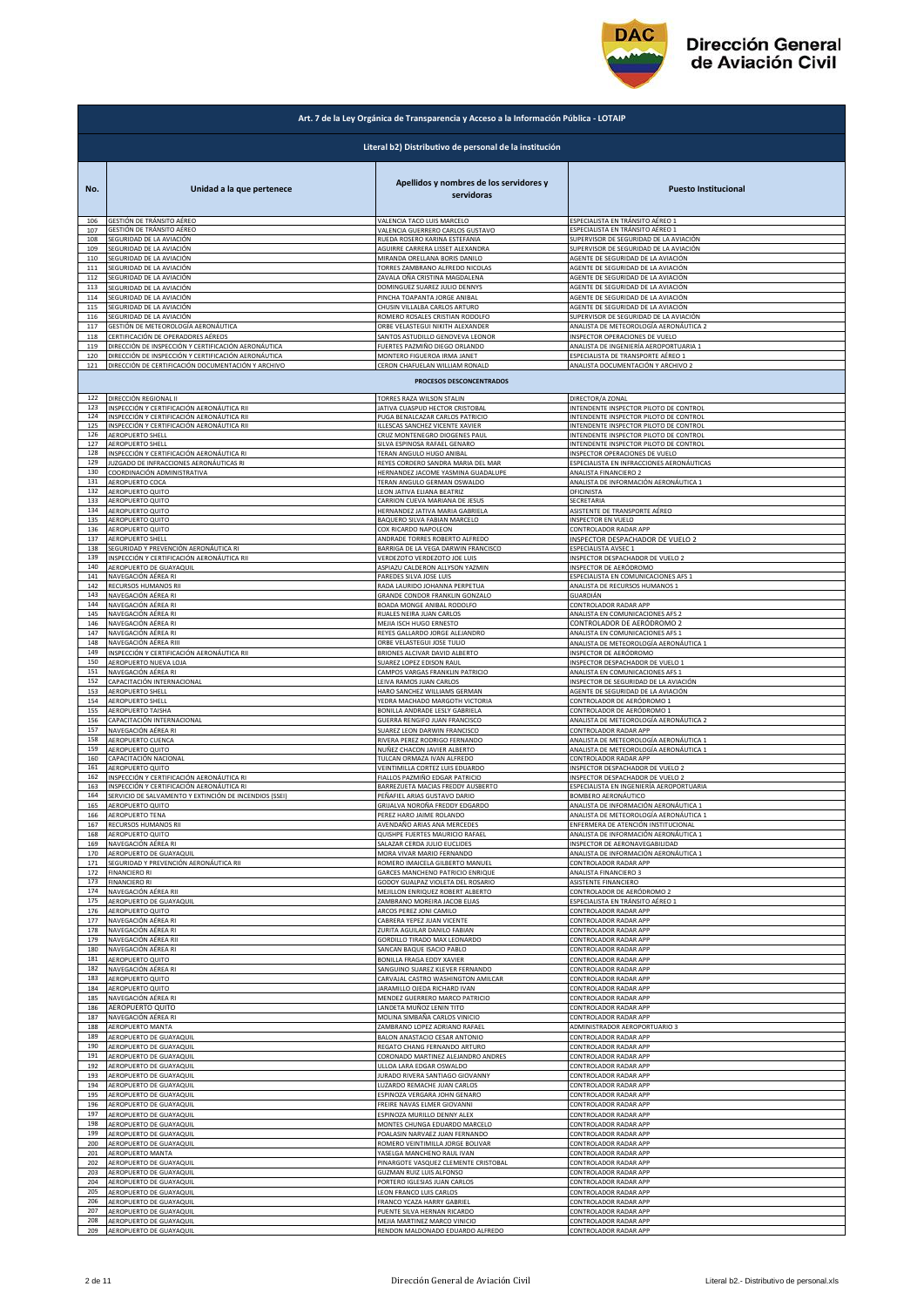

| Art. 7 de la Ley Orgánica de Transparencia y Acceso a la Información Pública - LOTAIP |                                                        |                                                                                             |                                                                   |  |
|---------------------------------------------------------------------------------------|--------------------------------------------------------|---------------------------------------------------------------------------------------------|-------------------------------------------------------------------|--|
|                                                                                       | Literal b2) Distributivo de personal de la institución |                                                                                             |                                                                   |  |
| No.                                                                                   | Unidad a la que pertenece                              | Apellidos y nombres de los servidores y<br>servidoras                                       | <b>Puesto Institucional</b>                                       |  |
| 106                                                                                   | GESTIÓN DE TRÁNSITO AÉREO                              | VALENCIA TACO LUIS MARCELO                                                                  | ESPECIALISTA EN TRÁNSITO AÉREO 1                                  |  |
| 107                                                                                   | GESTIÓN DE TRÁNSITO AÉREO                              | VALENCIA GUERRERO CARLOS GUSTAVO                                                            | ESPECIALISTA EN TRÁNSITO AÉREO 1                                  |  |
| 108                                                                                   | SEGURIDAD DE LA AVIACIÓN                               | RUEDA ROSERO KARINA ESTEFANIA                                                               | SUPERVISOR DE SEGURIDAD DE LA AVIACIÓN                            |  |
| 109                                                                                   | SEGURIDAD DE LA AVIACIÓN                               | AGUIRRE CARRERA LISSET ALEXANDRA                                                            | SUPERVISOR DE SEGURIDAD DE LA AVIACIÓN                            |  |
| 110                                                                                   | SEGURIDAD DE LA AVIACIÓN                               | MIRANDA ORELLANA BORIS DANILO                                                               | AGENTE DE SEGURIDAD DE LA AVIACIÓN                                |  |
| 111                                                                                   | SEGURIDAD DE LA AVIACIÓN                               | TORRES ZAMBRANO ALFREDO NICOLAS                                                             | AGENTE DE SEGURIDAD DE LA AVIACIÓN                                |  |
| 112                                                                                   | SEGURIDAD DE LA AVIACIÓN                               | ZAVALA OÑA CRISTINA MAGDALENA                                                               | AGENTE DE SEGURIDAD DE LA AVIACIÓN                                |  |
| 113                                                                                   | SEGURIDAD DE LA AVIACIÓN                               | DOMINGUEZ SUAREZ JULIO DENNYS                                                               | AGENTE DE SEGURIDAD DE LA AVIACIÓN                                |  |
| 114                                                                                   | SEGURIDAD DE LA AVIACIÓN                               | PINCHA TOAPANTA JORGE ANIBAL                                                                | AGENTE DE SEGURIDAD DE LA AVIACIÓN                                |  |
| 115                                                                                   | SEGURIDAD DE LA AVIACIÓN                               | CHUSIN VILLALBA CARLOS ARTURO                                                               | AGENTE DE SEGURIDAD DE LA AVIACIÓN                                |  |
| 116                                                                                   | SEGURIDAD DE LA AVIACIÓN                               | ROMERO ROSALES CRISTIAN RODOLFO                                                             | SUPERVISOR DE SEGURIDAD DE LA AVIACIÓN                            |  |
| 117                                                                                   | GESTIÓN DE METEOROLOGÍA AERONÁUTICA                    | ORBE VELASTEGUI NIKITH ALEXANDER                                                            | ANALISTA DE METEOROLOGÍA AERONÁUTICA 2                            |  |
| 118                                                                                   | CERTIFICACIÓN DE OPERADORES AÉREOS                     | SANTOS ASTUDILLO GENOVEVA LEONOR                                                            | INSPECTOR OPERACIONES DE VUELO                                    |  |
| 119                                                                                   | DIRECCIÓN DE INSPECCIÓN Y CERTIFICACIÓN AERONÁUTICA    | FUERTES PAZMIÑO DIEGO ORLANDO                                                               | ANALISTA DE INGENIERÍA AEROPORTUARIA 1                            |  |
| 120                                                                                   | DIRECCIÓN DE INSPECCIÓN Y CERTIFICACIÓN AERONÁUTICA    | MONTERO FIGUEROA IRMA JANET                                                                 | ESPECIALISTA DE TRANSPORTE AÉREO 1                                |  |
| 121                                                                                   | DIRECCIÓN DE CERTIFICACIÓN DOCUMENTACIÓN Y ARCHIVO     | CERON CHAFUELAN WILLIAM RONALD                                                              | ANALISTA DOCUMENTACIÓN Y ARCHIVO 2                                |  |
|                                                                                       |                                                        | PROCESOS DESCONCENTRADOS                                                                    |                                                                   |  |
| 122                                                                                   | DIRECCIÓN REGIONAL II                                  | TORRES RAZA WILSON STALIN                                                                   | DIRECTOR/A ZONAL                                                  |  |
| 123                                                                                   | INSPECCIÓN Y CERTIFICACIÓN AERONÁUTICA RII             | JATIVA CUASPUD HECTOR CRISTOBAL                                                             | INTENDENTE INSPECTOR PILOTO DE CONTROL                            |  |
| 124                                                                                   | INSPECCIÓN Y CERTIFICACIÓN AERONÁUTICA RII             | PUGA BENALCAZAR CARLOS PATRICIO                                                             | INTENDENTE INSPECTOR PILOTO DE CONTROL                            |  |
| 125                                                                                   | INSPECCIÓN Y CERTIFICACIÓN AERONÁUTICA RII             | ILLESCAS SANCHEZ VICENTE XAVIER                                                             | INTENDENTE INSPECTOR PILOTO DE CONTROL                            |  |
| 126                                                                                   | <b>AEROPUERTO SHELL</b>                                | CRUZ MONTENEGRO DIOGENES PAUL                                                               | INTENDENTE INSPECTOR PILOTO DE CONTROL                            |  |
| 127                                                                                   | AEROPUERTO SHELL                                       | SILVA ESPINOSA RAFAEL GENARO                                                                | INTENDENTE INSPECTOR PILOTO DE CONTROL                            |  |
| 128                                                                                   | INSPECCIÓN Y CERTIFICACIÓN AERONÁUTICA RI              | TERAN ANGULO HUGO ANIBAL                                                                    | INSPECTOR OPERACIONES DE VUELO                                    |  |
| 129                                                                                   | JUZGADO DE INFRACCIONES AERONÁUTICAS RI                | REYES CORDERO SANDRA MARIA DEL MAR                                                          | ESPECIALISTA EN INFRACCIONES AERONÁUTICAS                         |  |
| 130<br>131                                                                            | COORDINACIÓN ADMINISTRATIVA<br>AEROPUERTO COCA         | HERNANDEZ JACOME YASMINA GUADALUPE                                                          | ANALISTA FINANCIERO 2                                             |  |
| 132<br>133                                                                            | AEROPUERTO QUITO<br>AEROPUERTO QUITO                   | TERAN ANGULO GERMAN OSWALDO<br>LEON JATIVA ELIANA BEATRIZ<br>CARRION CUEVA MARIANA DE JESUS | ANALISTA DE INFORMACIÓN AERONÁUTICA 1<br>OFICINISTA<br>SECRETARIA |  |
| 134                                                                                   | AEROPUERTO QUITO                                       | HERNANDEZ JATIVA MARIA GABRIELA                                                             | ASISTENTE DE TRANSPORTE AÉREO                                     |  |
| 135                                                                                   | AEROPUERTO QUITO                                       | BAQUERO SILVA FABIAN MARCELO                                                                | INSPECTOR EN VUELO                                                |  |
| 136                                                                                   | AEROPUERTO QUITO                                       | COX RICARDO NAPOLEON                                                                        | CONTROLADOR RADAR APP                                             |  |
| 137                                                                                   | AEROPUERTO SHELL                                       | ANDRADE TORRES ROBERTO ALFREDO                                                              | INSPECTOR DESPACHADOR DE VUELO 2                                  |  |
| 138                                                                                   | SEGURIDAD Y PREVENCIÓN AERONÁUTICA RI                  | BARRIGA DE LA VEGA DARWIN FRANCISCO                                                         | ESPECIALISTA AVSEC 1                                              |  |
| 139                                                                                   | INSPECCIÓN Y CERTIFICACIÓN AERONÁUTICA RII             | VERDEZOTO VERDEZOTO JOE LUIS                                                                | INSPECTOR DESPACHADOR DE VUELO 2                                  |  |
| 140                                                                                   | AEROPUERTO DE GUAYAQUIL                                | ASPIAZU CALDERON ALLYSON YAZMIN                                                             | INSPECTOR DE AERÓDROMO                                            |  |
| 141                                                                                   | NAVEGACIÓN AÉREA RI                                    | PAREDES SILVA JOSE LUIS                                                                     | ESPECIALISTA EN COMUNICACIONES AFS 1                              |  |
| 142                                                                                   | RECURSOS HUMANOS RII                                   | RADA LAURIDO JOHANNA PERPETUA                                                               | ANALISTA DE RECURSOS HUMANOS 1                                    |  |
| 143                                                                                   | NAVEGACIÓN AÉREA RI                                    | GRANDE CONDOR FRANKLIN GONZALO                                                              | GUARDIÁN                                                          |  |
| 144                                                                                   | NAVEGACIÓN AÉREA RI                                    | BOADA MONGE ANIBAL RODOLFO                                                                  | CONTROLADOR RADAR APP                                             |  |
| 145                                                                                   | NAVEGACIÓN AÉREA RI                                    | RUALES NEIRA JUAN CARLOS                                                                    | ANALISTA EN COMUNICACIONES AFS 2                                  |  |
| 146                                                                                   | NAVEGACIÓN AÉREA RI                                    | MEJIA ISCH HUGO ERNESTO                                                                     | CONTROLADOR DE AERÓDROMO 2                                        |  |
| 147                                                                                   | NAVEGACIÓN AÉREA RI                                    | REYES GALLARDO JORGE ALEJANDRO                                                              | ANALISTA EN COMUNICACIONES AFS 1                                  |  |
| 148                                                                                   | NAVEGACIÓN AÉREA RIII                                  | ORBE VELASTEGUI JOSE TULIO                                                                  | ANALISTA DE METEOROLOGÍA AERONÁUTICA 1                            |  |
| 149                                                                                   | INSPECCIÓN Y CERTIFICACIÓN AERONÁUTICA RII             | BRIONES ALCIVAR DAVID ALBERTO                                                               | INSPECTOR DE AERÓDROMO                                            |  |
| 150                                                                                   | AEROPUERTO NUEVA LOJA                                  | SUAREZ LOPEZ EDISON RAUL                                                                    | INSPECTOR DESPACHADOR DE VUELO 1                                  |  |
| 151                                                                                   | NAVEGACIÓN AÉREA RI                                    | CAMPOS VARGAS FRANKLIN PATRICIO                                                             | ANALISTA EN COMUNICACIONES AFS 1                                  |  |
| 152                                                                                   | CAPACITACIÓN INTERNACIONAL                             | LEIVA RAMOS JUAN CARLOS                                                                     | INSPECTOR DE SEGURIDAD DE LA AVIACIÓN                             |  |
| 153                                                                                   | AEROPUERTO SHELL                                       | HARO SANCHEZ WILLIAMS GERMAN                                                                | AGENTE DE SEGURIDAD DE LA AVIACIÓN                                |  |
| 154                                                                                   | <b>AEROPUERTO SHELL</b>                                | YEDRA MACHADO MARGOTH VICTORIA                                                              | CONTROLADOR DE AERÓDROMO 1                                        |  |
| 155                                                                                   | AEROPUERTO TAISHA                                      | BONILLA ANDRADE LESLY GABRIELA                                                              | CONTROLADOR DE AERÓDROMO 1                                        |  |
| 156                                                                                   | CAPACITACIÓN INTERNACIONAL                             | GUERRA RENGIFO JUAN FRANCISCO                                                               | ANALISTA DE METEOROLOGÍA AERONÁUTICA 2                            |  |
| 157                                                                                   | NAVEGACIÓN AÉREA RI                                    | SUAREZ LEON DARWIN FRANCISCO                                                                | CONTROLADOR RADAR APP                                             |  |
| 158                                                                                   | AEROPUERTO CUENCA                                      | RIVERA PEREZ RODRIGO FERNANDO                                                               | ANALISTA DE METEOROLOGÍA AERONÁUTICA 1                            |  |
| 159                                                                                   | AEROPUERTO QUITO                                       | NUÑEZ CHACON JAVIER ALBERTO                                                                 | ANALISTA DE METEOROLOGÍA AERONÁUTICA 1                            |  |
| 160                                                                                   | CAPACITACIÓN NACIONAL                                  | TULCAN ORMAZA IVAN ALFREDO                                                                  | CONTROLADOR RADAR APP                                             |  |
| 161                                                                                   | AEROPUERTO QUITO                                       | VEINTIMILLA CORTEZ LUIS EDUARDO                                                             | INSPECTOR DESPACHADOR DE VUELO 2                                  |  |
| 162                                                                                   | INSPECCIÓN Y CERTIFICACIÓN AERONÁUTICA RI              | FIALLOS PAZMIÑO EDGAR PATRICIO                                                              | INSPECTOR DESPACHADOR DE VUELO 2                                  |  |
| 163                                                                                   | INSPECCIÓN Y CERTIFICACIÓN AERONÁUTICA RI              | BARREZUETA MACIAS FREDDY AUSBERTO                                                           | ESPECIALISTA EN INGENIERÍA AEROPORTUARIA                          |  |
| 164                                                                                   | SERVICIO DE SALVAMENTO Y EXTINCIÓN DE INCENDIOS (SSEI) | PEÑAFIEL ARIAS GUSTAVO DARIO                                                                | BOMBERO AERONÁUTICO                                               |  |
| 165                                                                                   | AEROPUERTO QUITO                                       | GRIJALVA NOROÑA FREDDY EDGARDO                                                              | ANALISTA DE INFORMACIÓN AERONÁUTICA 1                             |  |
| 166                                                                                   | <b>AEROPUERTO TENA</b>                                 | PEREZ HARO JAIME ROLANDO                                                                    | ANALISTA DE METEOROLOGÍA AERONÁUTICA 1                            |  |
| 167                                                                                   | RECURSOS HUMANOS RII                                   | AVENDAÑO ARIAS ANA MERCEDES                                                                 | ENFERMERA DE ATENCIÓN INSTITUCIONAL                               |  |
| 168                                                                                   | AEROPUERTO QUITO                                       | QUISHPE FUERTES MAURICIO RAFAEL                                                             | ANALISTA DE INFORMACIÓN AERONÁUTICA 1                             |  |
| 169                                                                                   | NAVEGACIÓN AÉREA RI                                    | SALAZAR CERDA JULIO EUCLIDES                                                                | INSPECTOR DE AERONAVEGABILIDAD                                    |  |
| 170                                                                                   | AEROPUERTO DE GUAYAQUIL                                | MORA VIVAR MARIO FERNANDO                                                                   | ANALISTA DE INFORMACIÓN AERONÁUTICA 1                             |  |
| 171                                                                                   | SEGURIDAD Y PREVENCIÓN AERONÁUTICA RII                 | ROMERO IMAICELA GILBERTO MANUEL                                                             | CONTROLADOR RADAR APP                                             |  |
| 172                                                                                   | <b>FINANCIERO RI</b>                                   | GARCES MANCHENO PATRICIO ENRIQUE                                                            | <b>ANALISTA FINANCIERO 3</b>                                      |  |
| 173                                                                                   | <b>FINANCIERO RI</b>                                   | GODOY GUALPAZ VIOLETA DEL ROSARIO                                                           | ASISTENTE FINANCIERO                                              |  |
| 174                                                                                   | NAVEGACIÓN AÉREA RII                                   | MEJILLON ENRIQUEZ ROBERT ALBERTO                                                            | CONTROLADOR DE AERÓDROMO 2                                        |  |
| 175                                                                                   | AEROPUERTO DE GUAYAQUIL                                | ZAMBRANO MOREIRA JACOB ELIAS                                                                | ESPECIALISTA EN TRÁNSITO AÉREO 1                                  |  |
| 176                                                                                   | AEROPUERTO QUITO                                       | ARCOS PEREZ JONI CAMILO                                                                     | CONTROLADOR RADAR APP                                             |  |
| 177                                                                                   | NAVEGACIÓN AÉREA RI                                    | CABRERA YEPEZ JUAN VICENTE                                                                  | CONTROLADOR RADAR APP                                             |  |
| 178                                                                                   | NAVEGACIÓN AÉREA RI                                    | ZURITA AGUILAR DANILO FABIAN                                                                | CONTROLADOR RADAR APP                                             |  |
| 179                                                                                   | NAVEGACIÓN AÉREA RII                                   | GORDILLO TIRADO MAX LEONARDO                                                                | CONTROLADOR RADAR APP                                             |  |
| 180                                                                                   | NAVEGACIÓN AÉREA RI                                    | SANCAN BAQUE ISACIO PABLO                                                                   | CONTROLADOR RADAR APP                                             |  |
| 181                                                                                   | AEROPUERTO QUITO                                       | BONILLA FRAGA EDDY XAVIER                                                                   | CONTROLADOR RADAR APP                                             |  |
| 182                                                                                   | NAVEGACIÓN AÉREA RI                                    | SANGUINO SUAREZ KLEVER FERNANDO                                                             | CONTROLADOR RADAR APP                                             |  |
| 183                                                                                   | AEROPUERTO QUITO                                       | CARVAJAL CASTRO WASHINGTON AMILCAR                                                          | CONTROLADOR RADAR APP                                             |  |
| 184                                                                                   | AEROPUERTO QUITO                                       | <b>JARAMILLO OJEDA RICHARD IVAN</b>                                                         | CONTROLADOR RADAR APP                                             |  |
| 185                                                                                   | NAVEGACIÓN AÉREA RI                                    | MENDEZ GUERRERO MARCO PATRICIO                                                              | CONTROLADOR RADAR APP                                             |  |
| 186                                                                                   | AEROPUERTO QUITO                                       | LANDETA MUÑOZ LENIN TITO                                                                    | CONTROLADOR RADAR APP                                             |  |
| 187<br>188                                                                            | NAVEGACIÓN AÉREA RI                                    | MOLINA SIMBAÑA CARLOS VINICIO                                                               | CONTROLADOR RADAR APP                                             |  |
| 189                                                                                   | AEROPUERTO MANTA                                       | ZAMBRANO LOPEZ ADRIANO RAFAEL                                                               | ADMINISTRADOR AEROPORTUARIO 3                                     |  |
|                                                                                       | AEROPUERTO DE GUAYAQUIL                                | BALON ANASTACIO CESAR ANTONIO                                                               | CONTROLADOR RADAR APP                                             |  |
| 190                                                                                   | AEROPUERTO DE GUAYAQUIL                                | REGATO CHANG FERNANDO ARTURO                                                                | CONTROLADOR RADAR APP                                             |  |
| 191                                                                                   | AEROPUERTO DE GUAYAQUIL                                | CORONADO MARTINEZ ALEJANDRO ANDRES                                                          | CONTROLADOR RADAR APP                                             |  |
| 192                                                                                   | AEROPUERTO DE GUAYAQUIL                                | ULLOA LARA EDGAR OSWALDO                                                                    | CONTROLADOR RADAR APP                                             |  |
| 193                                                                                   | AEROPUERTO DE GUAYAQUIL                                | JURADO RIVERA SANTIAGO GIOVANNY                                                             | CONTROLADOR RADAR APP                                             |  |
| 194                                                                                   | AEROPUERTO DE GUAYAQUIL                                | LUZARDO REMACHE JUAN CARLOS                                                                 | CONTROLADOR RADAR APP                                             |  |
| 195                                                                                   | AEROPUERTO DE GUAYAQUIL                                | ESPINOZA VERGARA JOHN GENARO                                                                | CONTROLADOR RADAR APP                                             |  |
| 196                                                                                   | AEROPUERTO DE GUAYAQUIL                                | FREIRE NAVAS ELMER GIOVANNI                                                                 | CONTROLADOR RADAR APP                                             |  |
| 197                                                                                   | AEROPUERTO DE GUAYAQUIL                                | ESPINOZA MURILLO DENNY ALEX                                                                 | CONTROLADOR RADAR APP                                             |  |
| 198                                                                                   | AEROPUERTO DE GUAYAQUIL                                | MONTES CHUNGA EDUARDO MARCELO                                                               | CONTROLADOR RADAR APP                                             |  |
| 199                                                                                   | AEROPUERTO DE GUAYAQUIL                                | POALASIN NARVAEZ JUAN FERNANDO                                                              | CONTROLADOR RADAR APP                                             |  |
| 200                                                                                   | AEROPUERTO DE GUAYAQUIL                                | ROMERO VEINTIMILLA JORGE BOLIVAR                                                            | CONTROLADOR RADAR APP                                             |  |
| 201                                                                                   | AEROPUERTO MANTA                                       | YASELGA MANCHENO RAUL IVAN                                                                  | CONTROLADOR RADAR APP                                             |  |
| 202                                                                                   | AEROPUERTO DE GUAYAQUIL                                | PINARGOTE VASQUEZ CLEMENTE CRISTOBAL                                                        | CONTROLADOR RADAR APP                                             |  |
| 203                                                                                   | AEROPUERTO DE GUAYAQUIL                                | <b>GUZMAN RUIZ LUIS ALFONSO</b>                                                             | CONTROLADOR RADAR APP                                             |  |
| 204                                                                                   | AEROPUERTO DE GUAYAQUIL                                | PORTERO IGLESIAS JUAN CARLOS                                                                | CONTROLADOR RADAR APP                                             |  |
| 205                                                                                   | AEROPUERTO DE GUAYAQUIL                                | LEON FRANCO LUIS CARLOS                                                                     | CONTROLADOR RADAR APP                                             |  |
| 206                                                                                   | AEROPUERTO DE GUAYAQUIL                                | FRANCO YCAZA HARRY GABRIEL                                                                  | <b>CONTROLADOR RADAR APP</b>                                      |  |
| 207                                                                                   | AEROPUERTO DE GUAYAQUIL                                | PUENTE SILVA HERNAN RICARDO                                                                 | CONTROLADOR RADAR APP                                             |  |
| 208                                                                                   | AEROPUERTO DE GUAYAQUIL                                | MEJIA MARTINEZ MARCO VINICIO                                                                | CONTROLADOR RADAR APP                                             |  |
| 209                                                                                   | AEROPUERTO DE GUAYAQUIL                                | RENDON MALDONADO EDUARDO ALFREDO                                                            | CONTROLADOR RADAR APP                                             |  |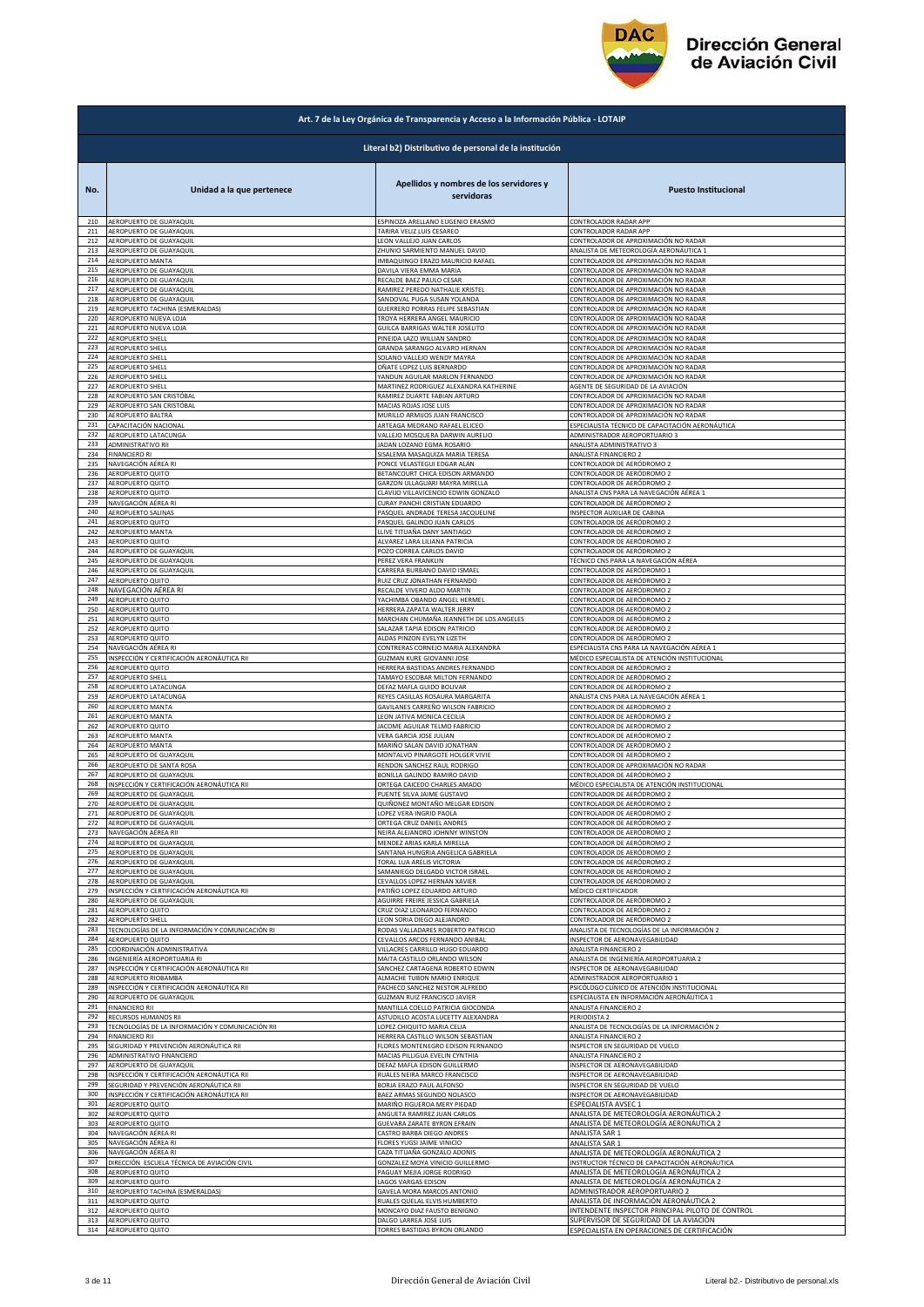

## **Dirección General** de Aviación Civil

|            | Art. 7 de la Ley Orgánica de Transparencia y Acceso a la Información Pública - LOTAIP |                                                                 |                                                                              |  |
|------------|---------------------------------------------------------------------------------------|-----------------------------------------------------------------|------------------------------------------------------------------------------|--|
|            |                                                                                       | Literal b2) Distributivo de personal de la institución          |                                                                              |  |
| No.        | Unidad a la que pertenece                                                             | Apellidos y nombres de los servidores y<br>servidoras           | <b>Puesto Institucional</b>                                                  |  |
| 210        | AEROPUERTO DE GUAYAQUIL                                                               | ESPINOZA ARELLANO EUGENIO ERASMO                                | CONTROLADOR RADAR APP                                                        |  |
| 211        | AEROPUERTO DE GUAYAQUIL                                                               | TARIRA VELIZ LUIS CESAREO                                       | CONTROLADOR RADAR APP                                                        |  |
| 212        | AEROPUERTO DE GUAYAQUIL                                                               | LEON VALLEJO JUAN CARLOS                                        | CONTROLADOR DE APROXIMACIÓN NO RADAR                                         |  |
| 213        | AEROPUERTO DE GUAYAQUIL                                                               | ZHUNIO SARMIENTO MANUEL DAVID                                   | ANALISTA DE METEOROLOGÍA AERONÁUTICA 1                                       |  |
| 214        | AEROPUERTO MANTA                                                                      | IMBAQUINGO ERAZO MAURICIO RAFAEL                                | CONTROLADOR DE APROXIMACIÓN NO RADAR                                         |  |
| 215        | AEROPUERTO DE GUAYAQUIL                                                               | DAVILA VIERA EMMA MARIA                                         | CONTROLADOR DE APROXIMACIÓN NO RADAR                                         |  |
| 216        | AEROPUERTO DE GUAYAQUIL                                                               | RECALDE BAEZ PAULO CESAR                                        | CONTROLADOR DE APROXIMACIÓN NO RADAR                                         |  |
| 217        | AEROPUERTO DE GUAYAQUIL                                                               | RAMIREZ PEREDO NATHALIE KRISTEL                                 | CONTROLADOR DE APROXIMACIÓN NO RADAR                                         |  |
| 218        | AEROPUERTO DE GUAYAQUIL                                                               | SANDOVAL PUGA SUSAN YOLANDA                                     | CONTROLADOR DE APROXIMACIÓN NO RADAR                                         |  |
| 219<br>220 | AEROPUERTO TACHINA (ESMERALDAS)<br>AEROPUERTO NUEVA LOJA                              | GUERRERO PORRAS FELIPE SEBASTIAN                                | CONTROLADOR DE APROXIMACIÓN NO RADAR                                         |  |
| 221        | AEROPUERTO NUEVA LOJA                                                                 | TROYA HERRERA ANGEL MAURICIO<br>GUILCA BARRIGAS WALTER JOSELITO | CONTROLADOR DE APROXIMACIÓN NO RADAR<br>CONTROLADOR DE APROXIMACIÓN NO RADAR |  |
| 222        | AEROPUERTO SHELL                                                                      | PINEIDA LAZO WILLIAN SANDRO                                     | CONTROLADOR DE APROXIMACIÓN NO RADAR                                         |  |
| 223        | <b>AEROPUERTO SHELL</b>                                                               | GRANDA SARANGO ALVARO HERNAN                                    | ONTROLADOR DE APROXIMACIÓN NO RADAR                                          |  |
| 224        | AEROPUERTO SHELL                                                                      | SOLANO VALLEJO WENDY MAYRA                                      | CONTROLADOR DE APROXIMACIÓN NO RADAR                                         |  |
| 225        | AEROPUERTO SHELL                                                                      | OÑATE LOPEZ LUIS BERNARDO                                       | CONTROLADOR DE APROXIMACIÓN NO RADAR                                         |  |
| 226        | AEROPUERTO SHELL                                                                      | YANDUN AGUILAR MARLON FERNANDO                                  | CONTROLADOR DE APROXIMACIÓN NO RADAR                                         |  |
| 227        | AEROPUERTO SHELL                                                                      | MARTINEZ RODRIGUEZ ALEXANDRA KATHERINE                          | AGENTE DE SEGURIDAD DE LA AVIACIÓN                                           |  |
| 228        | AEROPUERTO SAN CRISTÓBAL                                                              | RAMIREZ DUARTE FABIAN ARTURO                                    | CONTROLADOR DE APROXIMACIÓN NO RADAR                                         |  |
| 229        | AEROPUERTO SAN CRISTÓBAL                                                              | MACIAS ROJAS JOSE LUIS                                          | CONTROLADOR DE APROXIMACIÓN NO RADAR                                         |  |
| 230        | AEROPUERTO BALTRA                                                                     | MURILLO ARMIJOS JUAN FRANCISCO                                  | CONTROLADOR DE APROXIMACIÓN NO RADAR                                         |  |
| 231        | CAPACITACIÓN NACIONAL                                                                 | ARTEAGA MEDRANO RAFAEL ELICEO                                   | SPECIALISTA TÉCNICO DE CAPACITACIÓN AERONÁUTICA                              |  |
| 232        | AEROPUERTO LATACUNGA                                                                  | VALLEJO MOSQUERA DARWIN AURELIO                                 | ADMINISTRADOR AEROPORTUARIO 3                                                |  |
| 233        | ADMINISTRATIVO RII                                                                    | JADAN LOZANO EGMA ROSARIO                                       | ANALISTA ADMINISTRATIVO 3                                                    |  |
| 234        | <b>FINANCIERO RI</b>                                                                  | SISALEMA MASAQUIZA MARIA TERESA                                 | ANALISTA FINANCIERO 2                                                        |  |
| 235        | NAVEGACIÓN AÉREA RI                                                                   | PONCE VELASTEGUI EDGAR ALAN                                     | CONTROLADOR DE AERÓDROMO 2                                                   |  |
| 236        | AEROPUERTO QUITO                                                                      | BETANCOURT CHICA EDISON ARMANDO                                 | CONTROLADOR DE AERÓDROMO 2                                                   |  |
| 237        | AEROPUERTO QUITO                                                                      | GARZON ULLAGUARI MAYRA MIRELLA                                  | CONTROLADOR DE AERÓDROMO 2                                                   |  |
| 238        | AEROPUERTO QUITO                                                                      | CLAVIJO VILLAVICENCIO EDWIN GONZALO                             | ANALISTA CNS PARA LA NAVEGACIÓN AÉREA 1                                      |  |
| 239        | NAVEGACIÓN AÉREA RI                                                                   | CURAY PANCHI CRISTIAN EDUARDO                                   | CONTROLADOR DE AERÓDROMO 2                                                   |  |
| 240        | AEROPUERTO SALINAS                                                                    | PASQUEL ANDRADE TERESA JACQUELINE                               | INSPECTOR AUXILIAR DE CABINA                                                 |  |
| 241        | <b>AEROPUERTO QUITO</b>                                                               | PASQUEL GALINDO JUAN CARLOS                                     | CONTROLADOR DE AERÓDROMO 2                                                   |  |
| 242        | AEROPUERTO MANTA                                                                      | LLIVE TITUAÑA DANY SANTIAGO                                     | CONTROLADOR DE AERÓDROMO 2                                                   |  |
| 243<br>244 | AEROPUERTO QUITO                                                                      | ALVAREZ LARA LILIANA PATRICIA                                   | CONTROLADOR DE AERÓDROMO 2                                                   |  |
| 245        | AEROPUERTO DE GUAYAQUIL                                                               | POZO CORREA CARLOS DAVID                                        | CONTROLADOR DE AERÓDROMO 2                                                   |  |
|            | AEROPUERTO DE GUAYAQUIL                                                               | PEREZ VERA FRANKLIN                                             | TÉCNICO CNS PARA LA NAVEGACIÓN AÉREA                                         |  |
| 246        | AEROPUERTO DE GUAYAQUIL                                                               | CARRERA BURBANO DAVID ISMAEL                                    | CONTROLADOR DE AERÓDROMO 1                                                   |  |
| 247        | AEROPUERTO QUITO                                                                      | RUIZ CRUZ JONATHAN FERNANDO                                     | CONTROLADOR DE AERÓDROMO 2                                                   |  |
| 248        | NAVEGACIÓN AÉREA RI                                                                   | RECALDE VIVERO ALDO MARTIN                                      | CONTROLADOR DE AERÓDROMO 2                                                   |  |
| 249        | AEROPUERTO QUITO                                                                      | YACHIMBA OBANDO ANGEL HERMEL                                    | CONTROLADOR DE AERÓDROMO 2                                                   |  |
| 250        | AEROPUERTO QUITO                                                                      | HERRERA ZAPATA WALTER JERRY                                     | CONTROLADOR DE AERÓDROMO 2                                                   |  |
| 251        | AEROPUERTO QUITO                                                                      | MARCHAN CHUMAÑA JEANNETH DE LOS ANGELES                         | CONTROLADOR DE AERÓDROMO 2                                                   |  |
| 252        | AEROPUERTO QUITO                                                                      | SALAZAR TAPIA EDISON PATRICIO                                   | CONTROLADOR DE AERÓDROMO 2                                                   |  |
| 253        | AEROPUERTO QUITO                                                                      | ALDAS PINZON EVELYN LIZETH                                      | CONTROLADOR DE AERÓDROMO 2                                                   |  |
| 254        | NAVEGACIÓN AÉREA RI                                                                   | CONTRERAS CORNEJO MARIA ALEXANDRA                               | SPECIALISTA CNS PARA LA NAVEGACIÓN AÉREA 1                                   |  |
| 255<br>256 | INSPECCIÓN Y CERTIFICACIÓN AERONÁUTICA RII                                            | GUZMAN KURE GIOVANNI JOSE                                       | MÉDICO ESPECIALISTA DE ATENCIÓN INSTITUCIONAL                                |  |
| 257        | AEROPUERTO QUITO                                                                      | HERRERA BASTIDAS ANDRES FERNANDO                                | CONTROLADOR DE AERÓDROMO 2                                                   |  |
|            | <b>AEROPUERTO SHELL</b>                                                               | TAMAYO ESCOBAR MILTON FERNANDO                                  | CONTROLADOR DE AERÓDROMO 2                                                   |  |
| 258        | AEROPUERTO LATACUNGA                                                                  | DEFAZ MAFLA GUIDO BOLIVAR                                       | CONTROLADOR DE AERÓDROMO 2                                                   |  |
| 259        | AEROPUERTO LATACUNGA                                                                  | REYES CASILLAS ROSAURA MARGARITA                                | ANALISTA CNS PARA LA NAVEGACIÓN AÉREA 1                                      |  |
| 260        | AEROPUERTO MANTA                                                                      | GAVILANES CARREÑO WILSON FABRICIO                               | CONTROLADOR DE AERÓDROMO 2                                                   |  |
| 261        | AEROPUERTO MANTA                                                                      | LEON JATIVA MONICA CECILIA                                      | CONTROLADOR DE AERÓDROMO 2                                                   |  |
| 262        | AEROPUERTO QUITO                                                                      | JACOME AGUILAR TELMO FABRICIO                                   | CONTROLADOR DE AERÓDROMO 2                                                   |  |
| 263        | AEROPUERTO MANTA                                                                      | VERA GARCIA JOSE JULIAN                                         | CONTROLADOR DE AERÓDROMO 2                                                   |  |
| 264        | AEROPUERTO MANTA                                                                      | MARIÑO SALAN DAVID JONATHAN                                     | CONTROLADOR DE AERÓDROMO 2                                                   |  |
| 265        | AEROPUERTO DE GUAYAQUIL                                                               | MONTALVO PINARGOTE HOLGER VIVIE                                 | CONTROLADOR DE AERÓDROMO 2                                                   |  |
| 266        | AEROPUERTO DE SANTA ROSA                                                              | RENDON SANCHEZ RAUL RODRIGO                                     | CONTROLADOR DE APROXIMACIÓN NO RADAR                                         |  |
| 267        | AEROPUERTO DE GUAYAQUIL                                                               | BONILLA GALINDO RAMIRO DAVID                                    | CONTROLADOR DE AERÓDROMO 2                                                   |  |
| 268        | INSPECCIÓN Y CERTIFICACIÓN AERONÁUTICA RII                                            | ORTEGA CAICEDO CHARLES AMADO                                    | MÉDICO ESPECIALISTA DE ATENCIÓN INSTITUCIONAL                                |  |
| 269        | AEROPUERTO DE GUAYAQUIL                                                               | PUENTE SILVA JAIME GUSTAVO                                      | CONTROLADOR DE AERÓDROMO 2                                                   |  |
| 270        | AEKOPUEKTO DE GUAYAQUII                                                               | QUINONEZ MONTANO MELGAR EDISO                                   | ON I KOLADOK DE AEKODKOMO.                                                   |  |
| 271        | AEROPUERTO DE GUAYAQUIL                                                               | LOPEZ VERA INGRID PAOLA                                         | CONTROLADOR DE AERÓDROMO 2                                                   |  |
| 272        | AEROPUERTO DE GUAYAQUIL                                                               | ORTEGA CRUZ DANIEL ANDRES                                       | CONTROLADOR DE AERÓDROMO 2                                                   |  |
| 273        | NAVEGACIÓN AÉREA RII                                                                  | NEIRA ALEJANDRO JOHNNY WINSTON                                  | CONTROLADOR DE AERÓDROMO 2                                                   |  |
| 274        | AEROPUERTO DE GUAYAQUIL                                                               | MENDEZ ARIAS KARLA MIRELLA                                      | CONTROLADOR DE AERÓDROMO 2                                                   |  |
| 275        | AEROPUERTO DE GUAYAQUIL                                                               | SANTANA HUNGRIA ANGELICA GABRIELA                               | CONTROLADOR DE AERÓDROMO 2                                                   |  |
| 276        | AEROPUERTO DE GUAYAQUIL                                                               | TORAL LUA ARELIS VICTORIA                                       | CONTROLADOR DE AERÓDROMO 2                                                   |  |
| 277        | AEROPUERTO DE GUAYAQUIL                                                               | SAMANIEGO DELGADO VICTOR ISRAEL                                 | CONTROLADOR DE AERÓDROMO 2                                                   |  |
| 278        | AEROPUERTO DE GUAYAQUIL                                                               | CEVALLOS LOPEZ HERNAN XAVIER                                    | CONTROLADOR DE AERÓDROMO 2                                                   |  |
| 279        | INSPECCIÓN Y CERTIFICACIÓN AERONÁUTICA RII                                            | PATIÑO LOPEZ EDUARDO ARTURO                                     | MÉDICO CERTIFICADOR                                                          |  |
| 280        |                                                                                       | AGUIRRE FREIRE JESSICA GABRIELA                                 | CONTROLADOR DE AERÓDROMO 2                                                   |  |
| 281        | AEROPUERTO DE GUAYAQUIL<br>AEROPUERTO QUITO                                           | CRUZ DIAZ LEONARDO FERNANDO                                     | CONTROLADOR DE AERÓDROMO 2                                                   |  |
| 282        | AEROPUERTO SHELL                                                                      | LEON SORIA DIEGO ALEJANDRO                                      | CONTROLADOR DE AERÓDROMO 2                                                   |  |
| 283        | TECNOLOGÍAS DE LA INFORMACIÓN Y COMUNICACIÓN RI                                       | RODAS VALLADARES ROBERTO PATRICIO                               | ANALISTA DE TECNOLOGÍAS DE LA INFORMACIÓN 2                                  |  |
| 284        | AEROPUERTO QUITO                                                                      | CEVALLOS ARCOS FERNANDO ANIBAL                                  | <b>NSPECTOR DE AERONAVEGABILIDAD</b>                                         |  |
| 285        | COORDINACIÓN ADMINISTRATIVA                                                           | VILLACRES CARRILLO HUGO EDUARDO                                 | ANALISTA FINANCIERO 2                                                        |  |
| 286        | INGENIERÍA AEROPORTUARIA RI                                                           | MAITA CASTILLO ORLANDO WILSON                                   | ANALISTA DE INGENIERÍA AEROPORTUARIA 2                                       |  |
| 287        | INSPECCIÓN Y CERTIFICACIÓN AERONÁUTICA RII                                            | SANCHEZ CARTAGENA ROBERTO EDWIN                                 | INSPECTOR DE AERONAVEGABILIDAD                                               |  |
| 288        | AEROPUERTO RIOBAMBA                                                                   | ALMACHE TUBON MARIO ENRIQUE                                     | ADMINISTRADOR AEROPORTUARIO 1                                                |  |
| 289        | INSPECCIÓN Y CERTIFICACIÓN AERONÁUTICA RII                                            | PACHECO SANCHEZ NESTOR ALFREDO                                  | PSICÓLOGO CLÍNICO DE ATENCIÓN INSTITUCIONAL                                  |  |
| 290        | AEROPUERTO DE GUAYAQUIL                                                               | GUZMAN RUIZ FRANCISCO JAVIER                                    | ESPECIALISTA EN INFORMACIÓN AERONÁUTICA 1                                    |  |
| 291        | <b>FINANCIERO RII</b>                                                                 | MANTILLA COELLO PATRICIA GIOCONDA                               | ANALISTA FINANCIERO 2                                                        |  |
| 292        | RECURSOS HUMANOS RII                                                                  | ASTUDILLO ACOSTA LUCETTY ALEXANDRA                              | PERIODISTA 2                                                                 |  |
| 293        | TECNOLOGÍAS DE LA INFORMACIÓN Y COMUNICACIÓN RII                                      | LOPEZ CHIQUITO MARIA CELIA                                      | ANALISTA DE TECNOLOGÍAS DE LA INFORMACIÓN 2                                  |  |
| 294        | <b>FINANCIERO RII</b>                                                                 | HERRERA CASTILLO WILSON SEBASTIAN                               | ANALISTA FINANCIERO 2                                                        |  |
| 295        | SEGURIDAD Y PREVENCIÓN AERONÁUTICA RII                                                | FLORES MONTENEGRO EDISON FERNANDO                               | INSPECTOR EN SEGURIDAD DE VUELO                                              |  |
| 296<br>297 | ADMINISTRATIVO FINANCIERO                                                             | MACIAS PILLIGUA EVELIN CYNTHIA                                  | <b>NALISTA FINANCIERO 2</b>                                                  |  |
| 298        | AEROPUERTO DE GUAYAQUIL                                                               | DEFAZ MAFLA EDISON GUILLERMO                                    | <b>NSPECTOR DE AERONAVEGABILIDAD</b>                                         |  |
|            | INSPECCIÓN Y CERTIFICACIÓN AERONÁUTICA RII                                            | RUALES NEIRA MARCO FRANCISCO                                    | <b>NSPECTOR DE AERONAVEGABILIDAD</b>                                         |  |
| 299        | SEGURIDAD Y PREVENCIÓN AERONÁUTICA RII                                                | BORJA ERAZO PAUL ALFONSO                                        | INSPECTOR EN SEGURIDAD DE VUELO                                              |  |
| 300        | INSPECCIÓN Y CERTIFICACIÓN AERONÁUTICA RII                                            | BAEZ ARMAS SEGUNDO NOLASCO                                      | INSPECTOR DE AERONAVEGABILIDAD                                               |  |
| 301        | AEROPUERTO QUITO                                                                      | MARIÑO FIGUEROA MERY PIEDAD                                     | ESPECIALISTA AVSEC 1                                                         |  |
| 302        | AEROPUERTO QUITO                                                                      | ANGUETA RAMIREZ JUAN CARLOS                                     | ANALISTA DE METEOROLOGÍA AERONÁUTICA 2                                       |  |
| 303        | AEROPUERTO QUITO                                                                      | GUEVARA ZARATE BYRON EFRAIN                                     | ANALISTA DE METEOROLOGÍA AERONÁUTICA 2                                       |  |
| 304        | NAVEGACIÓN AÉREA RI                                                                   | CASTRO BARBA DIEGO ANDRES                                       | ANALISTA SAR 1                                                               |  |
| 305        | NAVEGACIÓN AÉREA RI                                                                   | FLORES YUGSI JAIME VINICIO                                      | ANALISTA SAR 1                                                               |  |
| 306        | NAVEGACIÓN AÉREA RI                                                                   | CAZA TITUAÑA GONZALO ADONIS                                     | ANALISTA DE METEOROLOGÍA AERONÁUTICA 2                                       |  |
| 307        | DIRECCIÓN ESCUELA TÉCNICA DE AVIACIÓN CIVIL                                           | GONZALEZ MOYA VINICIO GUILLERMO                                 | INSTRUCTOR TÉCNICO DE CAPACITACIÓN AERONÁUTICA                               |  |
| 308        | AEROPUERTO QUITO                                                                      | PAGUAY MEJIA JORGE RODRIGO                                      | ANALISTA DE METEOROLOGÍA AERONÁUTICA 2                                       |  |
| 309        | AEROPUERTO QUITO                                                                      | LAGOS VARGAS EDISON                                             |                                                                              |  |
| 310        | AEROPUERTO TACHINA (ESMERALDAS)                                                       | GAVELA MORA MARCOS ANTONIO                                      | ANALISTA DE METEOROLOGÍA AERONÁUTICA 2<br>ADMINISTRADOR AEROPORTUARIO 2      |  |
| 311        | AEROPUERTO QUITO                                                                      | RUALES QUELAL ELVIS HUMBERTO                                    | ANALISTA DE INFORMACIÓN AERONÁUTICA 2                                        |  |
| 312        | AEROPUERTO QUITO                                                                      | MONCAYO DIAZ FAUSTO BENIGNO                                     | INTENDENTE INSPECTOR PRINCIPAL PILOTO DE CONTROL                             |  |
| 313        | AEROPUERTO QUITO                                                                      | DALGO LARREA JOSE LUIS                                          | SUPERVISOR DE SEGURIDAD DE LA AVIACIÓN                                       |  |
| 314        | AEROPUERTO QUITO                                                                      | TORRES BASTIDAS BYRON ORLANDO                                   | ESPECIALISTA EN OPERACIONES DE CERTIFICACIÓN                                 |  |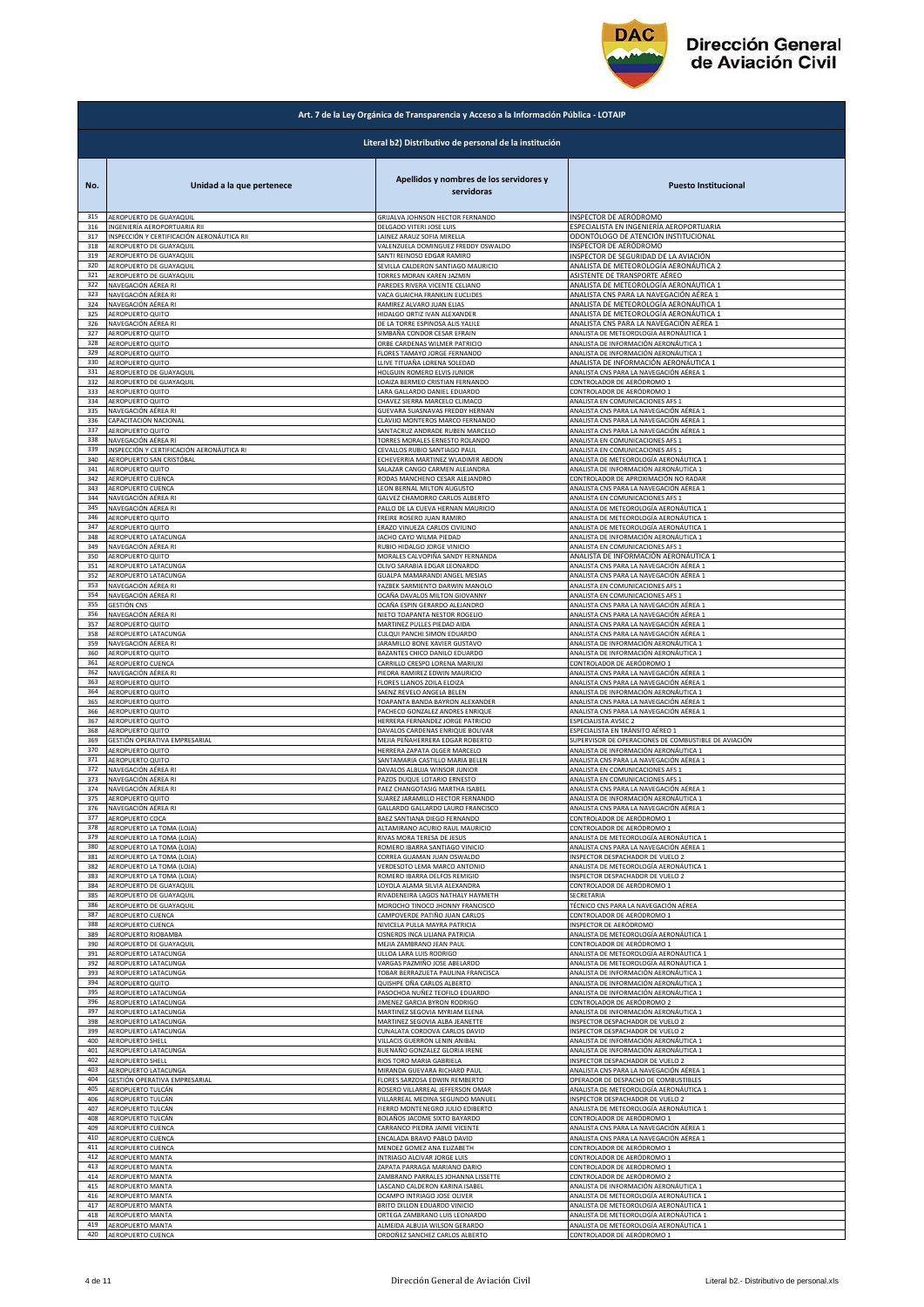

|            | Art. 7 de la Ley Orgánica de Transparencia y Acceso a la Información Pública - LOTAIP |                                                        |                                                      |  |
|------------|---------------------------------------------------------------------------------------|--------------------------------------------------------|------------------------------------------------------|--|
|            |                                                                                       | Literal b2) Distributivo de personal de la institución |                                                      |  |
| No.        | Unidad a la que pertenece                                                             | Apellidos y nombres de los servidores y<br>servidoras  | <b>Puesto Institucional</b>                          |  |
| 315        | AEROPUERTO DE GUAYAQUII                                                               | GRIJALVA JOHNSON HECTOR FERNANDO                       | INSPECTOR DE AERÓDROMO                               |  |
| 316        | INGENIERÍA AEROPORTUARIA RII                                                          | DELGADO VITERI JOSE LUIS                               | ESPECIALISTA EN INGENIERÍA AEROPORTUARIA             |  |
| 317<br>318 | INSPECCIÓN Y CERTIFICACIÓN AERONÁUTICA RII                                            | LAINEZ ARAUZ SOFIA MIRELLA                             | ODONTÓLOGO DE ATENCIÓN INSTITUCIONAL                 |  |
| 319        | AEROPUERTO DE GUAYAQUII                                                               | VALENZUELA DOMINGUEZ FREDDY OSWALDO                    | INSPECTOR DE AERÓDROMO                               |  |
|            | AEROPUERTO DE GUAYAQUIL                                                               | SANTI REINOSO EDGAR RAMIRO                             | INSPECTOR DE SEGURIDAD DE LA AVIACIÓN                |  |
| 320        | AEROPUERTO DE GUAYAQUIL                                                               | SEVILLA CALDERON SANTIAGO MAURICIO                     | ANALISTA DE METEOROLOGÍA AERONÁUTICA 2               |  |
| 321        | AEROPUERTO DE GUAYAQUIL                                                               | TORRES MORAN KAREN JAZMIN                              | ASISTENTE DE TRANSPORTE AÉREO                        |  |
| 322        | NAVEGACIÓN AÉREA RI                                                                   | PAREDES RIVERA VICENTE CELIANO                         | ANALISTA DE METEOROLOGÍA AERONÁUTICA 1               |  |
| 323        | NAVEGACIÓN AÉREA RI                                                                   | VACA GUAICHA FRANKLIN EUCLIDES                         | ANALISTA CNS PARA LA NAVEGACIÓN AÉREA 1              |  |
| 324        | NAVEGACIÓN AÉREA RI                                                                   | RAMIREZ ALVARO JUAN ELIAS                              | ANALISTA DE METEOROLOGÍA AERONÁUTICA 1               |  |
| 325        | AEROPUERTO QUITO                                                                      | HIDALGO ORTIZ IVAN ALEXANDER                           | ANALISTA DE METEOROLOGÍA AERONÁUTICA 1               |  |
| 326        | NAVEGACIÓN AÉREA RI                                                                   | DE LA TORRE ESPINOSA ALIS YALILE                       | ANALISTA CNS PARA LA NAVEGACIÓN AÉREA 1              |  |
| 327        | AEROPUERTO QUITO                                                                      | SIMBAÑA CONDOR CESAR EFRAIN                            | ANALISTA DE METEOROLOGÍA AERONÁUTICA 1               |  |
| 328        | AEROPUERTO QUITO                                                                      | ORBE CARDENAS WILMER PATRICIO                          | ANALISTA DE INFORMACIÓN AERONÁUTICA 1                |  |
| 329        | AEROPUERTO QUITO                                                                      | FLORES TAMAYO JORGE FERNANDO                           | ANALISTA DE INFORMACIÓN AERONÁUTICA 1                |  |
| 330        | AEROPUERTO QUITO                                                                      | LLIVE TITUAÑA LORENA SOLEDAD                           | ANALISTA DE INFORMACIÓN AERONÁUTICA 1                |  |
| 331        | AEROPUERTO DE GUAYAQUIL                                                               | HOLGUIN ROMERO ELVIS JUNIOR                            | ANALISTA CNS PARA LA NAVEGACIÓN AÉREA 1              |  |
| 332        | AEROPUERTO DE GUAYAQUIL                                                               | LOAIZA BERMEO CRISTIAN FERNANDO                        | CONTROLADOR DE AERÓDROMO 1                           |  |
| 333        | AEROPUERTO QUITO                                                                      | LARA GALLARDO DANIEL EDUARDO                           | CONTROLADOR DE AERÓDROMO 1                           |  |
| 334        | AEROPUERTO QUITO                                                                      | CHAVEZ SIERRA MARCELO CLIMACO                          | ANALISTA EN COMUNICACIONES AFS :                     |  |
| 335        | NAVEGACIÓN AÉREA RI                                                                   | GUEVARA SUASNAVAS FREDDY HERNAN                        | ANALISTA CNS PARA LA NAVEGACIÓN AÉREA 1              |  |
| 336        | CAPACITACIÓN NACIONAL                                                                 | CLAVIJO MONTEROS MARCO FERNANDO                        | ANALISTA CNS PARA LA NAVEGACIÓN AÉREA 1              |  |
| 337        | AEROPUERTO QUITO                                                                      | SANTACRUZ ANDRADE RUBEN MARCELO                        | ANALISTA CNS PARA LA NAVEGACIÓN AÉREA 1              |  |
| 338        | NAVEGACIÓN AÉREA RI                                                                   | TORRES MORALES ERNESTO ROLANDO                         | ANALISTA EN COMUNICACIONES AFS 1                     |  |
| 339        | INSPECCIÓN Y CERTIFICACIÓN AERONÁUTICA RI                                             | CEVALLOS RUBIO SANTIAGO PAUL                           | ANALISTA EN COMUNICACIONES AFS 1                     |  |
| 340        | AEROPUERTO SAN CRISTÓBAL                                                              | ECHEVERRIA MARTINEZ WLADIMIR ABDON                     | ANALISTA DE METEOROLOGÍA AERONÁUTICA 1               |  |
| 341        | AEROPUERTO QUITO                                                                      | SALAZAR CANGO CARMEN ALEJANDRA                         | ANALISTA DE INFORMACIÓN AERONÁUTICA 1                |  |
| 342        | AEROPUERTO CUENCA                                                                     | RODAS MANCHENO CESAR ALEJANDRO                         | CONTROLADOR DE APROXIMACIÓN NO RADAR                 |  |
| 343        | AEROPUERTO CUENCA                                                                     | LEON BERNAL MILTON AUGUSTO                             | ANALISTA CNS PARA LA NAVEGACIÓN AÉREA 1              |  |
| 344        | NAVEGACIÓN AÉREA RI                                                                   | GALVEZ CHAMORRO CARLOS ALBERTO                         | ANALISTA EN COMUNICACIONES AFS 1                     |  |
| 345        | NAVEGACIÓN AÉREA RI                                                                   | PALLO DE LA CUEVA HERNAN MAURICIO                      | ANALISTA DE METEOROLOGÍA AERONÁUTICA 1               |  |
| 346        | AEROPUERTO QUITO                                                                      | FREIRE ROSERO JUAN RAMIRO                              | ANALISTA DE METEOROLOGÍA AERONÁUTICA 1               |  |
| 347        | AEROPUERTO QUITO                                                                      | ERAZO VINUEZA CARLOS CIVILINO                          | ANALISTA DE METEOROLOGÍA AERONÁUTICA 1               |  |
| 348        | AEROPUERTO LATACUNGA                                                                  | JACHO CAYO WILMA PIEDAD                                | ANALISTA DE INFORMACIÓN AERONÁUTICA 1                |  |
| 349        | NAVEGACIÓN AÉREA RI                                                                   | RUBIO HIDALGO JORGE VINICIO                            | ANALISTA EN COMUNICACIONES AFS 1                     |  |
| 350        | AEROPUERTO QUITO                                                                      | MORALES CALVOPIÑA SANDY FERNANDA                       | ANALISTA DE INFORMACIÓN AERONÁUTICA 1                |  |
| 351        | AEROPUERTO LATACUNGA                                                                  | OLIVO SARABIA EDGAR LEONARDO                           | ANALISTA CNS PARA LA NAVEGACIÓN AÉREA 1              |  |
| 352        | AEROPUERTO LATACUNGA                                                                  | GUALPA MAMARANDI ANGEL MESIAS                          | ANALISTA CNS PARA LA NAVEGACIÓN AÉREA 1              |  |
| 353        | NAVEGACIÓN AÉREA RI                                                                   | YAZBEK SARMIENTO DARWIN MANOLO                         | ANALISTA EN COMUNICACIONES AFS 1                     |  |
| 354        | NAVEGACIÓN AÉREA RI                                                                   | OCAÑA DAVALOS MILTON GIOVANNY                          | ANALISTA EN COMUNICACIONES AFS 1                     |  |
| 355        | <b>GESTIÓN CNS</b>                                                                    | OCAÑA ESPIN GERARDO ALEJANDRO                          | ANALISTA CNS PARA LA NAVEGACIÓN AÉREA 1              |  |
| 356        | NAVEGACIÓN AÉREA RI                                                                   | NIETO TOAPANTA NESTOR ROGELIO                          | ANALISTA CNS PARA LA NAVEGACIÓN AÉREA 1              |  |
| 357        | AEROPUERTO QUITO                                                                      | MARTINEZ PULLES PIEDAD AIDA                            | ANALISTA CNS PARA LA NAVEGACIÓN AÉREA 1              |  |
| 358        | AEROPUERTO LATACUNGA                                                                  | CULQUI PANCHI SIMON EDUARDO                            | ANALISTA CNS PARA LA NAVEGACIÓN AÉREA 1              |  |
| 359        | NAVEGACIÓN AÉREA RI                                                                   | JARAMILLO BONE XAVIER GUSTAVO                          | ANALISTA DE INFORMACIÓN AERONÁUTICA 1                |  |
| 360        | AEROPUERTO QUITO                                                                      | BAZANTES CHICO DANILO EDUARDO                          | ANALISTA DE INFORMACIÓN AERONÁUTICA 1                |  |
| 361        | AEROPUERTO CUENCA                                                                     | CARRILLO CRESPO LORENA MARIUXI                         | CONTROLADOR DE AERÓDROMO 1                           |  |
| 362        | NAVEGACIÓN AÉREA RI                                                                   | PIEDRA RAMIREZ EDWIN MAURICIO                          | ANALISTA CNS PARA LA NAVEGACIÓN AÉREA 1              |  |
| 363        | AEROPUERTO QUITO                                                                      | FLORES LLANOS ZOILA ELOIZA                             | ANALISTA CNS PARA LA NAVEGACIÓN AÉREA 1              |  |
| 364        | AEROPUERTO QUITO                                                                      | SAENZ REVELO ANGELA BELEN                              | ANALISTA DE INFORMACIÓN AERONÁUTICA 1                |  |
| 365        | AEROPUERTO QUITO                                                                      | TOAPANTA BANDA BAYRON ALEXANDER                        | ANALISTA CNS PARA LA NAVEGACIÓN AÉREA 1              |  |
| 366        | AEROPUERTO QUITO                                                                      | PACHECO GONZALEZ ANDRES ENRIQUE                        | ANALISTA CNS PARA LA NAVEGACIÓN AÉREA 1              |  |
| 367        | AEROPUERTO QUITO                                                                      | HERRERA FERNANDEZ JORGE PATRICIO                       | ESPECIALISTA AVSEC 2                                 |  |
| 368        | AEROPUERTO QUITO                                                                      | DAVALOS CARDENAS ENRIQUE BOLIVAR                       | ESPECIALISTA EN TRÁNSITO AÉREO 1                     |  |
| 369        | GESTIÓN OPERATIVA EMPRESARIAL                                                         | MEJIA PEÑAHERRERA EDGAR ROBERTO                        | SUPERVISOR DE OPERACIONES DE COMBUSTIBLE DE AVIACIÓN |  |
| 370        | AEROPUERTO QUITO                                                                      | HERRERA ZAPATA OLGER MARCELO                           | ANALISTA DE INFORMACIÓN AERONÁUTICA 1                |  |
| 371        | AEROPUERTO QUITO                                                                      | SANTAMARIA CASTILLO MARIA BELEN                        | ANALISTA CNS PARA LA NAVEGACIÓN AÉREA 1              |  |
| 372        | NAVEGACIÓN AÉREA RI                                                                   | DAVALOS ALBUJA WINSOR JUNIOR                           | ANALISTA EN COMUNICACIONES AFS 1                     |  |
| 373        | NAVEGACIÓN AÉREA RI                                                                   | PAZOS DUQUE LOTARIO ERNESTO                            | ANALISTA EN COMUNICACIONES AFS 1                     |  |
| 374        | NAVEGACIÓN AÉREA RI                                                                   | PAEZ CHANGOTASIG MARTHA ISABEL                         | ANALISTA CNS PARA LA NAVEGACIÓN AÉREA 1              |  |
| 375        | AEROPUERTO QUITO                                                                      | SUAREZ JARAMILLO HECTOR FERNANDO                       | ANALISTA DE INFORMACIÓN AERONÁUTICA 1                |  |
| 376        | NAVEGACIÓN AÉREA RI                                                                   | GALLARDO GALLARDO LAURO FRANCISCO                      | ANALISTA CNS PARA LA NAVEGACIÓN AÉREA 1              |  |
| 377        | AEROPUERTO COCA                                                                       | BAEZ SANTIANA DIEGO FERNANDO                           | CONTROLADOR DE AERÓDROMO 1                           |  |
| 378        | AEROPUERTO LA TOMA (LOJA)                                                             | ALTAMIRANO ACURIO RAUL MAURICIO                        | CONTROLADOR DE AERÓDROMO 1                           |  |
| 379        | AEROPUERTO LA TOMA (LOJA)                                                             | RIVAS MORA TERESA DE JESUS                             | ANALISTA DE METEOROLOGÍA AERONÁUTICA 1               |  |
| 380        | AEROPUERTO LA TOMA (LOJA)                                                             | ROMERO IBARRA SANTIAGO VINICIO                         | ANALISTA CNS PARA LA NAVEGACIÓN AÉREA 1              |  |
| 381        | AEROPUERTO LA TOMA (LOJA)                                                             | CORREA GUAMAN JUAN OSWALDO                             | NSPECTOR DESPACHADOR DE VUELO 2                      |  |
| 382        | AEROPUERTO LA TOMA (LOJA)                                                             | VERDESOTO LEMA MARCO ANTONIO                           | ANALISTA DE METEOROLOGÍA AERONÁUTICA 1               |  |
| 383        | AEROPUERTO LA TOMA (LOJA)                                                             | ROMERO IBARRA DELFOS REMIGIO                           | INSPECTOR DESPACHADOR DE VUELO 2                     |  |
| 384        | AEROPUERTO DE GUAYAQUIL                                                               | LOYOLA ALAMA SILVIA ALEXANDRA                          | CONTROLADOR DE AERÓDROMO 1                           |  |
| 385        | AEROPUERTO DE GUAYAQUIL                                                               | RIVADENEIRA LAGOS NATHALY HAYMETH                      | ECRETARIA                                            |  |
| 386        | AEROPUERTO DE GUAYAQUIL                                                               | MOROCHO TINOCO JHONNY FRANCISCO                        | TÉCNICO CNS PARA LA NAVEGACIÓN AÉREA                 |  |
| 387        | AEROPUERTO CUENCA                                                                     | CAMPOVERDE PATIÑO JUAN CARLOS                          | CONTROLADOR DE AERÓDROMO 1                           |  |
| 388        | AEROPUERTO CUENCA                                                                     | NIVICELA PULLA MAYRA PATRICIA                          | INSPECTOR DE AERÓDROMO                               |  |
| 389        | AEROPUERTO RIOBAMBA                                                                   | CISNEROS INCA LILIANA PATRICIA                         | ANALISTA DE METEOROLOGÍA AERONÁUTICA 1               |  |
| 390        | AEROPUERTO DE GUAYAQUIL                                                               | MEJIA ZAMBRANO JEAN PAUL                               | CONTROLADOR DE AERÓDROMO 1                           |  |
| 391        | AEROPUERTO LATACUNGA                                                                  | ULLOA LARA LUIS RODRIGO                                | ANALISTA DE METEOROLOGÍA AERONÁUTICA 1               |  |
| 392        | AEROPUERTO LATACUNGA                                                                  | VARGAS PAZMIÑO JOSE ABELARDO                           | ANALISTA DE METEOROLOGÍA AERONÁUTICA 1               |  |
| 393        | AEROPUERTO LATACUNGA                                                                  | TOBAR BERRAZUETA PAULINA FRANCISCA                     | ANALISTA DE INFORMACIÓN AERONÁUTICA 1                |  |
| 394        | AEROPUERTO QUITO                                                                      | QUISHPE OÑA CARLOS ALBERTO                             | ANALISTA DE INFORMACIÓN AERONÁUTICA 1                |  |
| 395        | AEROPUERTO LATACUNGA                                                                  | PASOCHOA NUÑEZ TEOFILO EDUARDO                         | ANALISTA DE INFORMACIÓN AERONÁUTICA 1                |  |
| 396        | AEROPUERTO LATACUNGA                                                                  | JIMENEZ GARCIA BYRON RODRIGO                           | CONTROLADOR DE AERÓDROMO 2                           |  |
| 397        | AEROPUERTO LATACUNGA                                                                  | MARTINEZ SEGOVIA MYRIAM ELENA                          | ANALISTA DE INFORMACIÓN AERONÁUTICA 1                |  |
| 398        | AEROPUERTO LATACUNGA                                                                  | MARTINEZ SEGOVIA ALBA JEANETTE                         | <b>NSPECTOR DESPACHADOR DE VUELO 2</b>               |  |
| 399        | AEROPUERTO LATACUNGA                                                                  | CUNALATA CORDOVA CARLOS DAVID                          | NSPECTOR DESPACHADOR DE VUELO 2                      |  |
| 400        | AEROPUERTO SHELL                                                                      | VILLACIS GUERRON LENIN ANIBAL                          | ANALISTA DE INFORMACIÓN AERONÁUTICA 1                |  |
| 401        | AEROPUERTO LATACUNGA                                                                  | BUENAÑO GONZALEZ GLORIA IRENE                          | ANALISTA DE INFORMACIÓN AERONÁUTICA 1                |  |
| 402        | AEROPUERTO SHELL                                                                      | RIOS TORO MARIA GABRIELA                               | INSPECTOR DESPACHADOR DE VUELO 2                     |  |
| 403        | AEROPUERTO LATACUNGA                                                                  | MIRANDA GUEVARA RICHARD PAUL                           | ANALISTA CNS PARA LA NAVEGACIÓN AÉREA 1              |  |
| 404        | GESTIÓN OPERATIVA EMPRESARIAL                                                         | FLORES SARZOSA EDWIN REMBERTO                          | OPERADOR DE DESPACHO DE COMBUSTIBLES                 |  |
| 405        | AEROPUERTO TULCÁN                                                                     | ROSERO VILLARREAL JEFFERSON OMAR                       | ANALISTA DE METEOROLOGÍA AERONÁUTICA 1               |  |
| 406        | AEROPUERTO TULCÁN                                                                     | VILLARREAL MEDINA SEGUNDO MANUEL                       | NSPECTOR DESPACHADOR DE VUELO 2                      |  |
| 407        | AEROPUERTO TULCÁN                                                                     | FIERRO MONTENEGRO JULIO EDIBERTO                       | ANALISTA DE METEOROLOGÍA AERONÁUTICA 1               |  |
| 408<br>409 | AEROPUERTO TULCÁN                                                                     | BOLAÑOS JACOME SIXTO BAYARDO                           | CONTROLADOR DE AERÓDROMO 1                           |  |
| 410        | AEROPUERTO CUENCA                                                                     | CARRANCO PIEDRA JAIME VICENTE                          | ANALISTA CNS PARA LA NAVEGACIÓN AÉREA 1              |  |
|            | AEROPUERTO CUENCA                                                                     | ENCALADA BRAVO PABLO DAVID                             | ANALISTA CNS PARA LA NAVEGACIÓN AÉREA 1              |  |
| 411        | AEROPUERTO CUENCA                                                                     | MENDEZ GOMEZ ANA ELIZABETH                             | CONTROLADOR DE AERÓDROMO 1                           |  |
| 412        | AEROPUERTO MANTA                                                                      | INTRIAGO ALCIVAR JORGE LUIS                            | CONTROLADOR DE AERÓDROMO 1                           |  |
| 413        | AEROPUERTO MANTA                                                                      | ZAPATA PARRAGA MARIANO DARIO                           | CONTROLADOR DE AERÓDROMO 1                           |  |
| 414        | AEROPUERTO MANTA                                                                      | ZAMBRANO PARRALES JOHANNA LISSETTE                     | CONTROLADOR DE AERÓDROMO 2                           |  |
| 415        | AEROPUERTO MANTA                                                                      | LASCANO CALDERON KARINA ISABEL                         | ANALISTA DE INFORMACIÓN AERONÁUTICA 1                |  |
| 416        | AEROPUERTO MANTA                                                                      | OCAMPO INTRIAGO JOSE OLIVER                            | ANALISTA DE METEOROLOGÍA AERONÁUTICA 1               |  |
| 417        | AEROPUERTO MANTA                                                                      | BRITO DILLON EDUARDO VINICIO                           | ANALISTA DE METEOROLOGÍA AERONÁUTICA 1               |  |
| 418        | AEROPUERTO MANTA                                                                      | ORTEGA ZAMBRANO LUIS LEONARDO                          | ANALISTA DE METEOROLOGÍA AERONÁUTICA 1               |  |
| 419<br>420 | AEROPUERTO MANTA                                                                      | ALMEIDA ALBUJA WILSON GERARDO                          | ANALISTA DE METEOROLOGÍA AERONÁUTICA 1               |  |
|            | AEROPUERTO CUENCA                                                                     | ORDOÑEZ SANCHEZ CARLOS ALBERTO                         | CONTROLADOR DE AERÓDROMO 1                           |  |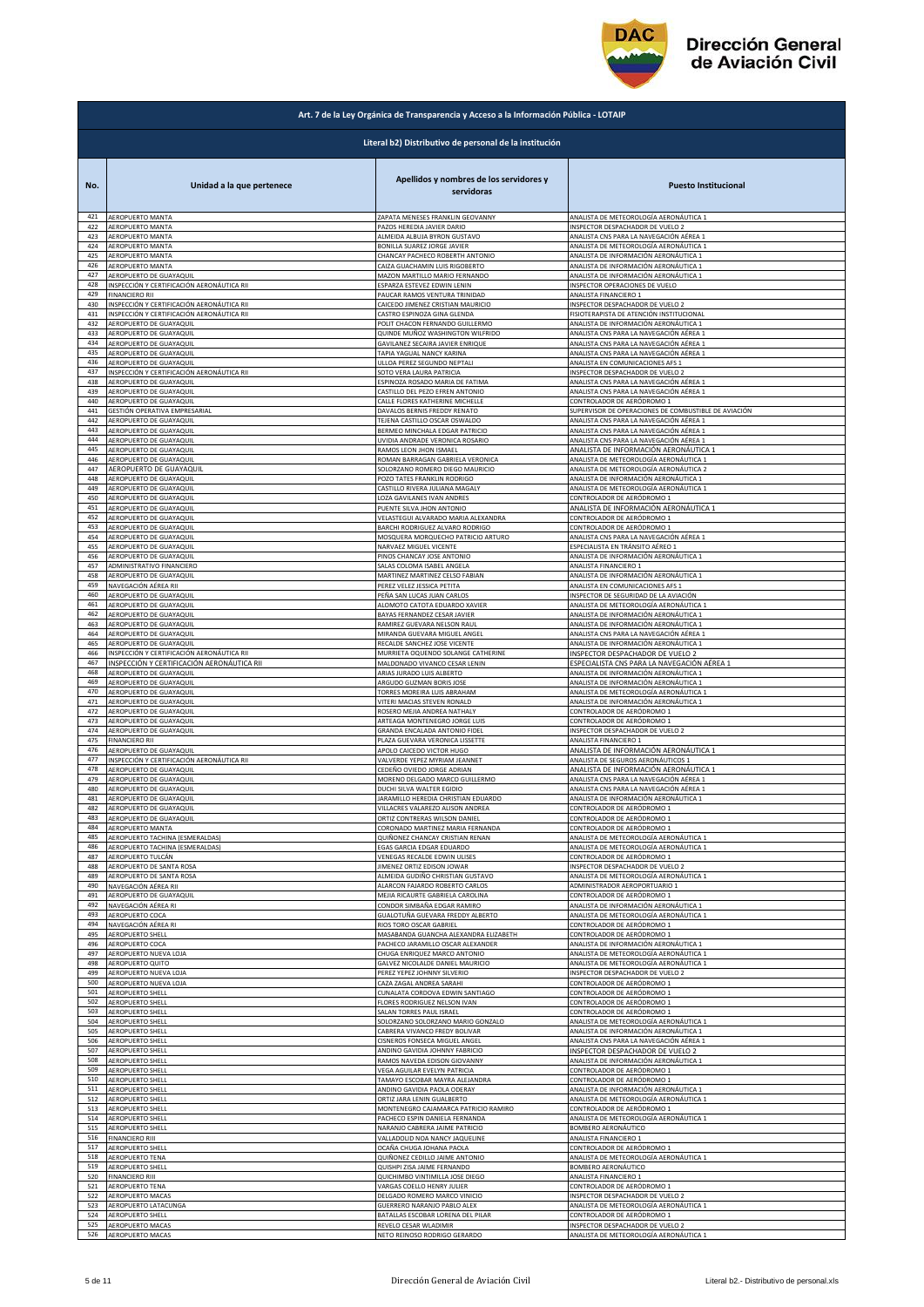

|            | Art. 7 de la Ley Orgánica de Transparencia y Acceso a la Información Pública - LOTAIP |                                                                     |                                                      |  |
|------------|---------------------------------------------------------------------------------------|---------------------------------------------------------------------|------------------------------------------------------|--|
|            | Literal b2) Distributivo de personal de la institución                                |                                                                     |                                                      |  |
| No.        | Unidad a la que pertenece                                                             | Apellidos y nombres de los servidores y<br>servidoras               | <b>Puesto Institucional</b>                          |  |
| 421        | AEROPUERTO MANTA                                                                      | ZAPATA MENESES FRANKLIN GEOVANNY                                    | ANALISTA DE METEOROLOGÍA AERONÁUTICA 1               |  |
| 422        | AEROPUERTO MANTA                                                                      | PAZOS HEREDIA JAVIER DARIO                                          | INSPECTOR DESPACHADOR DE VUELO 2                     |  |
| 423        | AEROPUERTO MANTA                                                                      | ALMEIDA ALBUJA BYRON GUSTAVO                                        | ANALISTA CNS PARA LA NAVEGACIÓN AÉREA 1              |  |
| 424        | AEROPUERTO MANTA                                                                      | BONILLA SUAREZ JORGE JAVIER                                         | ANALISTA DE METEOROLOGÍA AERONÁUTICA 1               |  |
| 425        | AEROPUERTO MANTA                                                                      | CHANCAY PACHECO ROBERTH ANTONIO                                     | ANALISTA DE INFORMACIÓN AERONÁUTICA 1                |  |
| 426        | AEROPUERTO MANTA                                                                      | CAIZA GUACHAMIN LUIS RIGOBERTO                                      | ANALISTA DE INFORMACIÓN AERONÁUTICA 1                |  |
| 427        | AEROPUERTO DE GUAYAQUIL                                                               | MAZON MARTILLO MARIO FERNANDO                                       | ANALISTA DE INFORMACIÓN AERONÁUTICA 1                |  |
| 428        | INSPECCIÓN Y CERTIFICACIÓN AERONÁUTICA RII                                            | ESPARZA ESTEVEZ EDWIN LENIN                                         | INSPECTOR OPERACIONES DE VUELO                       |  |
| 429        | <b>FINANCIERO RII</b>                                                                 | PAUCAR RAMOS VENTURA TRINIDAD                                       | ANALISTA FINANCIERO 1                                |  |
| 430        | INSPECCIÓN Y CERTIFICACIÓN AERONÁUTICA RII                                            | CAICEDO JIMENEZ CRISTIAN MAURICIO                                   | INSPECTOR DESPACHADOR DE VUELO 2                     |  |
| 431        | INSPECCIÓN Y CERTIFICACIÓN AERONÁUTICA RII                                            | CASTRO ESPINOZA GINA GLENDA                                         | FISIOTERAPISTA DE ATENCIÓN INSTITUCIONAL             |  |
| 432        | AEROPUERTO DE GUAYAQUIL                                                               | POLIT CHACON FERNANDO GUILLERMO                                     | ANALISTA DE INFORMACIÓN AERONÁUTICA 1                |  |
| 433        | AEROPUERTO DE GUAYAQUIL                                                               | QUINDE MUÑOZ WASHINGTON WILFRIDO                                    | ANALISTA CNS PARA LA NAVEGACIÓN AÉREA 1              |  |
| 434        | AEROPUERTO DE GUAYAQUIL                                                               | GAVILANEZ SECAIRA JAVIER ENRIQUE                                    | ANALISTA CNS PARA LA NAVEGACIÓN AÉREA 1              |  |
| 435        | AEROPUERTO DE GUAYAQUIL                                                               | TAPIA YAGUAL NANCY KARINA                                           | ANALISTA CNS PARA LA NAVEGACIÓN AÉREA 1              |  |
| 436        | AEROPUERTO DE GUAYAQUIL                                                               | ULLOA PEREZ SEGUNDO NEPTALI                                         | ANALISTA EN COMUNICACIONES AFS 1                     |  |
| 437        | INSPECCIÓN Y CERTIFICACIÓN AERONÁUTICA RII                                            | SOTO VERA LAURA PATRICIA                                            | INSPECTOR DESPACHADOR DE VUELO 2                     |  |
| 438        | AEROPUERTO DE GUAYAQUIL                                                               | ESPINOZA ROSADO MARIA DE FATIMA                                     | ANALISTA CNS PARA LA NAVEGACIÓN AÉREA 1              |  |
| 439        | AEROPUERTO DE GUAYAQUIL                                                               | CASTILLO DEL PEZO EFREN ANTONIO                                     | ANALISTA CNS PARA LA NAVEGACIÓN AÉREA 1              |  |
| 440        | AEROPUERTO DE GUAYAQUIL                                                               | CALLE FLORES KATHERINE MICHELLE                                     | CONTROLADOR DE AERÓDROMO 1                           |  |
| 441        | GESTIÓN OPERATIVA EMPRESARIAL                                                         | DAVALOS BERNIS FREDDY RENATO                                        | SUPERVISOR DE OPERACIONES DE COMBUSTIBLE DE AVIACIÓN |  |
| 442        | AEROPUERTO DE GUAYAQUIL                                                               | TEJENA CASTILLO OSCAR OSWALDO                                       | ANALISTA CNS PARA LA NAVEGACIÓN AÉREA 1              |  |
| 443        | AEROPUERTO DE GUAYAQUIL                                                               | BERMEO MINCHALA EDGAR PATRICIO                                      | ANALISTA CNS PARA LA NAVEGACIÓN AÉREA 1              |  |
| 444        | AEROPUERTO DE GUAYAQUIL                                                               | UVIDIA ANDRADE VERONICA ROSARIO                                     | ANALISTA CNS PARA LA NAVEGACIÓN AÉREA 1              |  |
| 445        | AEROPUERTO DE GUAYAQUIL                                                               | RAMOS LEON JHON ISMAEL                                              | ANALISTA DE INFORMACIÓN AERONÁUTICA 1                |  |
| 446        | AEROPUERTO DE GUAYAQUIL                                                               | ROMAN BARRAGAN GABRIELA VERONICA                                    | ANALISTA DE METEOROLOGÍA AERONÁUTICA 1               |  |
| 447        | AEROPUERTO DE GUAYAQUII                                                               | SOLORZANO ROMERO DIEGO MAURICIO                                     | ANALISTA DE METEOROLOGÍA AERONÁUTICA 2               |  |
| 448        | AEROPUERTO DE GUAYAQUIL                                                               | POZO TATES FRANKLIN RODRIGO                                         | ANALISTA DE INFORMACIÓN AERONÁUTICA 1                |  |
| 449        | AEROPUERTO DE GUAYAQUIL                                                               | CASTILLO RIVERA JULIANA MAGALY                                      | ANALISTA DE METEOROLOGÍA AERONÁUTICA 1               |  |
| 450        | AEROPUERTO DE GUAYAQUIL                                                               | LOZA GAVILANES IVAN ANDRES                                          | CONTROLADOR DE AERÓDROMO 1                           |  |
| 451        | AEROPUERTO DE GUAYAQUIL                                                               | PUENTE SILVA JHON ANTONIO                                           | ANALISTA DE INFORMACIÓN AERONÁUTICA 1                |  |
| 452        | AEROPUERTO DE GUAYAQUIL                                                               | VELASTEGUI ALVARADO MARIA ALEXANDRA                                 | CONTROLADOR DE AERÓDROMO 1                           |  |
| 453        | AEROPUERTO DE GUAYAQUIL                                                               | BARCHI RODRIGUEZ ALVARO RODRIGO                                     | CONTROLADOR DE AERÓDROMO 1                           |  |
| 454        | AEROPUERTO DE GUAYAQUIL                                                               | MOSQUERA MORQUECHO PATRICIO ARTURO                                  | ANALISTA CNS PARA LA NAVEGACIÓN AÉREA 1              |  |
| 455        | AEROPUERTO DE GUAYAQUIL                                                               | NARVAEZ MIGUEL VICENTE                                              | ESPECIALISTA EN TRÁNSITO AÉREO 1                     |  |
| 456        | AEROPUERTO DE GUAYAQUIL                                                               | PINOS CHANCAY JOSE ANTONIO                                          | ANALISTA DE INFORMACIÓN AERONÁUTICA 1                |  |
| 457        | ADMINISTRATIVO FINANCIERO                                                             | SALAS COLOMA ISABEL ANGELA                                          | ANALISTA FINANCIERO 1                                |  |
| 458        | AEROPUERTO DE GUAYAQUIL                                                               | MARTINEZ MARTINEZ CELSO FABIAN                                      | ANALISTA DE INFORMACIÓN AERONÁUTICA 1                |  |
| 459        | NAVEGACIÓN AÉREA RII                                                                  | PEREZ VELEZ JESSICA PETITA                                          | ANALISTA EN COMUNICACIONES AFS 1                     |  |
| 460        | AEROPUERTO DE GUAYAQUIL                                                               | PEÑA SAN LUCAS JUAN CARLOS                                          | INSPECTOR DE SEGURIDAD DE LA AVIACIÓN                |  |
| 461        | AEROPUERTO DE GUAYAQUIL                                                               | ALOMOTO CATOTA EDUARDO XAVIER                                       | ANALISTA DE METEOROLOGÍA AERONÁUTICA 1               |  |
| 462        | AEROPUERTO DE GUAYAQUIL                                                               | BAYAS FERNANDEZ CESAR JAVIER                                        | ANALISTA DE INFORMACIÓN AERONÁUTICA 1                |  |
| 463        | AEROPUERTO DE GUAYAQUIL                                                               | RAMIREZ GUEVARA NELSON RAUL                                         | ANALISTA DE INFORMACIÓN AERONÁUTICA 1                |  |
| 464        | AEROPUERTO DE GUAYAQUIL                                                               | MIRANDA GUEVARA MIGUEL ANGEL                                        | ANALISTA CNS PARA LA NAVEGACIÓN AÉREA 1              |  |
| 465        | AEROPUERTO DE GUAYAQUIL                                                               | RECALDE SANCHEZ JOSE VICENTE                                        | ANALISTA DE INFORMACIÓN AERONÁUTICA 1                |  |
| 466        | INSPECCIÓN Y CERTIFICACIÓN AERONÁUTICA RII                                            | MURRIETA OQUENDO SOLANGE CATHERINE<br>MALDONADO VIVANCO CESAR LENIN | INSPECTOR DESPACHADOR DE VUELO 2                     |  |
| 467        | INSPECCIÓN Y CERTIFICACIÓN AERONÁUTICA RII                                            | ARIAS JURADO LUIS ALBERTO                                           | ESPECIALISTA CNS PARA LA NAVEGACIÓN AÉREA 1          |  |
| 468        | AEROPUERTO DE GUAYAQUIL                                                               |                                                                     | ANALISTA DE INFORMACIÓN AERONÁUTICA 1                |  |
| 469        | AEROPUERTO DE GUAYAQUIL                                                               | ARGUDO GUZMAN BORIS JOSE                                            | ANALISTA DE INFORMACIÓN AERONÁUTICA 1                |  |
| 470        | AEROPUERTO DE GUAYAQUIL                                                               | TORRES MOREIRA LUIS ABRAHAM                                         | ANALISTA DE METEOROLOGÍA AERONÁUTICA 1               |  |
| 471        | AEROPUERTO DE GUAYAQUIL                                                               | VITERI MACIAS STEVEN RONALD                                         | ANALISTA DE INFORMACIÓN AERONÁUTICA 1                |  |
| 472        | AEROPUERTO DE GUAYAQUIL                                                               | ROSERO MEJIA ANDREA NATHALY                                         | CONTROLADOR DE AERÓDROMO 1                           |  |
| 473<br>474 | AEROPUERTO DE GUAYAQUIL                                                               | ARTEAGA MONTENEGRO JORGE LUIS                                       | CONTROLADOR DE AERÓDROMO 1                           |  |
| 475        | AEROPUERTO DE GUAYAQUIL                                                               | GRANDA ENCALADA ANTONIO FIDEL                                       | INSPECTOR DESPACHADOR DE VUELO 2                     |  |
|            | <b>FINANCIERO RII</b>                                                                 | PLAZA GUEVARA VERONICA LISSETTE                                     | ANALISTA FINANCIERO 1                                |  |
| 476        | AEROPUERTO DE GUAYAQUIL                                                               | APOLO CAICEDO VICTOR HUGO                                           | ANALISTA DE INFORMACIÓN AERONÁUTICA 1                |  |
| 477        | INSPECCIÓN Y CERTIFICACIÓN AERONÁUTICA RII                                            | VALVERDE YEPEZ MYRIAM JEANNET                                       | ANALISTA DE SEGUROS AERONÁUTICOS 1                   |  |
| 478        | AEROPUERTO DE GUAYAQUIL                                                               | CEDEÑO OVIEDO JORGE ADRIAN                                          | ANALISTA DE INFORMACIÓN AERONÁUTICA 1                |  |
| 479        | AEROPUERTO DE GUAYAQUIL                                                               | MORENO DELGADO MARCO GUILLERMO                                      | ANALISTA CNS PARA LA NAVEGACIÓN AÉREA 1              |  |
| 480        | AEROPUERTO DE GUAYAQUIL                                                               | DUCHI SILVA WALTER EGIDIO                                           | ANALISTA CNS PARA LA NAVEGACIÓN AÉREA 1              |  |
| 481        | AEROPUERTO DE GUAYAQUIL                                                               | JARAMILLO HEREDIA CHRISTIAN EDUARDO                                 | ANALISTA DE INFORMACIÓN AERONÁUTICA 1                |  |
| 482        | AEROPUERTO DE GUAYAQUIL                                                               | VILLACRES VALAREZO ALISON ANDREA                                    | CONTROLADOR DE AERÓDROMO 1                           |  |
| 483        | AEROPUERTO DE GUAYAQUIL                                                               | ORTIZ CONTRERAS WILSON DANIEL                                       | CONTROLADOR DE AERÓDROMO 1                           |  |
| 484        | <b>AEROPUERTO MANTA</b>                                                               | CORONADO MARTINEZ MARIA FERNANDA                                    | CONTROLADOR DE AERÓDROMO 1                           |  |
| 485        | AEROPUERTO TACHINA (ESMERALDAS)                                                       | QUIÑONEZ CHANCAY CRISTIAN RENAN                                     | ANALISTA DE METEOROLOGÍA AERONÁUTICA 1               |  |
| 486        | AEROPUERTO TACHINA (ESMERALDAS)                                                       | EGAS GARCIA EDGAR EDUARDO                                           | ANALISTA DE METEOROLOGÍA AERONÁUTICA 1               |  |
| 487        | AEROPUERTO TULCÁN                                                                     | VENEGAS RECALDE EDWIN ULISES                                        | CONTROLADOR DE AERÓDROMO 1                           |  |
| 488        | AEROPUERTO DE SANTA ROSA                                                              | JIMENEZ ORTIZ EDISON JOWAR                                          | INSPECTOR DESPACHADOR DE VUELO 2                     |  |
| 489        | AEROPUERTO DE SANTA ROSA                                                              | ALMEIDA GUDIÑO CHRISTIAN GUSTAVO                                    | ANALISTA DE METEOROLOGÍA AERONÁUTICA 1               |  |
| 490        | NAVEGACIÓN AÉREA RII                                                                  | ALARCON FAJARDO ROBERTO CARLOS                                      | ADMINISTRADOR AEROPORTUARIO 1                        |  |
| 491        | AEROPUERTO DE GUAYAQUIL                                                               | MEJIA RICAURTE GABRIELA CAROLINA                                    | CONTROLADOR DE AERÓDROMO 1                           |  |
| 492        | NAVEGACIÓN AÉREA RI                                                                   | CONDOR SIMBAÑA EDGAR RAMIRO<br>GUALOTUÑA GUEVARA FREDDY ALBERTO     | ANALISTA DE INFORMACIÓN AERONÁUTICA 1                |  |
| 493        | AEROPUERTO COCA                                                                       | RIOS TORO OSCAR GABRIEL                                             | ANALISTA DE METEOROLOGÍA AERONÁUTICA 1               |  |
| 494        | NAVEGACIÓN AÉREA RI                                                                   |                                                                     | CONTROLADOR DE AERÓDROMO 1                           |  |
| 495        | <b>AEROPUERTO SHELL</b>                                                               | MASABANDA GUANCHA ALEXANDRA ELIZABETH                               | CONTROLADOR DE AERÓDROMO 1                           |  |
| 496        | AEROPUERTO COCA                                                                       | PACHECO JARAMILLO OSCAR ALEXANDER                                   | ANALISTA DE INFORMACIÓN AERONÁUTICA 1                |  |
| 497        | AEROPUERTO NUEVA LOJA                                                                 | CHUGA ENRIQUEZ MARCO ANTONIO                                        | ANALISTA DE METEOROLOGÍA AERONÁUTICA 1               |  |
| 498        | AEROPUERTO QUITO                                                                      | GALVEZ NICOLALDE DANIEL MAURICIO                                    | ANALISTA DE METEOROLOGÍA AERONÁUTICA 1               |  |
| 499<br>500 | AEROPUERTO NUEVA LOJA                                                                 | PEREZ YEPEZ JOHNNY SILVERIO                                         | INSPECTOR DESPACHADOR DE VUELO 2                     |  |
| 501        | AEROPUERTO NUEVA LOJA                                                                 | CAZA ZAGAL ANDREA SARAHI                                            | CONTROLADOR DE AERÓDROMO 1                           |  |
|            | AEROPUERTO SHELL                                                                      | CUNALATA CORDOVA EDWIN SANTIAGO                                     | CONTROLADOR DE AERÓDROMO 1                           |  |
| 502        | AEROPUERTO SHELL                                                                      | FLORES RODRIGUEZ NELSON IVAN                                        | CONTROLADOR DE AERÓDROMO 1                           |  |
| 503        | AEROPUERTO SHELL                                                                      | SALAN TORRES PAUL ISRAEL                                            | CONTROLADOR DE AERÓDROMO 1                           |  |
| 504        | AEROPUERTO SHELL                                                                      | SOLORZANO SOLORZANO MARIO GONZALO                                   | ANALISTA DE METEOROLOGÍA AERONÁUTICA 1               |  |
| 505        | AEROPUERTO SHELL                                                                      | CABRERA VIVANCO FREDY BOLIVAR                                       | ANALISTA DE INFORMACIÓN AERONÁUTICA 1                |  |
| 506        | <b>AEROPUERTO SHELL</b>                                                               | CISNEROS FONSECA MIGUEL ANGEL                                       | ANALISTA CNS PARA LA NAVEGACIÓN AÉREA 1              |  |
| 507        | AEROPUERTO SHELL                                                                      | ANDINO GAVIDIA JOHNNY FABRICIO                                      | INSPECTOR DESPACHADOR DE VUELO 2                     |  |
| 508        | <b>AEROPUERTO SHELL</b>                                                               | RAMOS NAVEDA EDISON GIOVANNY                                        | ANALISTA DE INFORMACIÓN AERONÁUTICA 1                |  |
| 509        | AEROPUERTO SHELL                                                                      | VEGA AGUILAR EVELYN PATRICIA                                        | CONTROLADOR DE AERÓDROMO 1                           |  |
| 510        | AEROPUERTO SHELL                                                                      | TAMAYO ESCOBAR MAYRA ALEJANDRA                                      | CONTROLADOR DE AERÓDROMO 1                           |  |
| 511        | AEROPUERTO SHELL                                                                      | ANDINO GAVIDIA PAOLA ODERAY                                         | ANALISTA DE INFORMACIÓN AERONÁUTICA 1                |  |
| 512        | AEROPUERTO SHELL                                                                      | ORTIZ JARA LENIN GUALBERTO                                          | ANALISTA DE METEOROLOGÍA AERONÁUTICA 1               |  |
| 513        | AEROPUERTO SHELL                                                                      | MONTENEGRO CAJAMARCA PATRICIO RAMIRO                                | CONTROLADOR DE AERÓDROMO 1                           |  |
| 514        | <b>AEROPUERTO SHELL</b>                                                               | PACHECO ESPIN DANIELA FERNANDA                                      | ANALISTA DE METEOROLOGÍA AERONÁUTICA 1               |  |
| 515        | AEROPUERTO SHELL                                                                      | NARANJO CABRERA JAIME PATRICIO                                      | BOMBERO AERONÁUTICO                                  |  |
| 516        | <b>FINANCIERO RIII</b>                                                                | VALLADOLID NOA NANCY JAQUELINE                                      | ANALISTA FINANCIERO 1                                |  |
| 517        | AEROPUERTO SHELL                                                                      | OCAÑA CHUGA JOHANA PAOLA                                            | CONTROLADOR DE AERÓDROMO 1                           |  |
| 518        | AEROPUERTO TENA                                                                       | QUIÑONEZ CEDILLO JAIME ANTONIO                                      | ANALISTA DE METEOROLOGÍA AERONÁUTICA 1               |  |
| 519        | AEROPUERTO SHELL                                                                      | QUISHPI ZISA JAIME FERNANDO                                         | BOMBERO AERONÁUTICO                                  |  |
| 520        | <b>FINANCIERO RIII</b>                                                                | QUICHIMBO VINTIMILLA JOSE DIEGO                                     | ANALISTA FINANCIERO 1                                |  |
| 521        | AEROPUERTO TENA                                                                       | VARGAS COELLO HENRY JULIER                                          | CONTROLADOR DE AERÓDROMO 1                           |  |
| 522        | AEROPUERTO MACAS                                                                      | DELGADO ROMERO MARCO VINICIO                                        | INSPECTOR DESPACHADOR DE VUELO 2                     |  |
| 523        | AEROPUERTO LATACUNGA                                                                  | GUERRERO NARANJO PABLO ALEX                                         | ANALISTA DE METEOROLOGÍA AERONÁUTICA 1               |  |
| 524        | AEROPUERTO SHELL                                                                      | BATALLAS ESCOBAR LORENA DEL PILAR                                   | CONTROLADOR DE AERÓDROMO 1                           |  |
| 525        | AEROPUERTO MACAS                                                                      | REVELO CESAR WLADIMIR                                               | INSPECTOR DESPACHADOR DE VUELO 2                     |  |
| 526        | AEROPUERTO MACAS                                                                      | NETO REINOSO RODRIGO GERARDO                                        | ANALISTA DE METEOROLOGÍA AERONÁUTICA 1               |  |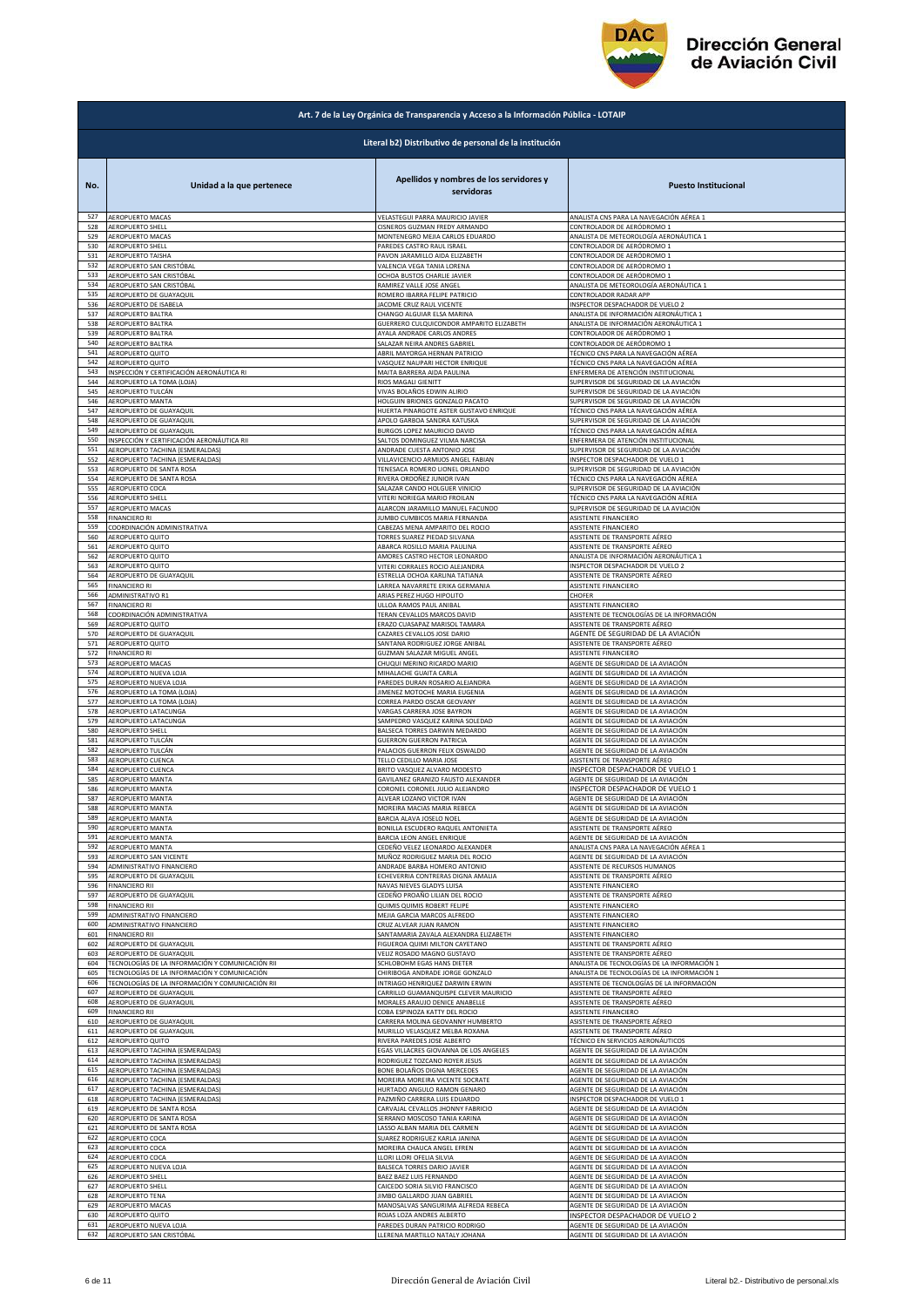

|            | Art. 7 de la Ley Orgánica de Transparencia y Acceso a la Información Pública - LOTAIP |                                                        |                                             |  |
|------------|---------------------------------------------------------------------------------------|--------------------------------------------------------|---------------------------------------------|--|
|            |                                                                                       | Literal b2) Distributivo de personal de la institución |                                             |  |
| No.        | Unidad a la que pertenece                                                             | Apellidos y nombres de los servidores y<br>servidoras  | <b>Puesto Institucional</b>                 |  |
| 527        | AEROPUERTO MACAS                                                                      | VELASTEGUI PARRA MAURICIO JAVIER                       | ANALISTA CNS PARA LA NAVEGACIÓN AÉREA 1     |  |
| 528        | AEROPUERTO SHELL                                                                      | CISNEROS GUZMAN FREDY ARMANDO                          | CONTROLADOR DE AERÓDROMO 1                  |  |
| 529        | AEROPUERTO MACAS                                                                      | MONTENEGRO MEJIA CARLOS EDUARDO                        | ANALISTA DE METEOROLOGÍA AERONÁUTICA 1      |  |
| 530        | <b>AEROPUERTO SHELL</b>                                                               | PAREDES CASTRO RAUL ISRAEL                             | CONTROLADOR DE AERÓDROMO 1                  |  |
| 531        | <b>AEROPUERTO TAISHA</b>                                                              | PAVON JARAMILLO AIDA ELIZABETH                         | CONTROLADOR DE AERÓDROMO 1                  |  |
| 532        | AEROPUERTO SAN CRISTÓBAL                                                              | VALENCIA VEGA TANIA LORENA                             | CONTROLADOR DE AERÓDROMO 1                  |  |
| 533        | AEROPUERTO SAN CRISTÓBAL                                                              | OCHOA BUSTOS CHARLIE JAVIER                            | CONTROLADOR DE AERÓDROMO 1                  |  |
| 534        | AEROPUERTO SAN CRISTÓBAL                                                              | RAMIREZ VALLE JOSE ANGEL                               | ANALISTA DE METEOROLOGÍA AERONÁUTICA 1      |  |
| 535        | AEROPUERTO DE GUAYAQUIL                                                               | ROMERO IBARRA FELIPE PATRICIO                          | CONTROLADOR RADAR APP                       |  |
| 536        | AEROPUERTO DE ISABELA                                                                 | JACOME CRUZ RAUL VICENTE                               | NSPECTOR DESPACHADOR DE VUELO 2             |  |
| 537        | AEROPUERTO BALTRA                                                                     | CHANGO ALGUIAR ELSA MARINA                             | ANALISTA DE INFORMACIÓN AERONÁUTICA 1       |  |
| 538        | AEROPUERTO BALTRA                                                                     | GUERRERO CULQUICONDOR AMPARITO ELIZABETH               | ANALISTA DE INFORMACIÓN AERONÁUTICA 1       |  |
| 539        | AEROPUERTO BALTRA                                                                     | AYALA ANDRADE CARLOS ANDRES                            | CONTROLADOR DE AERÓDROMO 1                  |  |
| 540        | AEROPUERTO BALTRA                                                                     | SALAZAR NEIRA ANDRES GABRIEL                           | CONTROLADOR DE AERÓDROMO 1                  |  |
| 541        | AEROPUERTO QUITO                                                                      | ABRIL MAYORGA HERNAN PATRICIO                          | TÉCNICO CNS PARA LA NAVEGACIÓN AÉREA        |  |
| 542        | AEROPUERTO QUITO                                                                      | VASQUEZ NAUPARI HECTOR ENRIQUE                         | TÉCNICO CNS PARA LA NAVEGACIÓN AÉREA        |  |
| 543        | INSPECCIÓN Y CERTIFICACIÓN AERONÁUTICA RI                                             | MAITA BARRERA AIDA PAULINA                             | ENFERMERA DE ATENCIÓN INSTITUCIONAL         |  |
| 544        | AEROPUERTO LA TOMA (LOJA)                                                             | RIOS MAGALI GIENITT                                    | SUPERVISOR DE SEGURIDAD DE LA AVIACIÓN      |  |
| 545        | AEROPUERTO TULCÁN                                                                     | VIVAS BOLAÑOS EDWIN ALIRIO                             | SUPERVISOR DE SEGURIDAD DE LA AVIACIÓN      |  |
| 546        | AEROPUERTO MANTA                                                                      | HOLGUIN BRIONES GONZALO PACATO                         | SUPERVISOR DE SEGURIDAD DE LA AVIACIÓN      |  |
| 547        | AEROPUERTO DE GUAYAQUIL                                                               | HUERTA PINARGOTE ASTER GUSTAVO ENRIQUE                 | TÉCNICO CNS PARA LA NAVEGACIÓN AÉREA        |  |
| 548        | AEROPUERTO DE GUAYAQUIL                                                               | APOLO GARBOA SANDRA KATUSKA                            | SUPERVISOR DE SEGURIDAD DE LA AVIACIÓN      |  |
| 549        | AEROPUERTO DE GUAYAQUIL                                                               | BURGOS LOPEZ MAURICIO DAVID                            | TÉCNICO CNS PARA LA NAVEGACIÓN AÉREA        |  |
| 550        | INSPECCIÓN Y CERTIFICACIÓN AERONÁUTICA RIL                                            | SALTOS DOMINGUEZ VILMA NARCISA                         | ENFERMERA DE ATENCIÓN INSTITUCIONAL         |  |
| 551        | AEROPUERTO TACHINA (ESMERALDAS)                                                       | ANDRADE CUESTA ANTONIO JOSE                            | SUPERVISOR DE SEGURIDAD DE LA AVIACIÓN      |  |
| 552        | AEROPUERTO TACHINA (ESMERALDAS)                                                       | VILLAVICENCIO ARMIJOS ANGEL FABIAN                     | INSPECTOR DESPACHADOR DE VUELO 1            |  |
| 553        | AEROPUERTO DE SANTA ROSA                                                              | TENESACA ROMERO LIONEL ORLANDO                         | SUPERVISOR DE SEGURIDAD DE LA AVIACIÓN      |  |
| 554        | AEROPUERTO DE SANTA ROSA                                                              | RIVERA ORDOÑEZ JUNIOR IVAN                             | TÉCNICO CNS PARA LA NAVEGACIÓN AÉREA        |  |
| 555        | AEROPUERTO COCA                                                                       | SALAZAR CANDO HOLGUER VINICIO                          | SUPERVISOR DE SEGURIDAD DE LA AVIACIÓN      |  |
| 556        | AEROPUERTO SHELL                                                                      | VITERI NORIEGA MARIO FROILAN                           | TÉCNICO CNS PARA LA NAVEGACIÓN AÉREA        |  |
| 557        | AEROPUERTO MACAS                                                                      | ALARCON JARAMILLO MANUEL FACUNDO                       | SUPERVISOR DE SEGURIDAD DE LA AVIACIÓN      |  |
| 558        | <b>FINANCIERO RI</b>                                                                  | JUMBO CUMBICOS MARIA FERNANDA                          | ASISTENTE FINANCIERO                        |  |
| 559        | COORDINACIÓN ADMINISTRATIVA                                                           | CABEZAS MENA AMPARITO DEL ROCIO                        | ASISTENTE FINANCIERO                        |  |
| 560        | AEROPUERTO QUITO                                                                      | TORRES SUAREZ PIEDAD SILVANA                           | ASISTENTE DE TRANSPORTE AÉREO               |  |
| 561        | AEROPUERTO QUITO                                                                      | ABARCA ROSILLO MARIA PAULINA                           | ASISTENTE DE TRANSPORTE AÉREO               |  |
| 562        | AEROPUERTO QUITO                                                                      | AMORES CASTRO HECTOR LEONARDO                          | ANALISTA DE INFORMACIÓN AERONÁUTICA 1       |  |
| 563        | AEROPUERTO QUITO                                                                      | VITERI CORRALES ROCIO ALEJANDRA                        | INSPECTOR DESPACHADOR DE VUELO 2            |  |
| 564        | AEROPUERTO DE GUAYAQUIL                                                               | ESTRELLA OCHOA KARLINA TATIANA                         | ASISTENTE DE TRANSPORTE AÉREO               |  |
| 565        | <b>FINANCIERO RI</b>                                                                  | LARREA NAVARRETE ERIKA GERMANIA                        | ASISTENTE FINANCIERO                        |  |
| 566        | ADMINISTRATIVO R1                                                                     | ARIAS PEREZ HUGO HIPOLITO                              | CHOFER                                      |  |
| 567        | <b>FINANCIERO RI</b>                                                                  | ULLOA RAMOS PAUL ANIBAL                                | ASISTENTE FINANCIERO                        |  |
| 568        | COORDINACIÓN ADMINISTRATIVA                                                           | TERAN CEVALLOS MARCOS DAVID                            | ASISTENTE DE TECNOLOGÍAS DE LA INFORMACIÓN  |  |
| 569        | AEROPUERTO QUITO                                                                      | RAZO CUASAPAZ MARISOL TAMARA                           | ASISTENTE DE TRANSPORTE AÉREO               |  |
| 570        | AEROPUERTO DE GUAYAQUIL                                                               | CAZARES CEVALLOS JOSE DARIO                            | AGENTE DE SEGURIDAD DE LA AVIACIÓN          |  |
| 571        | AEROPUERTO QUITO                                                                      | SANTANA RODRIGUEZ JORGE ANIBAL                         | ASISTENTE DE TRANSPORTE AÉREO               |  |
| 572        | <b>FINANCIERO RI</b>                                                                  | GUZMAN SALAZAR MIGUEL ANGEL                            | ASISTENTE FINANCIERO                        |  |
| 573        | AEROPUERTO MACAS                                                                      | CHUQUI MERINO RICARDO MARIO                            | AGENTE DE SEGURIDAD DE LA AVIACIÓN          |  |
| 574        | AEROPUERTO NUEVA LOJA                                                                 | MIHALACHE GUAITA CARLA                                 | AGENTE DE SEGURIDAD DE LA AVIACIÓN          |  |
| 575        | AEROPUERTO NUEVA LOJA                                                                 | PAREDES DURAN ROSARIO ALEJANDRA                        | AGENTE DE SEGURIDAD DE LA AVIACIÓN          |  |
| 576        | AEROPUERTO LA TOMA (LOJA)                                                             | <b>IIMENEZ MOTOCHE MARIA EUGENIA</b>                   | AGENTE DE SEGURIDAD DE LA AVIACIÓN          |  |
| 577        | AEROPUERTO LA TOMA (LOJA)                                                             | CORREA PARDO OSCAR GEOVANY                             | AGENTE DE SEGURIDAD DE LA AVIACIÓN          |  |
| 578        | AEROPUERTO LATACUNGA                                                                  | VARGAS CARRERA JOSE BAYRON                             | AGENTE DE SEGURIDAD DE LA AVIACIÓN          |  |
| 579        | AEROPUERTO LATACUNGA                                                                  | SAMPEDRO VASQUEZ KARINA SOLEDAD                        | AGENTE DE SEGURIDAD DE LA AVIACIÓN          |  |
| 580        |                                                                                       | BALSECA TORRES DARWIN MEDARDO                          | AGENTE DE SEGURIDAD DE LA AVIACIÓN          |  |
| 581        | AEROPUERTO SHELL<br>AEROPUERTO TULCÁN                                                 | <b>GUERRON GUERRON PATRICIA</b>                        | AGENTE DE SEGURIDAD DE LA AVIACIÓN          |  |
| 582        | AEROPUERTO TULCÁN                                                                     | PALACIOS GUERRON FELIX OSWALDO                         | AGENTE DE SEGURIDAD DE LA AVIACIÓN          |  |
| 583        | AEROPUERTO CUENCA                                                                     | TELLO CEDILLO MARIA JOSE                               | ASISTENTE DE TRANSPORTE AÉREO               |  |
| 584        | AEROPUERTO CUENCA                                                                     | BRITO VASQUEZ ALVARO MODESTO                           | INSPECTOR DESPACHADOR DE VUELO 1            |  |
| 585        | AEROPUERTO MANTA                                                                      | GAVILANEZ GRANIZO FAUSTO ALEXANDER                     | AGENTE DE SEGURIDAD DE LA AVIACIÓN          |  |
| 586<br>587 | AEROPUERTO MANTA                                                                      | CORONEL CORONEL JULIO ALEJANDRO                        | INSPECTOR DESPACHADOR DE VUELO 1            |  |
| 588        | AEROPUERTO MANTA                                                                      | ALVEAR LOZANO VICTOR IVAN                              | AGENTE DE SEGURIDAD DE LA AVIACIÓN          |  |
|            | <b>AEROPUERTO MANTA</b>                                                               | MOREIRA MACIAS MARIA REBECA                            | AGENTE DE SEGURIDAD DE LA AVIACIÓN          |  |
| 589        | AEROPUERTO MANTA                                                                      | BARCIA ALAVA JOSELO NOEL                               | AGENTE DE SEGURIDAD DE LA AVIACIÓN          |  |
| 590        | AEROPUERTO MANTA                                                                      | BONILLA ESCUDERO RAQUEL ANTONIETA                      | ASISTENTE DE TRANSPORTE AÉREO               |  |
| 591        | AEROPUERTO MANTA                                                                      | BARCIA LEON ANGEL ENRIQUE                              | AGENTE DE SEGURIDAD DE LA AVIACIÓN          |  |
| 592        | <b>AEROPUERTO MANTA</b>                                                               | CEDEÑO VELEZ LEONARDO ALEXANDER                        | ANALISTA CNS PARA LA NAVEGACIÓN AÉREA 1     |  |
| 593<br>594 | AEROPUERTO SAN VICENTE                                                                | MUÑOZ RODRIGUEZ MARIA DEL ROCIO                        | AGENTE DE SEGURIDAD DE LA AVIACIÓN          |  |
| 595        | ADMINISTRATIVO FINANCIERO                                                             | ANDRADE BARBA HOMERO ANTONIO                           | ASISTENTE DE RECURSOS HUMANOS               |  |
|            | AEROPUERTO DE GUAYAQUIL                                                               | ECHEVERRIA CONTRERAS DIGNA AMALIA                      | ASISTENTE DE TRANSPORTE AÉREO               |  |
| 596        | FINANCIERO RII                                                                        | NAVAS NIEVES GLADYS LUISA                              | ASISTENTE FINANCIERO                        |  |
| 597        | AEROPUERTO DE GUAYAQUIL                                                               | CEDEÑO PROAÑO LILIAN DEL ROCIO                         | ASISTENTE DE TRANSPORTE AÉREO               |  |
| 598        | FINANCIERO RII                                                                        | QUIMIS QUIMIS ROBERT FELIPE                            | <b>ASISTENTE FINANCIERO</b>                 |  |
| 599        | ADMINISTRATIVO FINANCIERO                                                             | MEJIA GARCIA MARCOS ALFREDO                            | ASISTENTE FINANCIERO                        |  |
| 600        | ADMINISTRATIVO FINANCIERO                                                             | CRUZ ALVEAR JUAN RAMON                                 | ASISTENTE FINANCIERO                        |  |
| 601        | <b>FINANCIERO RII</b>                                                                 | SANTAMARIA ZAVALA ALEXANDRA ELIZABETH                  | ASISTENTE FINANCIERO                        |  |
| 602        | AEROPUERTO DE GUAYAQUIL                                                               | FIGUEROA QUIMI MILTON CAYETANO                         | ASISTENTE DE TRANSPORTE AÉREO               |  |
| 603        | AEROPUERTO DE GUAYAQUIL                                                               | VELIZ ROSADO MAGNO GUSTAVO                             | ASISTENTE DE TRANSPORTE AÉREO               |  |
| 604        | TECNOLOGÍAS DE LA INFORMACIÓN Y COMUNICACIÓN RII                                      | SCHLOBOHM EGAS HANS DIETER                             | ANALISTA DE TECNOLOGÍAS DE LA INFORMACIÓN 1 |  |
| 605        | TECNOLOGÍAS DE LA INFORMACIÓN Y COMUNICACIÓN                                          | CHIRIBOGA ANDRADE JORGE GONZALO                        | ANALISTA DE TECNOLOGÍAS DE LA INFORMACIÓN 1 |  |
| 606        | TECNOLOGÍAS DE LA INFORMACIÓN Y COMUNICACIÓN RII                                      | INTRIAGO HENRIQUEZ DARWIN ERWIN                        | ASISTENTE DE TECNOLOGÍAS DE LA INFORMACIÓN  |  |
| 607        | AEROPUERTO DE GUAYAQUIL                                                               | CARRILLO GUAMANQUISPE CLEVER MAURICIO                  | ASISTENTE DE TRANSPORTE AÉREO               |  |
| 608        | AEROPUERTO DE GUAYAQUIL                                                               | MORALES ARAUJO DENICE ANABELLE                         | ASISTENTE DE TRANSPORTE AÉREO               |  |
| 609        | <b>FINANCIERO RII</b>                                                                 | COBA ESPINOZA KATTY DEL ROCIO                          | ASISTENTE FINANCIERO                        |  |
| 610        | AEROPUERTO DE GUAYAQUIL                                                               | CARRERA MOLINA GEOVANNY HUMBERTO                       | ASISTENTE DE TRANSPORTE AÉREO               |  |
| 611        | AEROPUERTO DE GUAYAQUIL                                                               | MURILLO VELASQUEZ MELBA ROXANA                         | ASISTENTE DE TRANSPORTE AÉREO               |  |
| 612        | AEROPUERTO QUITO                                                                      | RIVERA PAREDES JOSE ALBERTO                            | TÉCNICO EN SERVICIOS AERONÁUTICOS           |  |
| 613        | AEROPUERTO TACHINA (ESMERALDAS)                                                       | EGAS VILLACRES GIOVANNA DE LOS ANGELES                 | AGENTE DE SEGURIDAD DE LA AVIACIÓN          |  |
| 614        | AEROPUERTO TACHINA (ESMERALDAS)                                                       | RODRIGUEZ TOZCANO ROYER JESUS                          | AGENTE DE SEGURIDAD DE LA AVIACIÓN          |  |
| 615        | AEROPUERTO TACHINA (ESMERALDAS)                                                       | BONE BOLAÑOS DIGNA MERCEDES                            | AGENTE DE SEGURIDAD DE LA AVIACIÓN          |  |
| 616        | AEROPUERTO TACHINA (ESMERALDAS)                                                       | MOREIRA MOREIRA VICENTE SOCRATE                        | AGENTE DE SEGURIDAD DE LA AVIACIÓN          |  |
| 617        | AEROPUERTO TACHINA (ESMERALDAS)                                                       | HURTADO ANGULO RAMON GENARO                            | AGENTE DE SEGURIDAD DE LA AVIACIÓN          |  |
| 618        | AEROPUERTO TACHINA (ESMERALDAS)                                                       | PAZMIÑO CARRERA LUIS EDUARDO                           | INSPECTOR DESPACHADOR DE VUELO 1            |  |
| 619        | AEROPUERTO DE SANTA ROSA                                                              | CARVAJAL CEVALLOS JHONNY FABRICIO                      | AGENTE DE SEGURIDAD DE LA AVIACIÓN          |  |
| 620        | AEROPUERTO DE SANTA ROSA                                                              | SERRANO MOSCOSO TANIA KARINA                           | AGENTE DE SEGURIDAD DE LA AVIACIÓN          |  |
| 621        | AEROPUERTO DE SANTA ROSA                                                              | LASSO ALBAN MARIA DEL CARMEN                           | AGENTE DE SEGURIDAD DE LA AVIACIÓN          |  |
| 622        | AEROPUERTO COCA                                                                       | SUAREZ RODRIGUEZ KARLA JANINA                          | AGENTE DE SEGURIDAD DE LA AVIACIÓN          |  |
| 623        | AEROPUERTO COCA                                                                       | MOREIRA CHAUCA ANGEL EFREN                             | GENTE DE SEGURIDAD DE LA AVIACIÓN           |  |
| 624        | AEROPUERTO COCA                                                                       | LLORI LLORI OFELIA SILVIA                              | AGENTE DE SEGURIDAD DE LA AVIACIÓN          |  |
| 625        | AEROPUERTO NUEVA LOJA                                                                 | BALSECA TORRES DARIO JAVIER                            | AGENTE DE SEGURIDAD DE LA AVIACIÓN          |  |
| 626        | AEROPUERTO SHELL                                                                      | BAEZ BAEZ LUIS FERNANDO                                | AGENTE DE SEGURIDAD DE LA AVIACIÓN          |  |
| 627        | AEROPUERTO SHELL                                                                      | CAICEDO SORIA SILVIO FRANCISCO                         | AGENTE DE SEGURIDAD DE LA AVIACIÓN          |  |
| 628        | AEROPUERTO TENA                                                                       | JIMBO GALLARDO JUAN GABRIEL                            | AGENTE DE SEGURIDAD DE LA AVIACIÓN          |  |
| 629        | AEROPUERTO MACAS                                                                      | MANOSALVAS SANGURIMA ALFREDA REBECA                    | AGENTE DE SEGURIDAD DE LA AVIACIÓN          |  |
| 630        | AEROPUERTO QUITO                                                                      | ROJAS LOZA ANDRES ALBERTO                              | INSPECTOR DESPACHADOR DE VUELO 2            |  |
| 631        | AEROPUERTO NUEVA LOJA                                                                 | PAREDES DURAN PATRICIO RODRIGO                         | AGENTE DE SEGURIDAD DE LA AVIACIÓN          |  |
| 632        | AEROPUERTO SAN CRISTÓBAL                                                              | LLERENA MARTILLO NATALY JOHANA                         | AGENTE DE SEGURIDAD DE LA AVIACIÓN          |  |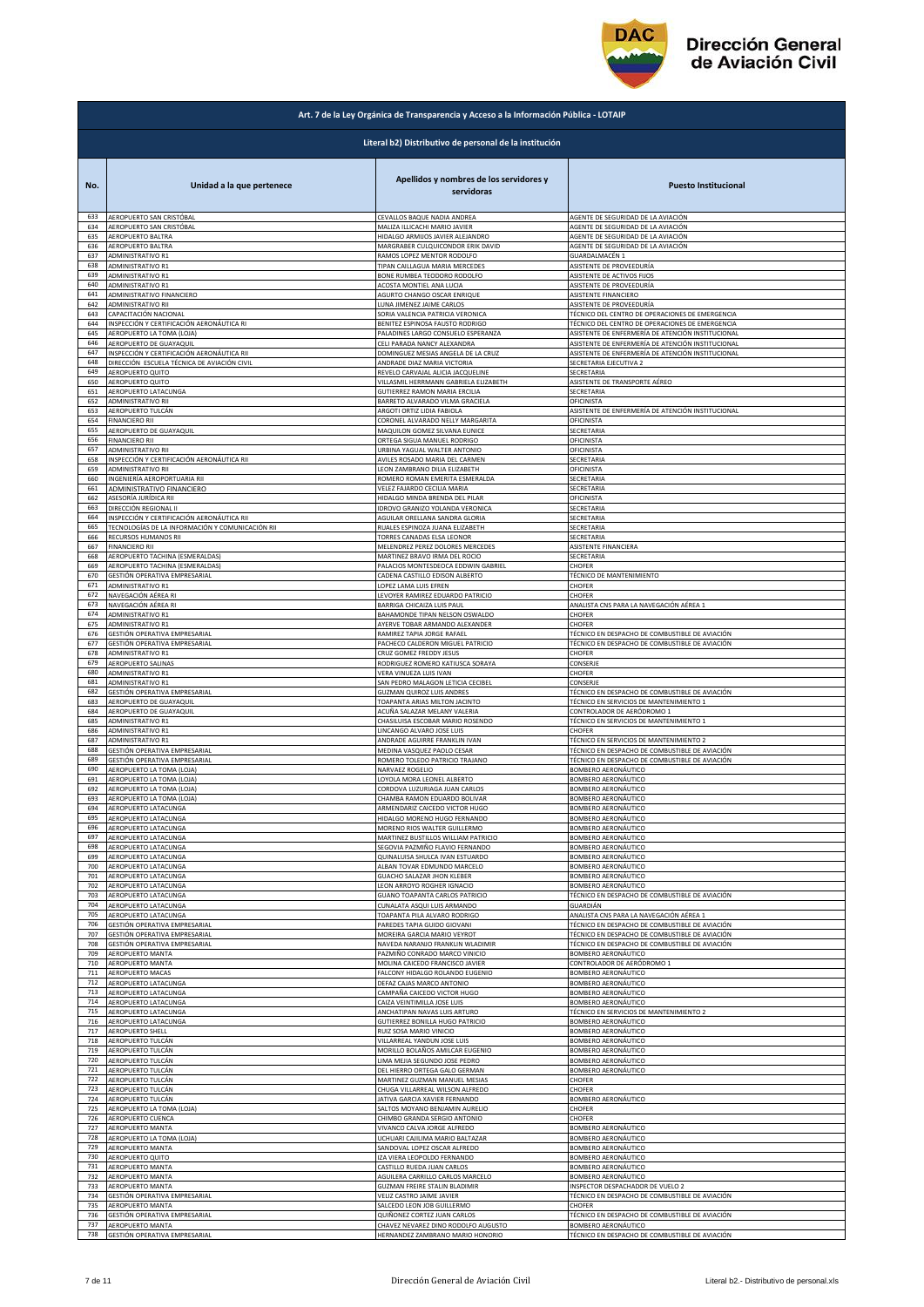

|            | Art. 7 de la Ley Orgánica de Transparencia y Acceso a la Información Pública - LOTAIP |                                                        |                                                   |  |
|------------|---------------------------------------------------------------------------------------|--------------------------------------------------------|---------------------------------------------------|--|
|            |                                                                                       | Literal b2) Distributivo de personal de la institución |                                                   |  |
| No.        | Unidad a la que pertenece                                                             | Apellidos y nombres de los servidores y<br>servidoras  | <b>Puesto Institucional</b>                       |  |
| 633        | AEROPUERTO SAN CRISTÓBAL                                                              | CEVALLOS BAQUE NADIA ANDREA                            | AGENTE DE SEGURIDAD DE LA AVIACIÓN                |  |
| 634        | AEROPUERTO SAN CRISTÓBAL                                                              | MALIZA ILLICACHI MARIO JAVIER                          | AGENTE DE SEGURIDAD DE LA AVIACIÓN                |  |
| 635        | AEROPUERTO BALTRA                                                                     | HIDALGO ARMIJOS JAVIER ALEJANDRO                       | AGENTE DE SEGURIDAD DE LA AVIACIÓN                |  |
| 636        | AEROPUERTO BALTRA                                                                     | MARGRABER CULQUICONDOR ERIK DAVID                      | AGENTE DE SEGURIDAD DE LA AVIACIÓN                |  |
| 637<br>638 | <b>ADMINISTRATIVO R1</b>                                                              | RAMOS LOPEZ MENTOR RODOLFO                             | GUARDALMACÉN 1                                    |  |
| 639        | <b>ADMINISTRATIVO R1</b>                                                              | TIPAN CAILLAGUA MARIA MERCEDES                         | ASISTENTE DE PROVEEDURÍA                          |  |
|            | ADMINISTRATIVO R1                                                                     | BONE RUMBEA TEODORO RODOLFO                            | ASISTENTE DE ACTIVOS FIJOS                        |  |
| 640        | ADMINISTRATIVO R1                                                                     | ACOSTA MONTIEL ANA LUCIA                               | ASISTENTE DE PROVEEDURÍA                          |  |
| 641        | ADMINISTRATIVO FINANCIERO                                                             | AGURTO CHANGO OSCAR ENRIQUE                            | ASISTENTE FINANCIERO                              |  |
| 642        | ADMINISTRATIVO RII                                                                    | LUNA JIMENEZ JAIME CARLOS                              | ASISTENTE DE PROVEEDURÍA                          |  |
| 643        | CAPACITACIÓN NACIONAL                                                                 | SORIA VALENCIA PATRICIA VERONICA                       | TÉCNICO DEL CENTRO DE OPERACIONES DE EMERGENCIA   |  |
| 644        | INSPECCIÓN Y CERTIFICACIÓN AERONÁUTICA RI                                             | BENITEZ ESPINOSA FAUSTO RODRIGO                        | TÉCNICO DEL CENTRO DE OPERACIONES DE EMERGENCIA   |  |
| 645        | AEROPUERTO LA TOMA (LOJA)                                                             | PALADINES LARGO CONSUELO ESPERANZA                     | ASISTENTE DE ENFERMERÍA DE ATENCIÓN INSTITUCIONAL |  |
| 646        | AEROPUERTO DE GUAYAQUIL                                                               | CELI PARADA NANCY ALEXANDRA                            | ASISTENTE DE ENFERMERÍA DE ATENCIÓN INSTITUCIONAL |  |
| 647        | INSPECCIÓN Y CERTIFICACIÓN AERONÁUTICA RII                                            | DOMINGUEZ MESIAS ANGELA DE LA CRUZ                     | ASISTENTE DE ENFERMERÍA DE ATENCIÓN INSTITUCIONAL |  |
| 648        | DIRECCIÓN ESCUELA TÉCNICA DE AVIACIÓN CIVIL                                           | ANDRADE DIAZ MARIA VICTORIA                            | SECRETARIA EJECUTIVA 2                            |  |
| 649        | AEROPUERTO QUITO                                                                      | REVELO CARVAJAL ALICIA JACQUELINE                      | SECRETARIA                                        |  |
| 650        | <b>AEROPUERTO QUITO</b>                                                               | VILLASMIL HERRMANN GABRIELA ELIZABETH                  | ASISTENTE DE TRANSPORTE AÉREO                     |  |
| 651        | AEROPUERTO LATACUNGA                                                                  | GUTIERREZ RAMON MARIA ERCILIA                          | SECRETARIA                                        |  |
| 652        | <b>ADMINISTRATIVO RII</b>                                                             | BARRETO ALVARADO VILMA GRACIELA                        | OFICINISTA                                        |  |
| 653        | AEROPUERTO TULCÁN                                                                     | ARGOTI ORTIZ LIDIA FABIOLA                             | ASISTENTE DE ENFERMERÍA DE ATENCIÓN INSTITUCIONAL |  |
| 654        | <b>FINANCIERO RII</b>                                                                 | CORONEL ALVARADO NELLY MARGARITA                       | OFICINISTA                                        |  |
| 655        | AEROPUERTO DE GUAYAQUIL                                                               | MAQUILON GOMEZ SILVANA EUNICE                          | SECRETARIA                                        |  |
| 656        | <b>FINANCIERO RII</b>                                                                 | ORTEGA SIGUA MANUEL RODRIGO                            | OFICINISTA                                        |  |
| 657        | <b>ADMINISTRATIVO RII</b>                                                             | URBINA YAGUAL WALTER ANTONIO                           | OFICINISTA                                        |  |
| 658        | INSPECCIÓN Y CERTIFICACIÓN AERONÁUTICA RII                                            | AVILES ROSADO MARIA DEL CARMEN                         | SECRETARIA                                        |  |
| 659        | ADMINISTRATIVO RII                                                                    | LEON ZAMBRANO DILIA ELIZABETH                          | OFICINISTA                                        |  |
| 660        | INGENIERÍA AEROPORTUARIA RII                                                          | ROMERO ROMAN EMERITA ESMERALDA                         | SECRETARIA                                        |  |
| 661        | ADMINISTRATIVO FINANCIERO                                                             | VELEZ FAJARDO CECILIA MARIA                            | SECRETARIA                                        |  |
| 662<br>663 | ASESORÍA JURÍDICA RII                                                                 | HIDALGO MINDA BRENDA DEL PILAR                         | OFICINISTA                                        |  |
| 664        | DIRECCIÓN REGIONAL II                                                                 | IDROVO GRANIZO YOLANDA VERONICA                        | SECRETARIA                                        |  |
|            | INSPECCIÓN Y CERTIFICACIÓN AERONÁUTICA RII                                            | AGUILAR ORELLANA SANDRA GLORIA                         | SECRETARIA                                        |  |
| 665        | TECNOLOGÍAS DE LA INFORMACIÓN Y COMUNICACIÓN RII                                      | RUALES ESPINOZA JUANA ELIZABETH                        | SECRETARIA                                        |  |
| 666        | RECURSOS HUMANOS RII                                                                  | TORRES CANADAS ELSA LEONOR                             | SECRETARIA                                        |  |
| 667        | <b>FINANCIERO RII</b>                                                                 | MELENDREZ PEREZ DOLORES MERCEDES                       | ASISTENTE FINANCIERA                              |  |
| 668        | AEROPUERTO TACHINA (ESMERALDAS)                                                       | MARTINEZ BRAVO IRMA DEL ROCIO                          | SECRETARIA                                        |  |
| 669        | AEROPUERTO TACHINA (ESMERALDAS)                                                       | PALACIOS MONTESDEOCA EDDWIN GABRIEL                    | CHOFER                                            |  |
| 670        | GESTIÓN OPERATIVA EMPRESARIAL                                                         | CADENA CASTILLO EDISON ALBERTO                         | TÉCNICO DE MANTENIMIENTO                          |  |
| 671        | ADMINISTRATIVO R1                                                                     | LOPEZ LAMA LUIS EFREN                                  | CHOFER                                            |  |
| 672        | NAVEGACIÓN AÉREA RI                                                                   | LEVOYER RAMIREZ EDUARDO PATRICIO                       | CHOFER                                            |  |
| 673        | NAVEGACIÓN AÉREA RI                                                                   | BARRIGA CHICAIZA LUIS PAUL                             | ANALISTA CNS PARA LA NAVEGACIÓN AÉREA 1           |  |
| 674        | <b>ADMINISTRATIVO R1</b>                                                              | BAHAMONDE TIPAN NELSON OSWALDO                         | CHOFER                                            |  |
| 675        | <b>ADMINISTRATIVO R1</b>                                                              | AYERVE TOBAR ARMANDO ALEXANDER                         | CHOFER                                            |  |
| 676        | GESTIÓN OPERATIVA EMPRESARIAL                                                         | RAMIREZ TAPIA JORGE RAFAEL                             | TÉCNICO EN DESPACHO DE COMBUSTIBLE DE AVIACIÓN    |  |
| 677        | GESTIÓN OPERATIVA EMPRESARIAL                                                         | PACHECO CALDERON MIGUEL PATRICIO                       | TÉCNICO EN DESPACHO DE COMBUSTIBLE DE AVIACIÓN    |  |
| 678        | ADMINISTRATIVO R1                                                                     | CRUZ GOMEZ FREDDY JESUS                                | CHOFER                                            |  |
| 679        | AEROPUERTO SALINAS                                                                    | RODRIGUEZ ROMERO KATIUSCA SORAYA                       | CONSERJE                                          |  |
| 680<br>681 | ADMINISTRATIVO R1                                                                     | VERA VINUEZA LUIS IVAN                                 | CHOFER                                            |  |
| 682        | <b>ADMINISTRATIVO R1</b>                                                              | SAN PEDRO MALAGON LETICIA CECIBEL                      | CONSERJE                                          |  |
|            | GESTIÓN OPERATIVA EMPRESARIAL                                                         | <b>GUZMAN QUIROZ LUIS ANDRES</b>                       | TÉCNICO EN DESPACHO DE COMBUSTIBLE DE AVIACIÓN    |  |
| 683        | AEROPUERTO DE GUAYAQUIL                                                               | TOAPANTA ARIAS MILTON JACINTO                          | TÉCNICO EN SERVICIOS DE MANTENIMIENTO 1           |  |
| 684        | AEROPUERTO DE GUAYAQUIL                                                               | ACUÑA SALAZAR MELANY VALERIA                           | CONTROLADOR DE AERÓDROMO 1                        |  |
| 685        | <b>ADMINISTRATIVO R1</b>                                                              | CHASILUISA ESCOBAR MARIO ROSENDO                       | TÉCNICO EN SERVICIOS DE MANTENIMIENTO 1           |  |
| 686        | <b>ADMINISTRATIVO R1</b>                                                              | LINCANGO ALVARO JOSE LUIS                              | CHOFER                                            |  |
| 687        | ADMINISTRATIVO R1                                                                     | ANDRADE AGUIRRE FRANKLIN IVAN                          | TÉCNICO EN SERVICIOS DE MANTENIMIENTO 2           |  |
| 688        | GESTIÓN OPERATIVA EMPRESARIAL                                                         | MEDINA VASQUEZ PAOLO CESAR                             | TÉCNICO EN DESPACHO DE COMBUSTIBLE DE AVIACIÓN    |  |
| 689<br>690 | GESTIÓN OPERATIVA EMPRESARIAI                                                         | ROMERO TOLEDO PATRICIO TRAJANO                         | TÉCNICO EN DESPACHO DE COMBUSTIBLE DE AVIACIÓN    |  |
| 691        | AEROPUERTO LA TOMA (LOJA)                                                             | NARVAEZ ROGELIO                                        | BOMBERO AERONÁUTICO                               |  |
|            | AEROPUERTO LA TOMA (LOJA)                                                             | LOYOLA MORA LEONEL ALBERTO                             | BOMBERO AERONÁUTICO                               |  |
| 692        | AEROPUERTO LA TOMA (LOJA)                                                             | CORDOVA LUZURIAGA JUAN CARLOS                          | <b>BOMBERO AERONÁUTICO</b>                        |  |
| 693        | AEROPUERTO LA TOMA (LOJA)                                                             | CHAMBA RAMON EDUARDO BOLIVAR                           | BOMBERO AERONÁUTICO                               |  |
| 694        | AEROPUERTO LATACUNGA                                                                  | ARMENDARIZ CAICEDO VICTOR HUGO                         | BOMBERO AERONÁUTICO                               |  |
| 695        | AEROPUERTO LATACUNGA                                                                  | HIDALGO MORENO HUGO FERNANDO                           | BOMBERO AERONÁUTICO                               |  |
| 696        | AEROPUERTO LATACUNGA                                                                  | MORENO RIOS WALTER GUILLERMO                           | BOMBERO AERONÁUTICO                               |  |
| 697        | AEROPUERTO LATACUNGA                                                                  | MARTINEZ BUSTILLOS WILLIAM PATRICIO                    | BOMBERO AERONÁUTICO                               |  |
| 698        | AEROPUERTO LATACUNGA                                                                  | SEGOVIA PAZMIÑO FLAVIO FERNANDO                        | BOMBERO AERONÁUTICO                               |  |
| 699        | AEROPUERTO LATACUNGA                                                                  | QUINALUISA SHULCA IVAN ESTUARDO                        | BOMBERO AERONÁUTICO                               |  |
| 700        | AEROPUERTO LATACUNGA                                                                  | ALBAN TOVAR EDMUNDO MARCELO                            | BOMBERO AERONÁUTICO                               |  |
| 701        | AEROPUERTO LATACUNGA                                                                  | GUACHO SALAZAR JHON KLEBER                             | BOMBERO AERONÁUTICO                               |  |
| 702        | AEROPUERTO LATACUNGA                                                                  | LEON ARROYO ROGHER IGNACIO                             | BOMBERO AERONÁUTICO                               |  |
| 703        | AEROPUERTO LATACUNGA                                                                  | GUANO TOAPANTA CARLOS PATRICIO                         | TÉCNICO EN DESPACHO DE COMBUSTIBLE DE AVIACIÓN    |  |
| 704        | AEROPUERTO LATACUNGA                                                                  | CUNALATA ASQUI LUIS ARMANDO                            | GUARDIÁN                                          |  |
| 705        | AEROPUERTO LATACUNGA                                                                  | TOAPANTA PILA ALVARO RODRIGO                           | ANALISTA CNS PARA LA NAVEGACIÓN AÉREA 1           |  |
| 706        | GESTIÓN OPERATIVA EMPRESARIAL                                                         | PAREDES TAPIA GUIDO GIOVANI                            | TÉCNICO EN DESPACHO DE COMBUSTIBLE DE AVIACIÓN    |  |
| 707        | GESTIÓN OPERATIVA EMPRESARIAL                                                         | MOREIRA GARCIA MARIO VEYROT                            | TÉCNICO EN DESPACHO DE COMBUSTIBLE DE AVIACIÓN    |  |
| 708        | GESTIÓN OPERATIVA EMPRESARIAL                                                         | NAVEDA NARANJO FRANKLIN WLADIMIR                       | TÉCNICO EN DESPACHO DE COMBUSTIBLE DE AVIACIÓN    |  |
| 709        | AEROPUERTO MANTA                                                                      | PAZMIÑO CONRADO MARCO VINICIO                          | BOMBERO AERONÁUTICO                               |  |
| 710        | AEROPUERTO MANTA                                                                      | MOLINA CAICEDO FRANCISCO JAVIER                        | CONTROLADOR DE AERÓDROMO 1                        |  |
| 711        | AEROPUERTO MACAS                                                                      | FALCONY HIDALGO ROLANDO EUGENIO                        | BOMBERO AERONÁUTICO                               |  |
| 712        | AEROPUERTO LATACUNGA                                                                  | DEFAZ CAJAS MARCO ANTONIO                              | BOMBERO AERONÁUTICO                               |  |
| 713        | AEROPUERTO LATACUNGA                                                                  | CAMPAÑA CAICEDO VICTOR HUGO                            | BOMBERO AERONÁUTICO                               |  |
| 714        | AEROPUERTO LATACUNGA                                                                  | CAIZA VEINTIMILLA JOSE LUIS                            | BOMBERO AERONÁUTICO                               |  |
| 715        | AEROPUERTO LATACUNGA                                                                  | ANCHATIPAN NAVAS LUIS ARTURO                           | TÉCNICO EN SERVICIOS DE MANTENIMIENTO 2           |  |
| 716        | AEROPUERTO LATACUNGA                                                                  | GUTIERREZ BONILLA HUGO PATRICIO                        | BOMBERO AERONÁUTICO                               |  |
| 717        | AEROPUERTO SHELL                                                                      | RUIZ SOSA MARIO VINICIO                                | BOMBERO AERONÁUTICO                               |  |
| 718        | AEROPUERTO TULCÁN                                                                     | VILLARREAL YANDUN JOSE LUIS                            | BOMBERO AERONÁUTICO                               |  |
| 719        | AEROPUERTO TULCÁN                                                                     | MORILLO BOLAÑOS AMILCAR EUGENIO                        | BOMBERO AERONÁUTICO                               |  |
| 720        | AEROPUERTO TULCÁN                                                                     | LIMA MEJIA SEGUNDO JOSE PEDRO                          | BOMBERO AERONÁUTICO                               |  |
| 721        | AEROPUERTO TULCÁN                                                                     | DEL HIERRO ORTEGA GALO GERMAN                          | BOMBERO AERONÁUTICO                               |  |
| 722        | AEROPUERTO TULCÁN                                                                     | MARTINEZ GUZMAN MANUEL MESIAS                          | CHOFER                                            |  |
| 723        | AEROPUERTO TULCÁN                                                                     | CHUGA VILLARREAL WILSON ALFREDO                        | CHOFER                                            |  |
| 724        | AEROPUERTO TULCÁN                                                                     | JATIVA GARCIA XAVIER FERNANDO                          | BOMBERO AERONÁUTICO                               |  |
| 725<br>726 | AEROPUERTO LA TOMA (LOJA)                                                             | SALTOS MOYANO BENJAMIN AURELIO                         | CHOFER                                            |  |
| 727        | AEROPUERTO CUENCA                                                                     | CHIMBO GRANDA SERGIO ANTONIO                           | CHOFER                                            |  |
|            | AEROPUERTO MANTA                                                                      | VIVANCO CALVA JORGE ALFREDO                            | BOMBERO AERONÁUTICO                               |  |
| 728        | AEROPUERTO LA TOMA (LOJA)                                                             | UCHUARI CAJILIMA MARIO BALTAZAR                        | BOMBERO AERONÁUTICO                               |  |
| 729        | AEROPUERTO MANTA                                                                      | SANDOVAL LOPEZ OSCAR ALFREDO                           | BOMBERO AERONÁUTICO                               |  |
| 730        | AEROPUERTO QUITO                                                                      | IZA VIERA LEOPOLDO FERNANDO                            | BOMBERO AERONÁUTICO                               |  |
| 731        | AEROPUERTO MANTA                                                                      | CASTILLO RUEDA JUAN CARLOS                             | BOMBERO AERONÁUTICO                               |  |
| 732        | AEROPUERTO MANTA                                                                      | AGUILERA CARRILLO CARLOS MARCELO                       | BOMBERO AERONÁUTICO                               |  |
| 733        | AEROPUERTO MANTA                                                                      | GUZMAN FREIRE STALIN BLADIMIR                          | INSPECTOR DESPACHADOR DE VUELO 2                  |  |
| 734<br>735 | GESTIÓN OPERATIVA EMPRESARIAL                                                         | VELIZ CASTRO JAIME JAVIER                              | TÉCNICO EN DESPACHO DE COMBUSTIBLE DE AVIACIÓN    |  |
| 736        | AEROPUERTO MANTA                                                                      | SALCEDO LEON JOB GUILLERMO                             | CHOFER                                            |  |
|            | GESTIÓN OPERATIVA EMPRESARIAL                                                         | QUIÑONEZ CORTEZ JUAN CARLOS                            | TÉCNICO EN DESPACHO DE COMBUSTIBLE DE AVIACIÓN    |  |
| 737        | AEROPUERTO MANTA                                                                      | CHAVEZ NEVAREZ DINO RODOLFO AUGUSTO                    | BOMBERO AERONÁUTICO                               |  |
| 738        | GESTIÓN OPERATIVA EMPRESARIAL                                                         | HERNANDEZ ZAMBRANO MARIO HONORIO                       | TÉCNICO EN DESPACHO DE COMBUSTIBLE DE AVIACIÓN    |  |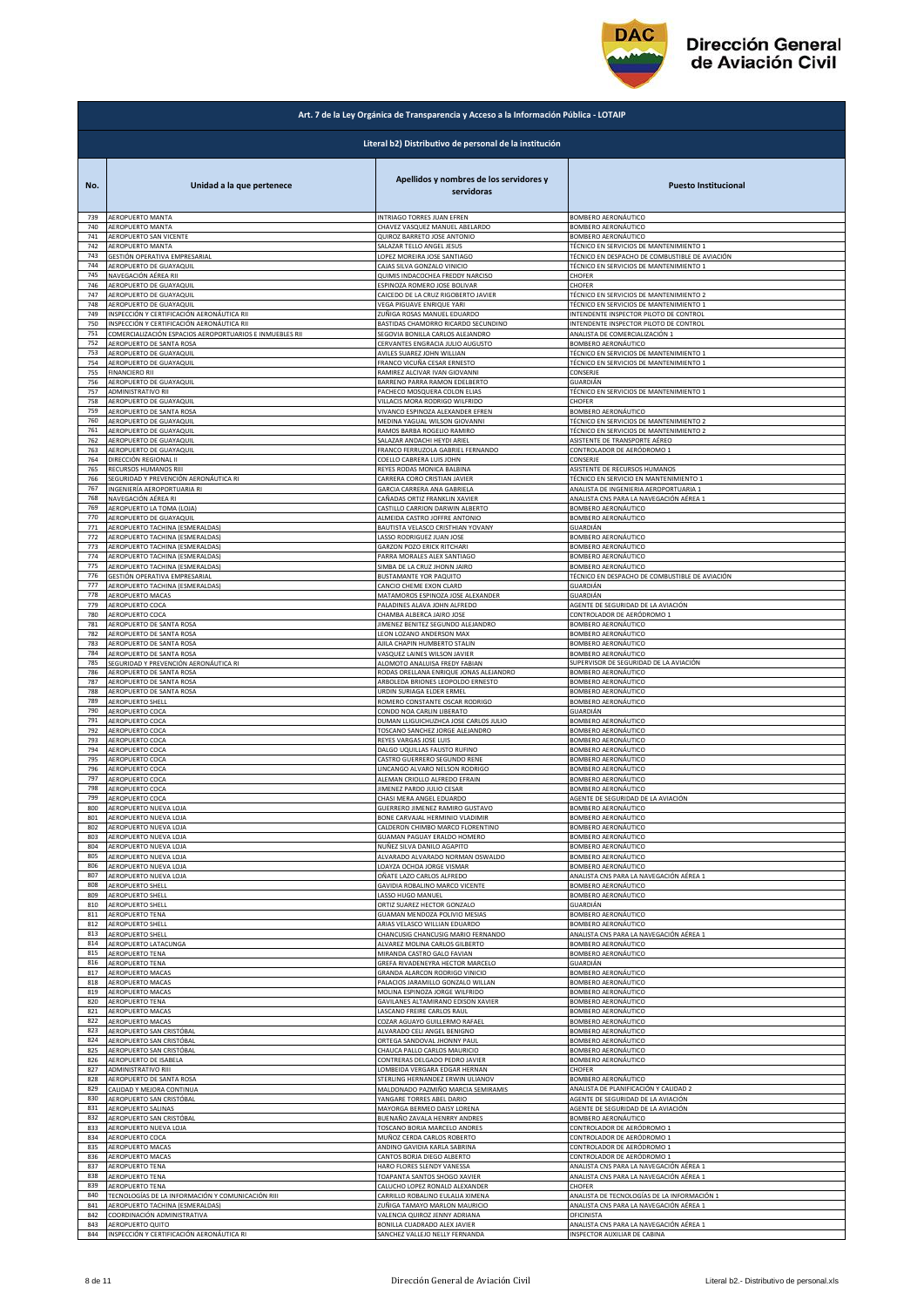

|            | Art. 7 de la Ley Orgánica de Transparencia y Acceso a la Información Pública - LOTAIP |                                                              |                                                |  |
|------------|---------------------------------------------------------------------------------------|--------------------------------------------------------------|------------------------------------------------|--|
|            |                                                                                       | Literal b2) Distributivo de personal de la institución       |                                                |  |
| No.        | Unidad a la que pertenece                                                             | Apellidos y nombres de los servidores y<br>servidoras        | <b>Puesto Institucional</b>                    |  |
| 739        | AEROPUERTO MANTA                                                                      | INTRIAGO TORRES JUAN EFREN                                   | BOMBERO AERONÁUTICO                            |  |
| 740        | AEROPUERTO MANTA                                                                      | CHAVEZ VASQUEZ MANUEL ABELARDO                               | <b>SOMBERO AERONÁUTICO</b>                     |  |
| 741        | AEROPUERTO SAN VICENTE                                                                | QUIROZ BARRETO JOSE ANTONIO                                  | <b>SOMBERO AERONÁUTICO</b>                     |  |
| 742        | AEROPUERTO MANTA                                                                      | SALAZAR TELLO ANGEL JESUS                                    | TÉCNICO EN SERVICIOS DE MANTENIMIENTO 1        |  |
| 743        | GESTIÓN OPERATIVA EMPRESARIAL                                                         | LOPEZ MOREIRA JOSE SANTIAGO                                  | TÉCNICO EN DESPACHO DE COMBUSTIBLE DE AVIACIÓN |  |
| 744        | AEROPUERTO DE GUAYAQUIL                                                               | CAJAS SILVA GONZALO VINICIO                                  | TÉCNICO EN SERVICIOS DE MANTENIMIENTO 1        |  |
| 745<br>746 | NAVEGACIÓN AÉREA RII                                                                  | QUIMIS INDACOCHEA FREDDY NARCISO                             | CHOFER                                         |  |
| 747        | AEROPUERTO DE GUAYAQUIL                                                               | ESPINOZA ROMERO JOSE BOLIVAR                                 | <b>CHOFER</b>                                  |  |
|            | AEROPUERTO DE GUAYAQUIL                                                               | CAICEDO DE LA CRUZ RIGOBERTO JAVIER                          | ÉCNICO EN SERVICIOS DE MANTENIMIENTO 2         |  |
| 748        | AEROPUERTO DE GUAYAQUIL                                                               | VEGA PIGUAVE ENRIQUE YARI                                    | TÉCNICO EN SERVICIOS DE MANTENIMIENTO 1        |  |
| 749        | INSPECCIÓN Y CERTIFICACIÓN AERONÁUTICA RII                                            | ZUÑIGA ROSAS MANUEL EDUARDO                                  | <b>INTENDENTE INSPECTOR PILOTO DE CONTROL</b>  |  |
| 750        | INSPECCIÓN Y CERTIFICACIÓN AERONÁUTICA RII                                            | BASTIDAS CHAMORRO RICARDO SECUNDINO                          | INTENDENTE INSPECTOR PILOTO DE CONTROL         |  |
| 751        | COMERCIALIZACIÓN ESPACIOS AEROPORTUARIOS E INMUEBLES RII                              | SEGOVIA BONILLA CARLOS ALEJANDRO                             | ANALISTA DE COMERCIALIZACIÓN 1                 |  |
| 752        | AEROPUERTO DE SANTA ROSA                                                              | CERVANTES ENGRACIA JULIO AUGUSTO                             | <b>3OMBERO AERONÁUTICO</b>                     |  |
| 753        | AEROPUERTO DE GUAYAQUIL                                                               | AVILES SUAREZ JOHN WILLIAN                                   | TÉCNICO EN SERVICIOS DE MANTENIMIENTO 1        |  |
| 754        | AEROPUERTO DE GUAYAQUIL                                                               | FRANCO VICUÑA CESAR ERNESTO                                  | TÉCNICO EN SERVICIOS DE MANTENIMIENTO 1        |  |
| 755        | <b>FINANCIERO RII</b>                                                                 | RAMIREZ ALCIVAR IVAN GIOVANNI                                | CONSERJE                                       |  |
| 756        | AEROPUERTO DE GUAYAQUIL                                                               | BARRENO PARRA RAMON EDELBERTO                                | GUARDIÁN                                       |  |
| 757        | ADMINISTRATIVO RII                                                                    | PACHECO MOSQUERA COLON ELIAS                                 | ÉCNICO EN SERVICIOS DE MANTENIMIENTO 1         |  |
| 758        | AEROPUERTO DE GUAYAQUIL                                                               | VILLACIS MORA RODRIGO WILFRIDO                               | <b>CHOFER</b>                                  |  |
| 759        | AEROPUERTO DE SANTA ROSA                                                              | VIVANCO ESPINOZA ALEXANDER EFREN                             | <b>SOMBERO AERONÁUTICO</b>                     |  |
| 760        | AEROPUERTO DE GUAYAQUIL                                                               | MEDINA YAGUAL WILSON GIOVANNI                                | <b>FÉCNICO EN SERVICIOS DE MANTENIMIENTO 2</b> |  |
| 761        | AEROPUERTO DE GUAYAQUIL                                                               | RAMOS BARBA ROGELIO RAMIRO                                   | TÉCNICO EN SERVICIOS DE MANTENIMIENTO 2        |  |
| 762        | AEROPUERTO DE GUAYAQUIL                                                               | SALAZAR ANDACHI HEYDI ARIEL                                  | ASISTENTE DE TRANSPORTE AÉREO                  |  |
| 763        | AEROPUERTO DE GUAYAQUIL                                                               | FRANCO FERRUZOLA GABRIEL FERNANDO                            | CONTROLADOR DE AERÓDROMO 1                     |  |
| 764        | DIRECCIÓN REGIONAL II                                                                 | COELLO CABRERA LUIS JOHN                                     | CONSERJE                                       |  |
| 765        | RECURSOS HUMANOS RIII                                                                 | REYES RODAS MONICA BALBINA                                   | ASISTENTE DE RECURSOS HUMANOS                  |  |
| 766        | SEGURIDAD Y PREVENCIÓN AERONÁUTICA RI                                                 | CARRERA CORO CRISTIAN JAVIER                                 | <b>FÉCNICO EN SERVICIO EN MANTENIMIENTO 1</b>  |  |
| 767        | INGENIERÍA AEROPORTUARIA RI                                                           | GARCIA CARRERA ANA GABRIELA                                  | ANALISTA DE INGENIERIA AEROPORTUARIA 1         |  |
|            | NAVEGACIÓN AÉREA RI                                                                   | CAÑADAS ORTIZ FRANKLIN XAVIER                                | ANALISTA CNS PARA LA NAVEGACIÓN AÉREA 1        |  |
| 768<br>769 | AEROPUERTO LA TOMA (LOJA)                                                             | CASTILLO CARRION DARWIN ALBERTO                              | BOMBERO AERONÁUTICO                            |  |
| 770        | AEROPUERTO DE GUAYAQUIL                                                               | ALMEIDA CASTRO JOFFRE ANTONIO                                | <b>3OMBERO AERONÁUTICO</b>                     |  |
| 771        | AEROPUERTO TACHINA (ESMERALDAS)                                                       | BAUTISTA VELASCO CRISTHIAN YOVANY                            | GUARDIÁN                                       |  |
| 772        | AEROPUERTO TACHINA (ESMERALDAS)                                                       | LASSO RODRIGUEZ JUAN JOSE                                    | <b>3OMBERO AERONÁUTICO</b>                     |  |
| 773        | AEROPUERTO TACHINA (ESMERALDAS)                                                       | <b>GARZON POZO ERICK RITCHARI</b>                            | BOMBERO AERONÁUTICO                            |  |
| 774        | AEROPUERTO TACHINA (ESMERALDAS)                                                       | PARRA MORALES ALEX SANTIAGO                                  | BOMBERO AERONÁUTICO                            |  |
| 775        | AEROPUERTO TACHINA (ESMERALDAS)                                                       | SIMBA DE LA CRUZ JHONN JAIRO                                 | BOMBERO AERONÁUTICO                            |  |
| 776        | GESTIÓN OPERATIVA EMPRESARIAL                                                         | BUSTAMANTE YOR PAQUITO                                       | TÉCNICO EN DESPACHO DE COMBUSTIBLE DE AVIACIÓN |  |
| 777        | AEROPUERTO TACHINA (ESMERALDAS)                                                       | CANCIO CHEME EXON CLARD                                      | GUARDIÁN                                       |  |
| 778        | AEROPUERTO MACAS                                                                      | MATAMOROS ESPINOZA JOSE ALEXANDER                            | GUARDIÁN                                       |  |
| 779        | AEROPUERTO COCA                                                                       | PALADINES ALAVA JOHN ALFREDO                                 | AGENTE DE SEGURIDAD DE LA AVIACIÓN             |  |
| 780        | AEROPUERTO COCA                                                                       | CHAMBA ALBERCA JAIRO JOSE                                    | CONTROLADOR DE AERÓDROMO 1                     |  |
| 781        | AEROPUERTO DE SANTA ROSA                                                              | JIMENEZ BENITEZ SEGUNDO ALEJANDRO                            | BOMBERO AERONÁUTICO                            |  |
| 782        | AEROPUERTO DE SANTA ROSA                                                              | LEON LOZANO ANDERSON MAX                                     | <b>OMBERO AERONÁUTICO</b>                      |  |
| 783        | AEROPUERTO DE SANTA ROSA                                                              | AJILA CHAPIN HUMBERTO STALIN                                 | <b>SOMBERO AERONÁUTICO</b>                     |  |
| 784        | AEROPUERTO DE SANTA ROSA                                                              | VASQUEZ LAINES WILSON JAVIER                                 | <b>SOMBERO AERONÁUTICO</b>                     |  |
| 785        | SEGURIDAD Y PREVENCIÓN AERONÁUTICA RI                                                 | ALOMOTO ANALUISA FREDY FABIAN                                | SUPERVISOR DE SEGURIDAD DE LA AVIACIÓN         |  |
| 786        | AEROPUERTO DE SANTA ROSA                                                              | RODAS ORELLANA ENRIQUE JONAS ALEJANDRO                       | SOMBERO AERONÁUTICO                            |  |
| 787        | AEROPUERTO DE SANTA ROSA                                                              | ARBOLEDA BRIONES LEOPOLDO ERNESTO                            | BOMBERO AERONÁUTICO                            |  |
| 788        | AEROPUERTO DE SANTA ROSA                                                              | URDIN SURIAGA ELDER ERMEL                                    | BOMBERO AERONÁUTICO                            |  |
| 789        | AEROPUERTO SHELL                                                                      | ROMERO CONSTANTE OSCAR RODRIGO                               | BOMBERO AERONÁUTICO                            |  |
| 790        | AEROPUERTO COCA                                                                       | CONDO NOA CARLIN LIBERATO                                    | GUARDIÁN                                       |  |
| 791        | AEROPUERTO COCA                                                                       | DUMAN LLIGUICHUZHCA JOSE CARLOS JULIO                        | <b>SOMBERO AERONÁUTICO</b>                     |  |
| 792        | AEROPUERTO COCA                                                                       | TOSCANO SANCHEZ JORGE ALEJANDRO                              | <b>3OMBERO AERONÁUTICO</b>                     |  |
| 793<br>794 | AEROPUERTO COCA<br>AEROPUERTO COCA                                                    | REYES VARGAS JOSE LUIS                                       | BOMBERO AERONÁUTICO                            |  |
| 795        | AEROPUERTO COCA                                                                       | DALGO UQUILLAS FAUSTO RUFINO<br>CASTRO GUERRERO SEGUNDO RENE | BOMBERO AERONÁUTICO<br>BOMBERO AERONÁUTICO     |  |
| 796        | AEROPUERTO COCA                                                                       | LINCANGO ALVARO NELSON RODRIGO                               | SOMBERO AERONÁUTICO                            |  |
| 797        | AEROPUERTO COCA                                                                       | ALEMAN CRIOLLO ALFREDO EFRAIN                                | <b>3OMBERO AERONÁUTICO</b>                     |  |
| 798        | AEROPUERTO COCA                                                                       | JIMENEZ PARDO JULIO CESAR                                    | <b>3OMBERO AERONÁUTICO</b>                     |  |
| 799        | AEROPUERTO COCA                                                                       | CHASI MERA ANGEL EDUARDO                                     | AGENTE DE SEGURIDAD DE LA AVIACIÓN             |  |
| 800        | AEROPUERTO NUEVA LOJA                                                                 | GUERRERO JIMENEZ RAMIRO GUSTAVO                              | BOMBERO AERONÁUTICO                            |  |
| 801        | AEROPUERTO NUEVA LOJA                                                                 | BONE CARVAJAL HERMINIO VLADIMIR                              | BOMBERO AERONÁUTICO                            |  |
| 802        | AEROPUERTO NUEVA LOJA                                                                 | CALDERON CHIMBO MARCO FLORENTINO                             | BOMBERO AERONÁUTICO                            |  |
| 803        | AEROPUERTO NUEVA LOJA                                                                 | GUAMAN PAGUAY ERALDO HOMERO                                  | BOMBERO AERONÁUTICO                            |  |
| 804        | AEROPUERTO NUEVA LOJA                                                                 | NUÑEZ SILVA DANILO AGAPITO                                   | <b>3OMBERO AERONÁUTICO</b>                     |  |
| 805        | AEROPUERTO NUEVA LOJA                                                                 | ALVARADO ALVARADO NORMAN OSWALDO                             | BOMBERO AERONÁUTICO                            |  |
| 806        | AEROPUERTO NUEVA LOJA                                                                 | LOAYZA OCHOA JORGE VISMAR                                    | BOMBERO AERONÁUTICO                            |  |
| 807        | AEROPUERTO NUEVA LOJA                                                                 | OÑATE LAZO CARLOS ALFREDO                                    | ANALISTA CNS PARA LA NAVEGACIÓN AÉREA 1        |  |
| 808        | AEROPUERTO SHELL                                                                      | GAVIDIA ROBALINO MARCO VICENTE                               | <b>SOMBERO AERONÁUTICO</b>                     |  |
| 809        | <b>AEROPUERTO SHELL</b>                                                               | LASSO HUGO MANUEL                                            | <b>SOMBERO AERONÁUTICO</b>                     |  |
| 810        | AEROPUERTO SHELL                                                                      | ORTIZ SUAREZ HECTOR GONZALO                                  | GUARDIÁN                                       |  |
| 811        | AEROPUERTO TENA                                                                       | GUAMAN MENDOZA POLIVIO MESIAS                                | BOMBERO AERONÁUTICO                            |  |
| 812        | AEROPUERTO SHELL                                                                      | ARIAS VELASCO WILLIAN EDUARDO                                | BOMBERO AERONÁUTICO                            |  |
| 813        | AEROPUERTO SHELL                                                                      | CHANCUSIG CHANCUSIG MARIO FERNANDO                           | ANALISTA CNS PARA LA NAVEGACIÓN AÉREA 1        |  |
| 814        | AEROPUERTO LATACUNGA                                                                  | ALVAREZ MOLINA CARLOS GILBERTO                               | BOMBERO AERONÁUTICO                            |  |
| 815        | AEROPUERTO TENA                                                                       | MIRANDA CASTRO GALO FAVIAN                                   | 3OMBERO AERONÁUTICO                            |  |
| 816        | AEROPUERTO TENA                                                                       | GREFA RIVADENEYRA HECTOR MARCELO                             | GUARDIÁN                                       |  |
| 817        | AEROPUERTO MACAS                                                                      | GRANDA ALARCON RODRIGO VINICIO                               | <b>SOMBERO AERONÁUTICO</b>                     |  |
| 818        | AEROPUERTO MACAS                                                                      | PALACIOS JARAMILLO GONZALO WILLAN                            | BOMBERO AERONÁUTICO                            |  |
| 819        | <b>AEROPUERTO MACAS</b>                                                               | MOLINA ESPINOZA JORGE WILFRIDO                               | BOMBERO AERONÁUTICO                            |  |
| 820        | AEROPUERTO TENA                                                                       | GAVILANES ALTAMIRANO EDISON XAVIER                           | BOMBERO AERONÁUTICO                            |  |
| 821        | AEROPUERTO MACAS                                                                      | LASCANO FREIRE CARLOS RAUL                                   | <b>3OMBERO AERONÁUTICO</b>                     |  |
| 822        | <b>AEROPUERTO MACAS</b>                                                               | COZAR AGUAYO GUILLERMO RAFAEL                                | BOMBERO AERONÁUTICO                            |  |
| 823        | AEROPUERTO SAN CRISTÓBAL                                                              | ALVARADO CELI ANGEL BENIGNO                                  | BOMBERO AERONÁUTICO                            |  |
| 824        | AEROPUERTO SAN CRISTÓBAL                                                              | ORTEGA SANDOVAL JHONNY PAUL                                  | BOMBERO AERONÁUTICO                            |  |
| 825        | AEROPUERTO SAN CRISTÓBAL                                                              | CHAUCA PALLO CARLOS MAURICIO                                 | BOMBERO AERONÁUTICO                            |  |
| 826        | AEROPUERTO DE ISABELA                                                                 | CONTRERAS DELGADO PEDRO JAVIER                               | BOMBERO AERONÁUTICO                            |  |
| 827        | <b>ADMINISTRATIVO RIII</b>                                                            | LOMBEIDA VERGARA EDGAR HERNAN                                | CHOFER                                         |  |
| 828        | AEROPUERTO DE SANTA ROSA                                                              | STERLING HERNANDEZ ERWIN ULIANOV                             | BOMBERO AERONÁUTICO                            |  |
| 829        | CALIDAD Y MEJORA CONTINUA                                                             | MALDONADO PAZMIÑO MARCIA SEMIRAMIS                           | ANALISTA DE PLANIFICACIÓN Y CALIDAD 2          |  |
| 830        | AEROPUERTO SAN CRISTÓBAL                                                              | YANGARE TORRES ABEL DARIO                                    | AGENTE DE SEGURIDAD DE LA AVIACIÓN             |  |
| 831        | AEROPUERTO SALINAS                                                                    | MAYORGA BERMEO DAISY LORENA                                  | AGENTE DE SEGURIDAD DE LA AVIACIÓN             |  |
| 832        | AEROPUERTO SAN CRISTÓBAL                                                              | BUENAÑO ZAVALA HENRRY ANDRES                                 | BOMBERO AERONÁUTICO                            |  |
| 833        | AEROPUERTO NUEVA LOJA                                                                 | TOSCANO BORJA MARCELO ANDRES                                 | CONTROLADOR DE AERÓDROMO 1                     |  |
| 834        | AEROPUERTO COCA                                                                       | MUÑOZ CERDA CARLOS ROBERTO                                   | CONTROLADOR DE AERÓDROMO 1                     |  |
| 835        | AEROPUERTO MACAS                                                                      | ANDINO GAVIDIA KARLA SABRINA                                 | CONTROLADOR DE AERÓDROMO 1                     |  |
| 836        | AEROPUERTO MACAS                                                                      | CANTOS BORJA DIEGO ALBERTO                                   | CONTROLADOR DE AERÓDROMO 1                     |  |
| 837        | AEROPUERTO TENA                                                                       | HARO FLORES SLENDY VANESSA                                   | ANALISTA CNS PARA LA NAVEGACIÓN AÉREA 1        |  |
| 838        | AEROPUERTO TENA                                                                       | TOAPANTA SANTOS SHOGO XAVIER                                 | ANALISTA CNS PARA LA NAVEGACIÓN AÉREA 1        |  |
| 839        | <b>AEROPUERTO TENA</b>                                                                | CALUCHO LOPEZ RONALD ALEXANDER                               | CHOFER                                         |  |
| 840        | TECNOLOGÍAS DE LA INFORMACIÓN Y COMUNICACIÓN RIII                                     | CARRILLO ROBALINO EULALIA XIMENA                             | ANALISTA DE TECNOLOGÍAS DE LA INFORMACIÓN 1    |  |
| 841        | AEROPUERTO TACHINA (ESMERALDAS)                                                       | ZUÑIGA TAMAYO MARLON MAURICIO                                | ANALISTA CNS PARA LA NAVEGACIÓN AÉREA          |  |
| 842        | COORDINACIÓN ADMINISTRATIVA                                                           | VALENCIA QUIROZ JENNY ADRIANA                                | OFICINISTA                                     |  |
| 843        | AEROPUERTO QUITO                                                                      | BONILLA CUADRADO ALEX JAVIER                                 | ANALISTA CNS PARA LA NAVEGACIÓN AÉREA 1        |  |
| 844        | INSPECCIÓN Y CERTIFICACIÓN AERONÁUTICA RI                                             | SANCHEZ VALLEJO NELLY FERNANDA                               | INSPECTOR AUXILIAR DE CABINA                   |  |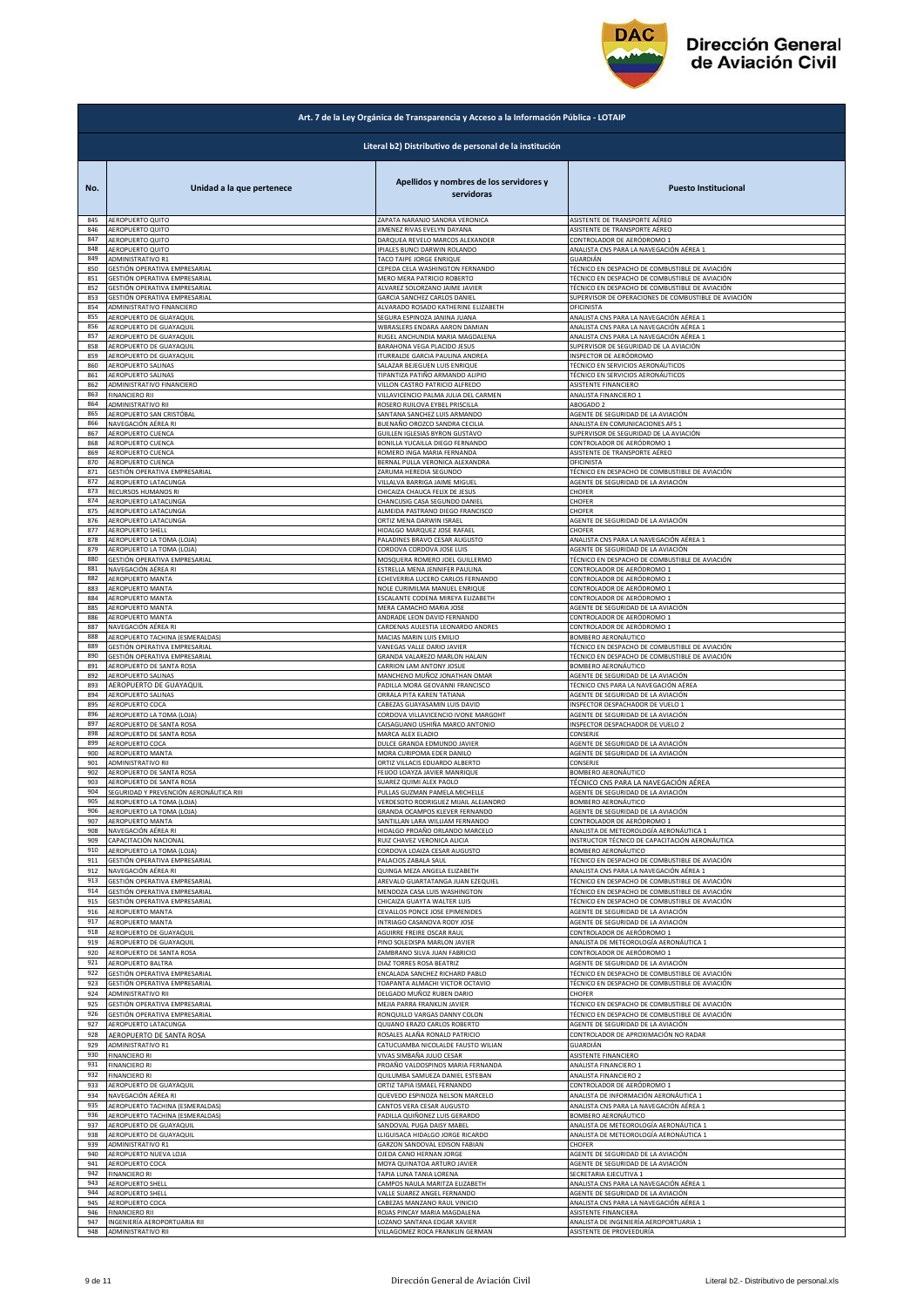

|            | Art. 7 de la Ley Orgánica de Transparencia y Acceso a la Información Pública - LOTAIP |                                                                   |                                                                       |  |
|------------|---------------------------------------------------------------------------------------|-------------------------------------------------------------------|-----------------------------------------------------------------------|--|
|            |                                                                                       | Literal b2) Distributivo de personal de la institución            |                                                                       |  |
| No.        | Unidad a la que pertenece                                                             | Apellidos y nombres de los servidores y<br>servidoras             | <b>Puesto Institucional</b>                                           |  |
| 845        | AEROPUERTO QUITO                                                                      | ZAPATA NARANJO SANDRA VERONICA                                    | ASISTENTE DE TRANSPORTE AÉREO                                         |  |
| 846        | AEROPUERTO QUITO                                                                      | <b>IIMENEZ RIVAS EVELYN DAYANA</b>                                | ASISTENTE DE TRANSPORTE AÉREO                                         |  |
| 847        | AEROPUERTO QUITO                                                                      | DARQUEA REVELO MARCOS ALEXANDER                                   | CONTROLADOR DE AERÓDROMO 1                                            |  |
| 848        | AEROPUERTO QUITO                                                                      | IPIALES BUNCI DARWIN ROLANDO                                      | ANALISTA CNS PARA LA NAVEGACIÓN AÉREA 1                               |  |
| 849        | ADMINISTRATIVO R1                                                                     | TACO TAIPE JORGE ENRIQUE                                          | GUARDIÁN                                                              |  |
| 850        | GESTIÓN OPERATIVA EMPRESARIAL                                                         | CEPEDA CELA WASHINGTON FERNANDO                                   | TÉCNICO EN DESPACHO DE COMBUSTIBLE DE AVIACIÓN                        |  |
| 851        | GESTIÓN OPERATIVA EMPRESARIAL                                                         | MERO MERA PATRICIO ROBERTO                                        | TÉCNICO EN DESPACHO DE COMBUSTIBLE DE AVIACIÓN                        |  |
| 852        | GESTIÓN OPERATIVA EMPRESARIAL                                                         | ALVAREZ SOLORZANO JAIME JAVIER                                    | TÉCNICO EN DESPACHO DE COMBUSTIBLE DE AVIACIÓN                        |  |
| 853        | GESTIÓN OPERATIVA EMPRESARIAL                                                         | GARCIA SANCHEZ CARLOS DANIEL                                      | SUPERVISOR DE OPERACIONES DE COMBUSTIBLE DE AVIACIÓN                  |  |
| 854        | ADMINISTRATIVO FINANCIERO                                                             | ALVARADO ROSADO KATHERINE ELIZABETH                               | OFICINISTA                                                            |  |
| 855        | AEROPUERTO DE GUAYAQUIL                                                               | SEGURA ESPINOZA JANINA JUANA                                      | ANALISTA CNS PARA LA NAVEGACIÓN AÉREA 1                               |  |
| 856        | AEROPUERTO DE GUAYAQUIL                                                               | WBRASLERS ENDARA AARON DAMIAN                                     | ANALISTA CNS PARA LA NAVEGACIÓN AÉREA 1                               |  |
| 857        | AEROPUERTO DE GUAYAQUIL                                                               | RUGEL ANCHUNDIA MARIA MAGDALENA                                   | ANALISTA CNS PARA LA NAVEGACIÓN AÉREA 1                               |  |
| 858        | AEROPUERTO DE GUAYAQUIL                                                               | BARAHONA VEGA PLACIDO JESUS                                       | SUPERVISOR DE SEGURIDAD DE LA AVIACIÓN                                |  |
| 859        | AEROPUERTO DE GUAYAQUIL                                                               | <b>ITURRALDE GARCIA PAULINA ANDREA</b>                            | NSPECTOR DE AERÓDROMO                                                 |  |
| 860        | AEROPUERTO SALINAS                                                                    | SALAZAR BEJEGUEN LUIS ENRIQUE                                     | TÉCNICO EN SERVICIOS AERONÁUTICOS                                     |  |
| 861        | AEROPUERTO SALINAS                                                                    | TIPANTIZA PATIÑO ARMANDO ALIPIO                                   | TÉCNICO EN SERVICIOS AERONÁUTICOS                                     |  |
| 862        | ADMINISTRATIVO FINANCIERO                                                             | VILLON CASTRO PATRICIO ALFREDO                                    | ASISTENTE FINANCIERO                                                  |  |
| 863        | <b>FINANCIERO RII</b>                                                                 | VILLAVICENCIO PALMA JULIA DEL CARMEN                              | ANALISTA FINANCIERO 1                                                 |  |
| 864        | ADMINISTRATIVO RII                                                                    | ROSERO RUILOVA EYBEL PRISCILLA                                    | ABOGADO 2                                                             |  |
| 865        | AEROPUERTO SAN CRISTÓBAL                                                              | SANTANA SANCHEZ LUIS ARMANDO                                      | AGENTE DE SEGURIDAD DE LA AVIACIÓN                                    |  |
| 866        | NAVEGACIÓN AÉREA RI                                                                   | BUENAÑO OROZCO SANDRA CECILIA                                     | ANALISTA EN COMUNICACIONES AFS 1                                      |  |
| 867        | AEROPUERTO CUENCA                                                                     | GUILLEN IGLESIAS BYRON GUSTAVO                                    | SUPERVISOR DE SEGURIDAD DE LA AVIACIÓN                                |  |
| 868        | AEROPUERTO CUENCA                                                                     | BONILLA YUCAILLA DIEGO FERNANDO                                   | CONTROLADOR DE AERÓDROMO 1                                            |  |
| 869        | AEROPUERTO CUENCA                                                                     | ROMERO INGA MARIA FERNANDA                                        | ASISTENTE DE TRANSPORTE AÉREO                                         |  |
| 870        | AEROPUERTO CUENCA                                                                     | BERNAL PULLA VERONICA ALEXANDRA                                   | DFICINISTA                                                            |  |
| 871        | GESTIÓN OPERATIVA EMPRESARIAL                                                         | ZARUMA HEREDIA SEGUNDO                                            | TÉCNICO EN DESPACHO DE COMBUSTIBLE DE AVIACIÓN                        |  |
| 872        | AEROPUERTO LATACUNGA                                                                  | VILLALVA BARRIGA JAIME MIGUEL                                     | AGENTE DE SEGURIDAD DE LA AVIACIÓN                                    |  |
| 873        | RECURSOS HUMANOS RI                                                                   | CHICAIZA CHAUCA FELIX DE JESUS                                    | CHOFER                                                                |  |
| 874        | AEROPUERTO LATACUNGA                                                                  | CHANCUSIG CASA SEGUNDO DANIEL                                     | CHOFER                                                                |  |
| 875        | AEROPUERTO LATACUNGA                                                                  | ALMEIDA PASTRANO DIEGO FRANCISCO                                  | CHOFER                                                                |  |
| 876        | AEROPUERTO LATACUNGA                                                                  | ORTIZ MENA DARWIN ISRAEL                                          | AGENTE DE SEGURIDAD DE LA AVIACIÓN                                    |  |
| 877        | <b>AEROPUERTO SHELL</b>                                                               | HIDALGO MARQUEZ JOSE RAFAEL                                       | CHOFER                                                                |  |
| 878        | AEROPUERTO LA TOMA (LOJA)                                                             | PALADINES BRAVO CESAR AUGUSTO                                     | ANALISTA CNS PARA LA NAVEGACIÓN AÉREA 1                               |  |
| 879        | AEROPUERTO LA TOMA (LOJA)                                                             | CORDOVA CORDOVA JOSE LUIS                                         | AGENTE DE SEGURIDAD DE LA AVIACIÓN                                    |  |
| 880        | GESTIÓN OPERATIVA EMPRESARIAL                                                         | MOSQUERA ROMERO JOEL GUILLERMO                                    | TÉCNICO EN DESPACHO DE COMBUSTIBLE DE AVIACIÓN                        |  |
| 881        | NAVEGACIÓN AÉREA RI                                                                   | ESTRELLA MENA JENNIFER PAULINA                                    | CONTROLADOR DE AERÓDROMO 1                                            |  |
| 882        | AEROPUERTO MANTA                                                                      | ECHEVERRIA LUCERO CARLOS FERNANDO                                 | CONTROLADOR DE AERÓDROMO 1                                            |  |
| 883        | AEROPUERTO MANTA                                                                      | NOLE CURIMILMA MANUEL ENRIQUE                                     | CONTROLADOR DE AERÓDROMO 1                                            |  |
| 884        | AEROPUERTO MANTA                                                                      | ESCALANTE CODENA MIREYA ELIZABETH                                 | CONTROLADOR DE AERÓDROMO 1                                            |  |
| 885        | AEROPUERTO MANTA                                                                      | MERA CAMACHO MARIA JOSE                                           | AGENTE DE SEGURIDAD DE LA AVIACIÓN                                    |  |
| 886        | AEROPUERTO MANTA                                                                      | ANDRADE LEON DAVID FERNANDO                                       | CONTROLADOR DE AERÓDROMO 1                                            |  |
| 887        | NAVEGACIÓN AÉREA RI                                                                   | CARDENAS AULESTIA LEONARDO ANDRES                                 | CONTROLADOR DE AERÓDROMO 1                                            |  |
| 888        | AEROPUERTO TACHINA (ESMERALDAS)                                                       | MACIAS MARIN LUIS EMILIO                                          | BOMBERO AERONÁUTICO                                                   |  |
| 889<br>890 | GESTIÓN OPERATIVA EMPRESARIAL<br>GESTIÓN OPERATIVA EMPRESARIAL                        | VANEGAS VALLE DARIO JAVIER                                        | TÉCNICO EN DESPACHO DE COMBUSTIBLE DE AVIACIÓN                        |  |
| 891        | AEROPUERTO DE SANTA ROSA                                                              | GRANDA VALAREZO MARLON HALAIN<br>CARRION LAM ANTONY JOSUE         | TÉCNICO EN DESPACHO DE COMBUSTIBLE DE AVIACIÓN<br>BOMBERO AERONÁUTICO |  |
| 892        | AEROPUERTO SALINAS                                                                    | MANCHENO MUÑOZ JONATHAN OMAR                                      | AGENTE DE SEGURIDAD DE LA AVIACIÓN                                    |  |
| 893        | AEROPUERTO DE GUAYAQUIL                                                               | PADILLA MORA GEOVANNI FRANCISCO                                   | TÉCNICO CNS PARA LA NAVEGACIÓN AÉREA                                  |  |
| 894        | AEROPUERTO SALINAS                                                                    | ORRALA PITA KAREN TATIANA                                         | AGENTE DE SEGURIDAD DE LA AVIACIÓN                                    |  |
| 895        | AEROPUERTO COCA                                                                       | CABEZAS GUAYASAMIN LUIS DAVID                                     | NSPECTOR DESPACHADOR DE VUELO 1                                       |  |
| 896        | AEROPUERTO LA TOMA (LOJA)                                                             | CORDOVA VILLAVICENCIO IVONE MARGOHT                               | AGENTE DE SEGURIDAD DE LA AVIACIÓN                                    |  |
| 897        | AEROPUERTO DE SANTA ROSA                                                              | CAISAGUANO USHIÑA MARCO ANTONIO                                   | <b>NSPECTOR DESPACHADOR DE VUELO 2</b>                                |  |
| 898        | AEROPUERTO DE SANTA ROSA                                                              | MARCA ALEX ELADIO                                                 | CONSERJE                                                              |  |
| 899        | AEROPUERTO COCA                                                                       | DULCE GRANDA EDMUNDO JAVIER                                       | AGENTE DE SEGURIDAD DE LA AVIACIÓN                                    |  |
| 900        | <b>AEROPUERTO MANTA</b>                                                               | MORA CURIPOMA EDER DANILO                                         | AGENTE DE SEGURIDAD DE LA AVIACIÓN                                    |  |
| 901        | ADMINISTRATIVO RII                                                                    | ORTIZ VILLACIS EDUARDO ALBERTO                                    | CONSERJE                                                              |  |
| 902        | AEROPUERTO DE SANTA ROSA                                                              | FEIJOO LOAYZA JAVIER MANRIQUE                                     | BOMBERO AERONÁUTICO                                                   |  |
| 903        | AEROPUERTO DE SANTA ROSA                                                              | SUAREZ QUIMI ALEX PAOLO                                           | TÉCNICO CNS PARA LA NAVEGACIÓN AÉREA                                  |  |
| 904        | SEGURIDAD Y PREVENCIÓN AERONÁUTICA RIII                                               | PULLAS GUZMAN PAMELA MICHELLE                                     | AGENTE DE SEGURIDAD DE LA AVIACIÓN                                    |  |
| 905        | <b>AERORLIERTO LA TOMA (LO</b>                                                        | VERDESOTO RODRIGUEZ MUAIL                                         | IOMRERO AERONÁLI                                                      |  |
| 906        | AEROPUERTO LA TOMA (LOJA)                                                             | GRANDA OCAMPOS KLEVER FERNANDO                                    | AGENTE DE SEGURIDAD DE LA AVIACIÓN                                    |  |
| 907        | <b>AEROPUERTO MANTA</b>                                                               | SANTILLAN LARA WILLIAM FERNANDO                                   | CONTROLADOR DE AERÓDROMO 1                                            |  |
| 908        | NAVEGACIÓN AÉREA RI                                                                   | HIDALGO PROAÑO ORLANDO MARCELO                                    | ANALISTA DE METEOROLOGÍA AERONÁUTICA 1                                |  |
| 909        | CAPACITACIÓN NACIONAL                                                                 | RUIZ CHAVEZ VERONICA ALICIA                                       | NSTRUCTOR TÉCNICO DE CAPACITACIÓN AERONÁUTICA                         |  |
| 910        | AEROPUERTO LA TOMA (LOJA)                                                             | CORDOVA LOAIZA CESAR AUGUSTO                                      | BOMBERO AERONÁUTICO                                                   |  |
| 911        | GESTIÓN OPERATIVA EMPRESARIAL                                                         | PALACIOS ZABALA SAUL                                              | TÉCNICO EN DESPACHO DE COMBUSTIBLE DE AVIACIÓN                        |  |
| 912        | NAVEGACIÓN AÉREA RI                                                                   | QUINGA MEZA ANGELA ELIZABETH                                      | ANALISTA CNS PARA LA NAVEGACIÓN AÉREA 1                               |  |
| 913        | GESTIÓN OPERATIVA EMPRESARIAL                                                         | AREVALO GUARTATANGA JUAN EZEQUIEL                                 | TÉCNICO EN DESPACHO DE COMBUSTIBLE DE AVIACIÓN                        |  |
| 914        | GESTIÓN OPERATIVA EMPRESARIAL                                                         | MENDOZA CASA LUIS WASHINGTON                                      | TÉCNICO EN DESPACHO DE COMBUSTIBLE DE AVIACIÓN                        |  |
| 915        | GESTIÓN OPERATIVA EMPRESARIAL                                                         | CHICAIZA GUAYTA WALTER LUIS                                       | TÉCNICO EN DESPACHO DE COMBUSTIBLE DE AVIACIÓN                        |  |
| 916        | AEROPUERTO MANTA                                                                      | CEVALLOS PONCE JOSE EPIMENIDES                                    | AGENTE DE SEGURIDAD DE LA AVIACIÓN                                    |  |
| 917        | <b>AEROPUERTO MANTA</b>                                                               | INTRIAGO CASANOVA RODY JOSE                                       | AGENTE DE SEGURIDAD DE LA AVIACIÓN                                    |  |
| 918        | AEROPUERTO DE GUAYAQUIL                                                               | AGUIRRE FREIRE OSCAR RAUL                                         | CONTROLADOR DE AERÓDROMO 1                                            |  |
| 919        | AEROPUERTO DE GUAYAQUIL                                                               | PINO SOLEDISPA MARLON JAVIER                                      | ANALISTA DE METEOROLOGÍA AERONÁUTICA 1                                |  |
| 920        | AEROPUERTO DE SANTA ROSA                                                              | ZAMBRANO SILVA JUAN FABRICIO                                      | CONTROLADOR DE AERÓDROMO 1                                            |  |
| 921        | AEROPUERTO BALTRA                                                                     | DIAZ TORRES ROSA BEATRIZ                                          | AGENTE DE SEGURIDAD DE LA AVIACIÓN                                    |  |
| 922        | GESTIÓN OPERATIVA EMPRESARIAL                                                         | ENCALADA SANCHEZ RICHARD PABLO                                    | TÉCNICO EN DESPACHO DE COMBUSTIBLE DE AVIACIÓN                        |  |
| 923        | GESTIÓN OPERATIVA EMPRESARIAL                                                         | TOAPANTA ALMACHI VICTOR OCTAVIO                                   | TÉCNICO EN DESPACHO DE COMBUSTIBLE DE AVIACIÓN                        |  |
| 924        | ADMINISTRATIVO RII                                                                    | DELGADO MUÑOZ RUBEN DARIO                                         | CHOFER                                                                |  |
| 925        | GESTIÓN OPERATIVA EMPRESARIAL                                                         | MEJIA PARRA FRANKLIN JAVIER                                       | TÉCNICO EN DESPACHO DE COMBUSTIBLE DE AVIACIÓN                        |  |
| 926        | GESTIÓN OPERATIVA EMPRESARIAL                                                         | RONQUILLO VARGAS DANNY COLON                                      | TÉCNICO EN DESPACHO DE COMBUSTIBLE DE AVIACIÓN                        |  |
| 927        | AEROPUERTO LATACUNGA                                                                  | QUIJANO ERAZO CARLOS ROBERTO                                      | AGENTE DE SEGURIDAD DE LA AVIACIÓN                                    |  |
| 928        | AEROPUERTO DE SANTA ROSA                                                              | ROSALES ALAÑA RONALD PATRICIO                                     | CONTROLADOR DE APROXIMACIÓN NO RADAR                                  |  |
| 929        | ADMINISTRATIVO R1                                                                     | CATUCUAMBA NICOLALDE FAUSTO WILIAN                                | GUARDIÁN                                                              |  |
| 930        | <b>FINANCIERO RI</b>                                                                  | VIVAS SIMBAÑA JULIO CESAR                                         | ASISTENTE FINANCIERO                                                  |  |
| 931        | <b>FINANCIERO RI</b>                                                                  | PROAÑO VALDOSPINOS MARIA FERNANDA                                 | ANALISTA FINANCIERO 1                                                 |  |
| 932        | <b>FINANCIERO RI</b>                                                                  | QUILUMBA SAMUEZA DANIEL ESTEBAN                                   | ANALISTA FINANCIERO 2                                                 |  |
| 933        | AEROPUERTO DE GUAYAQUIL                                                               | ORTIZ TAPIA ISMAEL FERNANDO                                       | CONTROLADOR DE AERÓDROMO 1                                            |  |
| 934        | NAVEGACIÓN AÉREA RI                                                                   | QUEVEDO ESPINOZA NELSON MARCELO                                   | ANALISTA DE INFORMACIÓN AERONÁUTICA 1                                 |  |
| 935        | AEROPUERTO TACHINA (ESMERALDAS)                                                       | CANTOS VERA CESAR AUGUSTO                                         | ANALISTA CNS PARA LA NAVEGACIÓN AÉREA 1                               |  |
| 936        | <b>AEROPUERTO TACHINA (ESMERALDAS)</b>                                                | PADILLA QUIÑONEZ LUIS GERARDO                                     | BOMBERO AERONÁUTICO                                                   |  |
| 937        | AEROPUERTO DE GUAYAQUIL                                                               | SANDOVAL PUGA DAISY MABEL                                         | ANALISTA DE METEOROLOGÍA AERONÁUTICA 1                                |  |
| 938        | AEROPUERTO DE GUAYAQUIL                                                               |                                                                   | ANALISTA DE METEOROLOGÍA AERONÁUTICA 1                                |  |
| 939        | <b>ADMINISTRATIVO R1</b>                                                              | LLIGUISACA HIDALGO JORGE RICARDO<br>GARZON SANDOVAL EDISON FABIAN | CHOFER                                                                |  |
| 940        | AEROPUERTO NUEVA LOJA                                                                 | OJEDA CANO HERNAN JORGE                                           | AGENTE DE SEGURIDAD DE LA AVIACIÓN                                    |  |
| 941        | AEROPUERTO COCA                                                                       | MOYA QUINATOA ARTURO JAVIER                                       | AGENTE DE SEGURIDAD DE LA AVIACIÓN                                    |  |
| 942        | <b>FINANCIERO RI</b>                                                                  | TAPIA LUNA TANIA LORENA                                           | SECRETARIA EJECUTIVA 1                                                |  |
| 943        | AEROPUERTO SHELL                                                                      | CAMPOS NAULA MARITZA ELIZABETH                                    | ANALISTA CNS PARA LA NAVEGACIÓN AÉREA 1                               |  |
| 944        | AEROPUERTO SHELL                                                                      | VALLE SUAREZ ANGEL FERNANDO                                       | AGENTE DE SEGURIDAD DE LA AVIACIÓN                                    |  |
| 945        | AEROPUERTO COCA                                                                       | CABEZAS MANZANO RAUL VINICIO                                      | ANALISTA CNS PARA LA NAVEGACIÓN AÉREA 1                               |  |
| 946        | <b>FINANCIERO RII</b>                                                                 | ROJAS PINCAY MARIA MAGDALENA                                      | ASISTENTE FINANCIERA                                                  |  |
| 947        | INGENIERÍA AEROPORTUARIA RII                                                          | LOZANO SANTANA EDGAR XAVIER                                       | ANALISTA DE INGENIERÍA AEROPORTUARIA 1                                |  |
| 948        | ADMINISTRATIVO RII                                                                    | VILLAGOMEZ ROCA FRANKLIN GERMAN                                   | ASISTENTE DE PROVEEDURÍA                                              |  |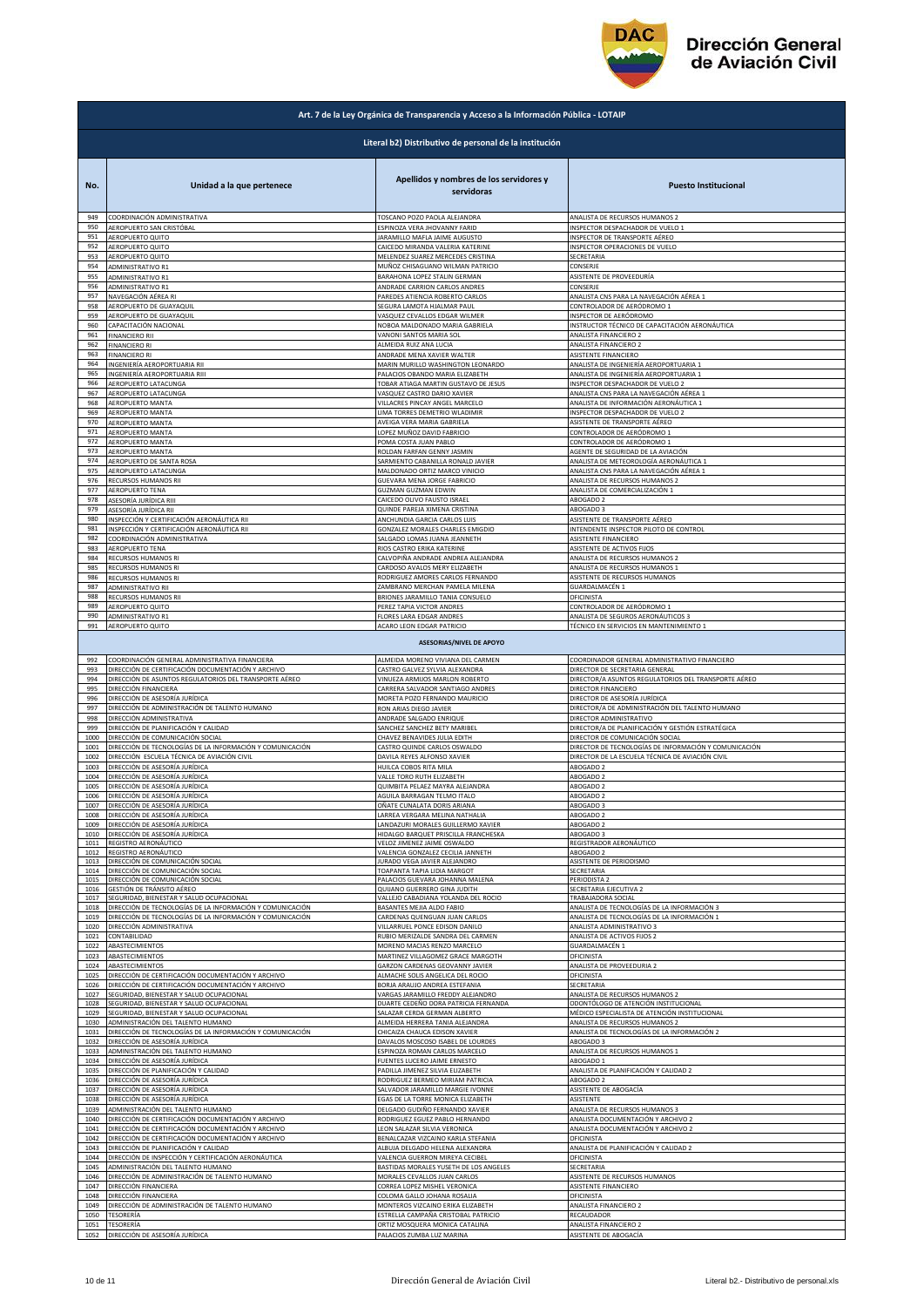

| Art. 7 de la Ley Orgánica de Transparencia y Acceso a la Información Pública - LOTAIP |                                                                                      |                                                                           |                                                                        |
|---------------------------------------------------------------------------------------|--------------------------------------------------------------------------------------|---------------------------------------------------------------------------|------------------------------------------------------------------------|
|                                                                                       |                                                                                      | Literal b2) Distributivo de personal de la institución                    |                                                                        |
| No.                                                                                   | Unidad a la que pertenece                                                            | Apellidos y nombres de los servidores y<br>servidoras                     | <b>Puesto Institucional</b>                                            |
| 949                                                                                   | COORDINACIÓN ADMINISTRATIVA                                                          | TOSCANO POZO PAOLA ALEJANDRA                                              | ANALISTA DE RECURSOS HUMANOS 2                                         |
| 950                                                                                   | AEROPUERTO SAN CRISTÓBAL                                                             | ESPINOZA VERA JHOVANNY FARID                                              | <b>NSPECTOR DESPACHADOR DE VUELO 1</b>                                 |
| 951                                                                                   | AEROPUERTO QUITO                                                                     | JARAMILLO MAFLA JAIME AUGUSTO                                             | NSPECTOR DE TRANSPORTE AÉREO                                           |
| 952                                                                                   | AEROPUERTO QUITO                                                                     | CAICEDO MIRANDA VALERIA KATERINE                                          | INSPECTOR OPERACIONES DE VUELO                                         |
| 953                                                                                   | AEROPUERTO QUITO                                                                     | MELENDEZ SUAREZ MERCEDES CRISTINA                                         | SECRETARIA                                                             |
| 954                                                                                   | ADMINISTRATIVO R1                                                                    | MUÑOZ CHISAGUANO WILMAN PATRICIO                                          | CONSERJE                                                               |
| 955                                                                                   | ADMINISTRATIVO R1                                                                    | BARAHONA LOPEZ STALIN GERMAN                                              | ASISTENTE DE PROVEEDURÍA                                               |
| 956                                                                                   | ADMINISTRATIVO R1                                                                    | ANDRADE CARRION CARLOS ANDRES                                             | CONSERJE                                                               |
| 957                                                                                   | NAVEGACIÓN AÉREA RI                                                                  | PAREDES ATIENCIA ROBERTO CARLOS                                           | ANALISTA CNS PARA LA NAVEGACIÓN AÉREA 1                                |
| 958                                                                                   | AEROPUERTO DE GUAYAQUIL                                                              | SEGURA LAMOTA HJALMAR PAUL                                                | CONTROLADOR DE AERÓDROMO 1                                             |
| 959                                                                                   | AEROPUERTO DE GUAYAQUIL                                                              | VASQUEZ CEVALLOS EDGAR WILMER                                             | NSPECTOR DE AERÓDROMO                                                  |
| 960                                                                                   | CAPACITACIÓN NACIONAL                                                                | NOBOA MALDONADO MARIA GABRIELA                                            | INSTRUCTOR TÉCNICO DE CAPACITACIÓN AERONÁUTICA                         |
| 961                                                                                   | <b>FINANCIERO RII</b>                                                                | VANONI SANTOS MARIA SOL                                                   | ANALISTA FINANCIERO 2                                                  |
| 962                                                                                   | <b>FINANCIERO RI</b>                                                                 | ALMEIDA RUIZ ANA LUCIA                                                    | ANALISTA FINANCIERO 2                                                  |
| 963                                                                                   | <b>FINANCIERO RI</b>                                                                 | ANDRADE MENA XAVIER WALTER                                                | ASISTENTE FINANCIERO                                                   |
| 964                                                                                   | INGENIERÍA AEROPORTUARIA RII                                                         | MARIN MURILLO WASHINGTON LEONARDO                                         | ANALISTA DE INGENIERÍA AEROPORTUARIA 1                                 |
| 965                                                                                   | INGENIERÍA AEROPORTUARIA RIII                                                        | PALACIOS OBANDO MARIA ELIZABETH                                           | ANALISTA DE INGENIERÍA AEROPORTUARIA 1                                 |
| 966                                                                                   | AEROPUERTO LATACUNGA                                                                 | TOBAR ATIAGA MARTIN GUSTAVO DE JESUS                                      | <b>NSPECTOR DESPACHADOR DE VUELO :</b>                                 |
| 967                                                                                   | AEROPUERTO LATACUNGA                                                                 | VASQUEZ CASTRO DARIO XAVIER                                               | ANALISTA CNS PARA LA NAVEGACIÓN AÉREA 1                                |
| 968                                                                                   | <b>AEROPUERTO MANTA</b>                                                              | VILLACRES PINCAY ANGEL MARCELO                                            | ANALISTA DE INFORMACIÓN AERONÁUTICA 1                                  |
| 969                                                                                   | AEROPUERTO MANTA                                                                     | LIMA TORRES DEMETRIO WLADIMIR                                             | INSPECTOR DESPACHADOR DE VUELO 2                                       |
| 970                                                                                   | AEROPUERTO MANTA                                                                     | AVEIGA VERA MARIA GABRIELA                                                | ASISTENTE DE TRANSPORTE AÉREO                                          |
| 971                                                                                   | AEROPUERTO MANTA                                                                     | LOPEZ MUÑOZ DAVID FABRICIO                                                | CONTROLADOR DE AERÓDROMO 1                                             |
| 972                                                                                   | AEROPUERTO MANTA                                                                     | POMA COSTA JUAN PABLO                                                     | CONTROLADOR DE AERÓDROMO 1                                             |
| 973                                                                                   | AEROPUERTO MANTA                                                                     | ROLDAN FARFAN GENNY JASMIN                                                | AGENTE DE SEGURIDAD DE LA AVIACIÓN                                     |
| 974                                                                                   | AEROPUERTO DE SANTA ROSA                                                             | SARMIENTO CABANILLA RONALD JAVIER                                         | ANALISTA DE METEOROLOGÍA AERONÁUTICA 1                                 |
| 975                                                                                   | AEROPUERTO LATACUNGA                                                                 | MALDONADO ORTIZ MARCO VINICIO                                             | ANALISTA CNS PARA LA NAVEGACIÓN AÉREA 1                                |
| 976                                                                                   | RECURSOS HUMANOS RII                                                                 | GUEVARA MENA JORGE FABRICIO                                               | ANALISTA DE RECURSOS HUMANOS 2                                         |
| 977                                                                                   | AEROPUERTO TENA                                                                      | <b>GUZMAN GUZMAN EDWIN</b>                                                | ANALISTA DE COMERCIALIZACIÓN 1                                         |
| 978                                                                                   | ASESORÍA JURÍDICA RIII                                                               | CAICEDO OLIVO FAUSTO ISRAEL                                               | ABOGADO 2                                                              |
| 979                                                                                   | ASESORÍA JURÍDICA RII                                                                | QUINDE PAREJA XIMENA CRISTINA                                             | ABOGADO 3                                                              |
| 980                                                                                   | INSPECCIÓN Y CERTIFICACIÓN AERONÁUTICA RII                                           | ANCHUNDIA GARCIA CARLOS LUIS                                              | ASISTENTE DE TRANSPORTE AÉREO                                          |
| 981                                                                                   | INSPECCIÓN Y CERTIFICACIÓN AERONÁUTICA RII                                           | GONZALEZ MORALES CHARLES EMIGDIO                                          | INTENDENTE INSPECTOR PILOTO DE CONTROL                                 |
| 982                                                                                   | COORDINACIÓN ADMINISTRATIVA                                                          | SALGADO LOMAS JUANA JEANNETH                                              | ASISTENTE FINANCIERO                                                   |
| 983                                                                                   | AEROPUERTO TENA                                                                      | RIOS CASTRO ERIKA KATERINE                                                | ASISTENTE DE ACTIVOS FIJOS                                             |
| 984                                                                                   | RECURSOS HUMANOS RI                                                                  | CALVOPIÑA ANDRADE ANDREA ALEJANDRA                                        | ANALISTA DE RECURSOS HUMANOS 2                                         |
| 985                                                                                   | RECURSOS HUMANOS RI                                                                  | CARDOSO AVALOS MERY ELIZABETH                                             | ANALISTA DE RECURSOS HUMANOS 1                                         |
| 986                                                                                   | RECURSOS HUMANOS RI                                                                  | RODRIGUEZ AMORES CARLOS FERNANDO                                          | ASISTENTE DE RECURSOS HUMANOS                                          |
| 987                                                                                   | ADMINISTRATIVO RII                                                                   | ZAMBRANO MERCHAN PAMELA MILENA                                            | GUARDALMACÉN 1                                                         |
| 988                                                                                   | RECURSOS HUMANOS RII                                                                 | BRIONES JARAMILLO TANIA CONSUELO                                          | OFICINISTA                                                             |
| 989                                                                                   | AEROPUERTO QUITO                                                                     | PEREZ TAPIA VICTOR ANDRES                                                 | CONTROLADOR DE AERÓDROMO 1                                             |
| 990                                                                                   | ADMINISTRATIVO R1                                                                    | FLORES LARA EDGAR ANDRES                                                  | ANALISTA DE SEGUROS AERONÁUTICOS 3                                     |
| 991                                                                                   | AEROPUERTO QUITO                                                                     | ACARO LEON EDGAR PATRICIO                                                 | TÉCNICO EN SERVICIOS EN MANTENIMIENTO 1                                |
| 992                                                                                   | COORDINACIÓN GENERAL ADMINISTRATIVA FINANCIERA                                       | <b>ASESORIAS/NIVEL DE APOYO</b><br>ALMEIDA MORENO VIVIANA DEL CARMEN      | COORDINADOR GENERAL ADMINISTRATIVO FINANCIERO                          |
| 993                                                                                   | DIRECCIÓN DE CERTIFICACIÓN DOCUMENTACIÓN Y ARCHIVO                                   | CASTRO GALVEZ SYLVIA ALEXANDRA                                            | DIRECTOR DE SECRETARIA GENERAL                                         |
| 994                                                                                   | DIRECCIÓN DE ASUNTOS REGULATORIOS DEL TRANSPORTE AÉREO                               | VINUEZA ARMIJOS MARLON ROBERTO                                            | DIRECTOR/A ASUNTOS REGULATORIOS DEL TRANSPORTE AÉREO                   |
| 995                                                                                   | DIRECCIÓN FINANCIERA                                                                 | CARRERA SALVADOR SANTIAGO ANDRES                                          | DIRECTOR FINANCIERO                                                    |
| 996                                                                                   | DIRECCIÓN DE ASESORÍA JURÍDICA                                                       | MORETA POZO FERNANDO MAURICIO                                             | DIRECTOR DE ASESORÍA JURÍDICA                                          |
| 997                                                                                   | DIRECCIÓN DE ADMINISTRACIÓN DE TALENTO HUMANO                                        | RON ARIAS DIEGO JAVIER                                                    | DIRECTOR/A DE ADMINISTRACIÓN DEL TALENTO HUMANO                        |
| 998                                                                                   | DIRECCIÓN ADMINISTRATIVA                                                             | ANDRADE SALGADO ENRIQUE                                                   | DIRECTOR ADMINISTRATIVO                                                |
| 999                                                                                   | DIRECCIÓN DE PLANIFICACIÓN Y CALIDAD                                                 | SANCHEZ SANCHEZ BETY MARIBEL                                              | DIRECTOR/A DE PLANIFICACIÓN Y GESTIÓN ESTRATÉGICA                      |
| 1000                                                                                  | DIRECCIÓN DE COMUNICACIÓN SOCIAL                                                     | CHAVEZ BENAVIDES JULIA EDITH                                              | DIRECTOR DE COMUNICACIÓN SOCIAL                                        |
| 1001                                                                                  | DIRECCIÓN DE TECNOLOGÍAS DE LA INFORMACIÓN Y COMUNICACIÓN                            | CASTRO QUINDE CARLOS OSWALDO                                              | DIRECTOR DE TECNOLOGÍAS DE INFORMACIÓN Y COMUNICACIÓN                  |
| 1002                                                                                  | DIRECCIÓN ESCUELA TÉCNICA DE AVIACIÓN CIVIL                                          | DAVILA REYES ALFONSO XAVIER                                               | DIRECTOR DE LA ESCUELA TÉCNICA DE AVIACIÓN CIVIL                       |
| 1003                                                                                  | DIRECCIÓN DE ASESORÍA JURÍDICA                                                       | HUILCA COBOS RITA MILA                                                    | ABOGADO 2                                                              |
| 1004                                                                                  | DIRECCIÓN DE ASESORÍA JURÍDICA                                                       | VALLE TORO RUTH ELIZABETH                                                 | ABOGADO 2                                                              |
| 1005                                                                                  | DIRECCIÓN DE ASESORÍA JURÍDICA                                                       | QUIMBITA PELAEZ MAYRA ALEJANDRA                                           | ABOGADO 2                                                              |
| 1006                                                                                  | DIRECCIÓN DE ASESORÍA JURÍDICA                                                       | AGUILA BARRAGAN TELMO ITALO                                               | ABOGADO 2                                                              |
| 1007                                                                                  | DIRECCIÓN DE ASESORÍA JURÍDICA                                                       | OÑATE CUNALATA DORIS ARIANA                                               | ABOGADO 3                                                              |
| 1008                                                                                  | DIRECCIÓN DE ASESORÍA JURÍDICA                                                       | LARREA VERGARA MELINA NATHALIA                                            | ABOGADO 2                                                              |
| 1009                                                                                  | DIRECCIÓN DE ASESORÍA JURÍDICA                                                       | LANDAZURI MORALES GUILLERMO XAVIER                                        | ABOGADO 2                                                              |
| 1010                                                                                  | DIRECCIÓN DE ASESORÍA JURÍDICA                                                       | HIDALGO BARQUET PRISCILLA FRANCHESKA                                      | ABOGADO 3                                                              |
| 1011                                                                                  | REGISTRO AERONÁUTICO                                                                 | VELOZ JIMENEZ JAIME OSWALDO                                               | REGISTRADOR AERONÁUTICO                                                |
| 1012                                                                                  | REGISTRO AERONÁUTICO                                                                 | VALENCIA GONZALEZ CECILIA JANNETH                                         | ABOGADO 2                                                              |
| 1013                                                                                  | DIRECCIÓN DE COMUNICACIÓN SOCIAL                                                     | JURADO VEGA JAVIER ALEJANDRO                                              | ASISTENTE DE PERIODISMO                                                |
| 1014                                                                                  | DIRECCIÓN DE COMUNICACIÓN SOCIAL                                                     | TOAPANTA TAPIA LIDIA MARGOT                                               | SECRETARIA                                                             |
| 1015                                                                                  | DIRECCIÓN DE COMUNICACIÓN SOCIAL                                                     | PALACIOS GUEVARA JOHANNA MALENA                                           | PERIODISTA 2                                                           |
| 1016                                                                                  | GESTIÓN DE TRÁNSITO AÉREO                                                            | QUIJANO GUERRERO GINA JUDITH                                              | SECRETARIA EJECUTIVA 2                                                 |
| 1017                                                                                  | SEGURIDAD, BIENESTAR Y SALUD OCUPACIONAL                                             | VALLEJO CABADIANA YOLANDA DEL ROCIO                                       | TRABAJADORA SOCIAL                                                     |
| 1018                                                                                  | DIRECCIÓN DE TECNOLOGÍAS DE LA INFORMACIÓN Y COMUNICACIÓN                            | BASANTES MEJIA ALDO FABIO                                                 | ANALISTA DE TECNOLOGÍAS DE LA INFORMACIÓN 3                            |
| 1019                                                                                  | DIRECCIÓN DE TECNOLOGÍAS DE LA INFORMACIÓN Y COMUNICACIÓN                            | CARDENAS QUENGUAN JUAN CARLOS                                             | ANALISTA DE TECNOLOGÍAS DE LA INFORMACIÓN 1                            |
| 1020                                                                                  | DIRECCIÓN ADMINISTRATIVA                                                             | VILLARRUEL PONCE EDISON DANILO                                            | ANALISTA ADMINISTRATIVO 3                                              |
| 1021                                                                                  | CONTABILIDAD                                                                         | RUBIO MERIZALDE SANDRA DEL CARMEN                                         | ANALISTA DE ACTIVOS FIJOS 2                                            |
| 1022                                                                                  | ABASTECIMIENTOS                                                                      | MORENO MACIAS RENZO MARCELO                                               | GUARDALMACÉN 1                                                         |
| 1023                                                                                  | ABASTECIMIENTOS                                                                      | MARTINEZ VILLAGOMEZ GRACE MARGOTH                                         | OFICINISTA                                                             |
| 1024                                                                                  | ABASTECIMIENTOS                                                                      | GARZON CARDENAS GEOVANNY JAVIER                                           | ANALISTA DE PROVEEDURIA 2                                              |
| 1025                                                                                  | DIRECCIÓN DE CERTIFICACIÓN DOCUMENTACIÓN Y ARCHIVO                                   | ALMACHE SOLIS ANGELICA DEL ROCIO                                          | OFICINISTA                                                             |
|                                                                                       | DIRECCIÓN DE CERTIFICACIÓN DOCUMENTACIÓN Y ARCHIVO                                   | BORJA ARAUJO ANDREA ESTEFANIA                                             | SECRETARIA                                                             |
| 1026<br>1027<br>1028                                                                  | SEGURIDAD, BIENESTAR Y SALUD OCUPACIONAL<br>SEGURIDAD, BIENESTAR Y SALUD OCUPACIONAL | VARGAS JARAMILLO FREDDY ALEJANDRO<br>DUARTE CEDEÑO DORA PATRICIA FERNANDA | ANALISTA DE RECURSOS HUMANOS 2<br>ODONTÓLOGO DE ATENCIÓN INSTITUCIONAL |
| 1029                                                                                  | SEGURIDAD, BIENESTAR Y SALUD OCUPACIONAL                                             | SALAZAR CERDA GERMAN ALBERTO                                              | MÉDICO ESPECIALISTA DE ATENCIÓN INSTITUCIONAL                          |
| 1030                                                                                  | ADMINISTRACIÓN DEL TALENTO HUMANO                                                    | ALMEIDA HERRERA TANIA ALEJANDRA                                           | ANALISTA DE RECURSOS HUMANOS :                                         |
| 1031                                                                                  | DIRECCIÓN DE TECNOLOGÍAS DE LA INFORMACIÓN Y COMUNICACIÓN                            | CHICAIZA CHAUCA EDISON XAVIER                                             | ANALISTA DE TECNOLOGÍAS DE LA INFORMACIÓN 2                            |
| 1032                                                                                  | DIRECCIÓN DE ASESORÍA JURÍDICA                                                       | DAVALOS MOSCOSO ISABEL DE LOURDES                                         | ABOGADO 3                                                              |
| 1033                                                                                  | ADMINISTRACIÓN DEL TALENTO HUMANO                                                    | ESPINOZA ROMAN CARLOS MARCELO                                             | ANALISTA DE RECURSOS HUMANOS 1                                         |
| 1034                                                                                  | DIRECCIÓN DE ASESORÍA JURÍDICA                                                       | FUENTES LUCERO JAIME ERNESTO                                              | ABOGADO 1                                                              |
| 1035                                                                                  | DIRECCIÓN DE PLANIFICACIÓN Y CALIDAD                                                 | PADILLA JIMENEZ SILVIA ELIZABETH                                          | ANALISTA DE PLANIFICACIÓN Y CALIDAD 2                                  |
| 1036                                                                                  | DIRECCIÓN DE ASESORÍA JURÍDICA                                                       | RODRIGUEZ BERMEO MIRIAM PATRICIA                                          | ABOGADO 2                                                              |
| 1037                                                                                  | DIRECCIÓN DE ASESORÍA JURÍDICA                                                       | SALVADOR JARAMILLO MARGIE IVONNE                                          | ASISTENTE DE ABOGACÍA                                                  |
| 1038                                                                                  | DIRECCIÓN DE ASESORÍA JURÍDICA                                                       | EGAS DE LA TORRE MONICA ELIZABETH                                         | ASISTENTE                                                              |
| 1039                                                                                  | ADMINISTRACIÓN DEL TALENTO HUMANO                                                    | DELGADO GUDIÑO FERNANDO XAVIER                                            | ANALISTA DE RECURSOS HUMANOS 3                                         |
| 1040                                                                                  | DIRECCIÓN DE CERTIFICACIÓN DOCUMENTACIÓN Y ARCHIVO                                   | RODRIGUEZ EGUEZ PABLO HERNANDO                                            | ANALISTA DOCUMENTACIÓN Y ARCHIVO 2                                     |
| 1041                                                                                  | DIRECCIÓN DE CERTIFICACIÓN DOCUMENTACIÓN Y ARCHIVO                                   | LEON SALAZAR SILVIA VERONICA                                              | ANALISTA DOCUMENTACIÓN Y ARCHIVO 2                                     |
| 1042                                                                                  | DIRECCIÓN DE CERTIFICACIÓN DOCUMENTACIÓN Y ARCHIVO                                   | BENALCAZAR VIZCAINO KARLA STEFANIA                                        | OFICINISTA                                                             |
| 1043                                                                                  | DIRECCIÓN DE PLANIFICACIÓN Y CALIDAD                                                 | ALBUJA DELGADO HELENA ALEXANDRA                                           | ANALISTA DE PLANIFICACIÓN Y CALIDAD 2                                  |
| 1044                                                                                  | DIRECCIÓN DE INSPECCIÓN Y CERTIFICACIÓN AERONÁUTICA                                  | VALENCIA GUERRON MIREYA CECIBEL                                           | OFICINISTA                                                             |
| 1045                                                                                  | ADMINISTRACIÓN DEL TALENTO HUMANO                                                    | BASTIDAS MORALES YUSETH DE LOS ANGELES                                    | SECRETARIA                                                             |
| 1046                                                                                  | DIRECCIÓN DE ADMINISTRACIÓN DE TALENTO HUMANO                                        | MORALES CEVALLOS JUAN CARLOS                                              | ASISTENTE DE RECURSOS HUMANOS                                          |
| 1047                                                                                  | DIRECCIÓN FINANCIERA                                                                 | CORREA LOPEZ MISHEL VERONICA                                              | ASISTENTE FINANCIERO                                                   |
| 1048                                                                                  | DIRECCIÓN FINANCIERA                                                                 | COLOMA GALLO JOHANA ROSALIA                                               | OFICINISTA                                                             |
| 1049                                                                                  | DIRECCIÓN DE ADMINISTRACIÓN DE TALENTO HUMANO                                        | MONTEROS VIZCAINO ERIKA ELIZABETH                                         | ANALISTA FINANCIERO 2                                                  |
| 1050                                                                                  | TESORERÍA                                                                            | ESTRELLA CAMPAÑA CRISTOBAL PATRICIO                                       | RECAUDADOR                                                             |
| 1051                                                                                  | TESORERÍA                                                                            | ORTIZ MOSQUERA MONICA CATALINA                                            | ANALISTA FINANCIERO 2                                                  |
| 1052                                                                                  | DIRECCIÓN DE ASESORÍA JURÍDICA                                                       | PALACIOS ZUMBA LUZ MARINA                                                 | ASISTENTE DE ABOGACÍA                                                  |